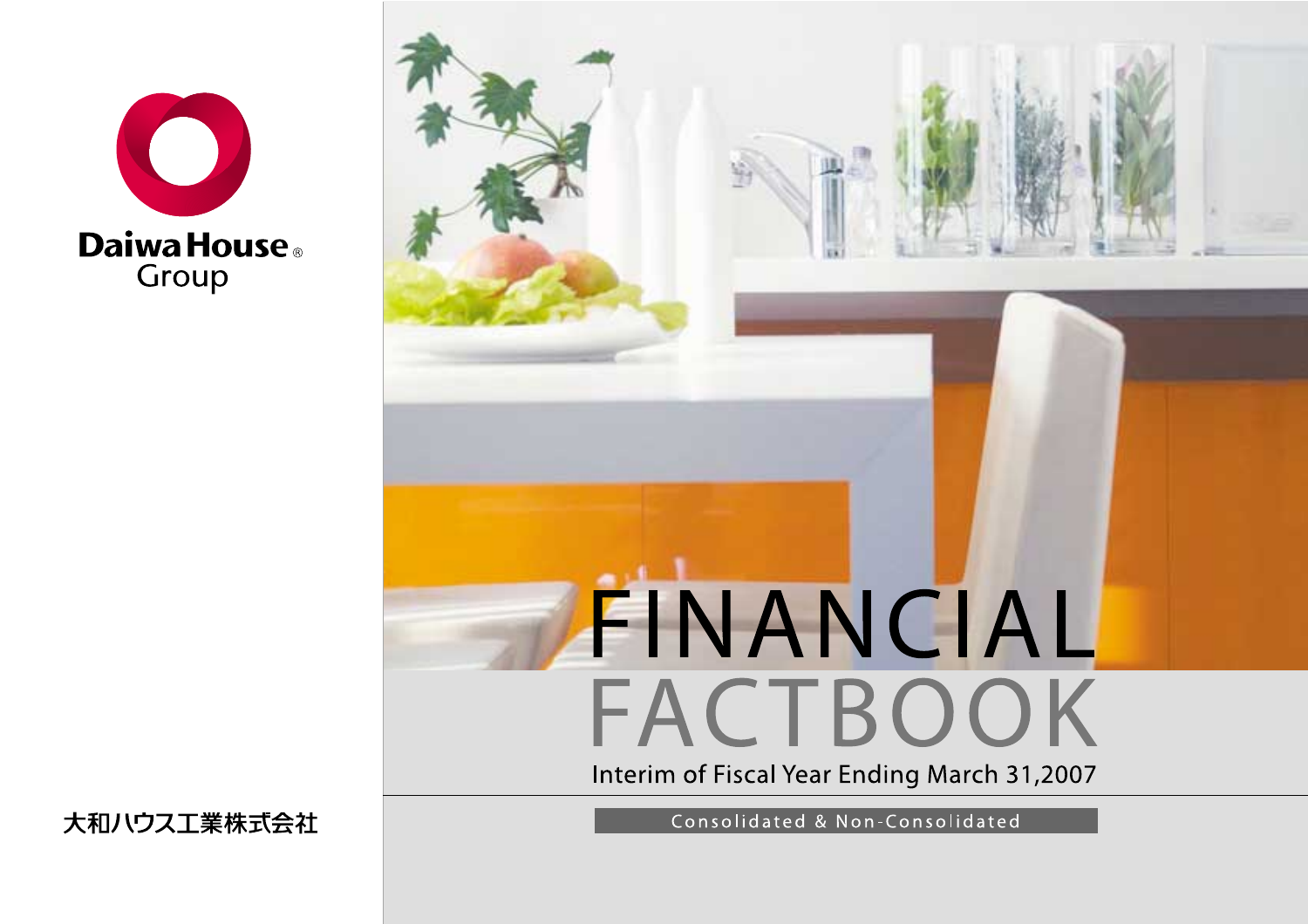

# FINANCIAL FACTBOOK Interim of Fiscal Year Ending March 31,2007

大和ハウス工業株式会社

Consolidated & Non-Consolidated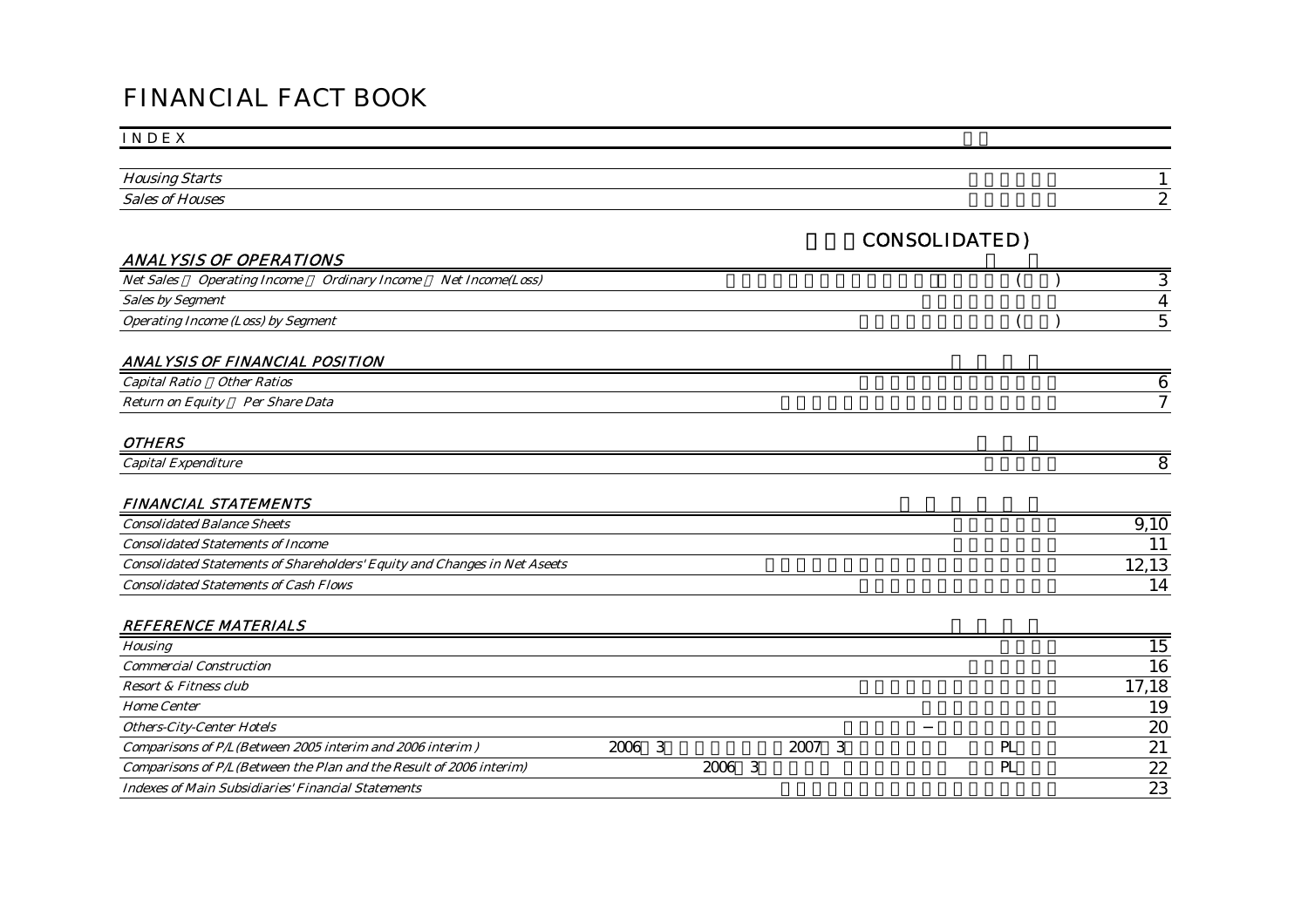# FINANCIAL FACT BOOK

#### I N D E X

| $ -$   |  |
|--------|--|
| $\sim$ |  |

CONSOLIDATED)

# ANALYSIS OF OPERATIONS

| <b>Net Sales</b>        | <i><b>Operating Income</b></i>            | Ordinary Income | <b>Net Income(Loss)</b> |  |  |
|-------------------------|-------------------------------------------|-----------------|-------------------------|--|--|
| <b>Sales by Segment</b> |                                           |                 |                         |  |  |
|                         | <i>Operating Income (Loss) by Segment</i> |                 |                         |  |  |

#### ANALYSIS OF FINANCIAL POSITION

| ' Ratio<br>Other<br><b>Ratios</b><br>apital                                        |  |
|------------------------------------------------------------------------------------|--|
| <sub>n</sub><br>$\sim$<br>–<br>Data<br>Per<br><i>Share</i><br>Eauit<br>Yetu.<br>on |  |

#### OTHERS

| .<br><i>capital</i><br>' Expenditure |  |
|--------------------------------------|--|
|                                      |  |

#### FINANCIAL STATEMENTS

| <b>Consolidated Balance Sheets</b>                                               |                          |
|----------------------------------------------------------------------------------|--------------------------|
| <b>Consolidated Statements of Income</b>                                         |                          |
| <b>Consolidated Statements of Shareholders' Equity and Changes in Net Aseets</b> |                          |
| <b>Consolidated Statements of Cash Flows</b>                                     | $\boldsymbol{\varDelta}$ |

#### REFERENCE MATERIALS

| <b>Housing</b>                                                      |        |            |     | 15    |
|---------------------------------------------------------------------|--------|------------|-----|-------|
| <b>Commercial Construction</b>                                      |        |            |     | 16    |
| Resort & Fitness club                                               |        |            |     | 17,18 |
| <b>Home Center</b>                                                  |        |            |     | 19    |
| <b>Others-City-Center Hotels</b>                                    |        |            |     | 20    |
| Comparisons of P/L(Between 2005 interim and 2006 interim)           | 2006 3 | 2007<br>-3 | PL. | 21    |
| Comparisons of P/L(Between the Plan and the Result of 2006 interim) |        | 2006 3     | PL  | 22    |
| <b>Indexes of Main Subsidiaries' Financial Statements</b>           |        |            |     | 23    |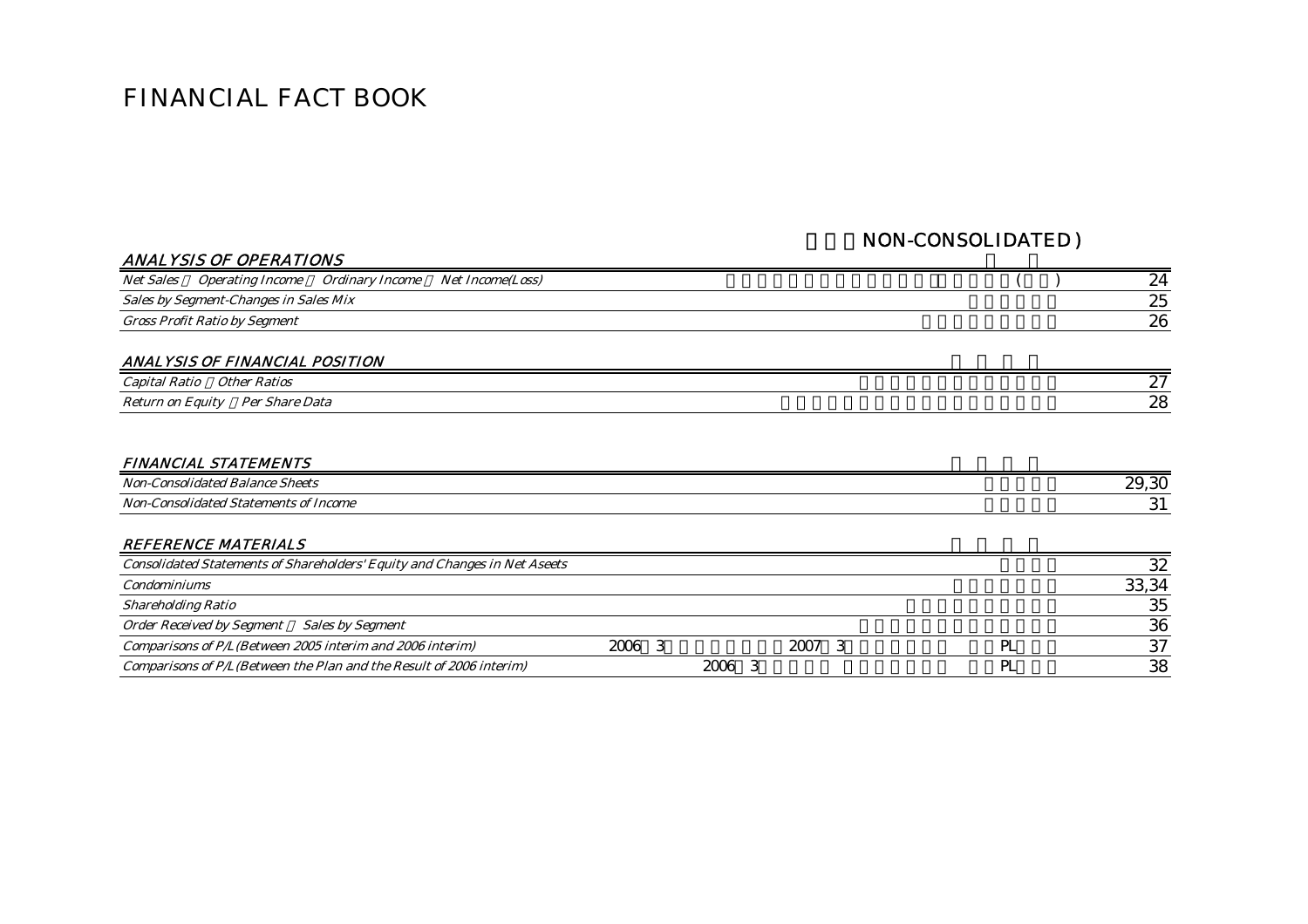# FINANCIAL FACT BOOK

# NON-CONSOLIDATED )

| <b>ANALYSIS OF OPERATIONS</b>                                                             |    |
|-------------------------------------------------------------------------------------------|----|
| Ordinary Income<br>Net Income(Loss)<br><i>Net Sales</i><br><i><b>Operating Income</b></i> | 24 |
| Sales by Segment-Changes in Sales Mix                                                     | 25 |
| <b>Gross Profit Ratio by Segment</b>                                                      | 26 |
| ANALYSIS OF FINANCIAL POSITION<br>Capital Ratio<br><i><b>Other Ratios</b></i>             | 27 |
| <b>Return on Equity</b><br>Per Share Data                                                 | 28 |
| FINANCIAI_STATFMFNTS                                                                      |    |

| FIIVAIVULAL SIATEMENIS                           |       |
|--------------------------------------------------|-------|
| $Non-$<br>Sheets<br>Balance<br>.onsolidated      | 29,30 |
| $Non-$<br>Consolidated Statements r<br>of Income | . J T |

#### REFERENCE MATERIALS

| <b>Consolidated Statements of Shareholders' Equity and Changes in Net Aseets</b> |      |      |  |       |
|----------------------------------------------------------------------------------|------|------|--|-------|
| <b>Condominiums</b>                                                              |      |      |  | 33,34 |
| <b>Shareholding Ratio</b>                                                        |      |      |  | 35    |
| Order Received by Segment Sales by Segment                                       |      |      |  | 36    |
| Comparisons of P/L(Between 2005 interim and 2006 interim)                        | 2006 | 2007 |  | 37    |
| Comparisons of P/L(Between the Plan and the Result of 2006 interim)              |      | 2006 |  | 38    |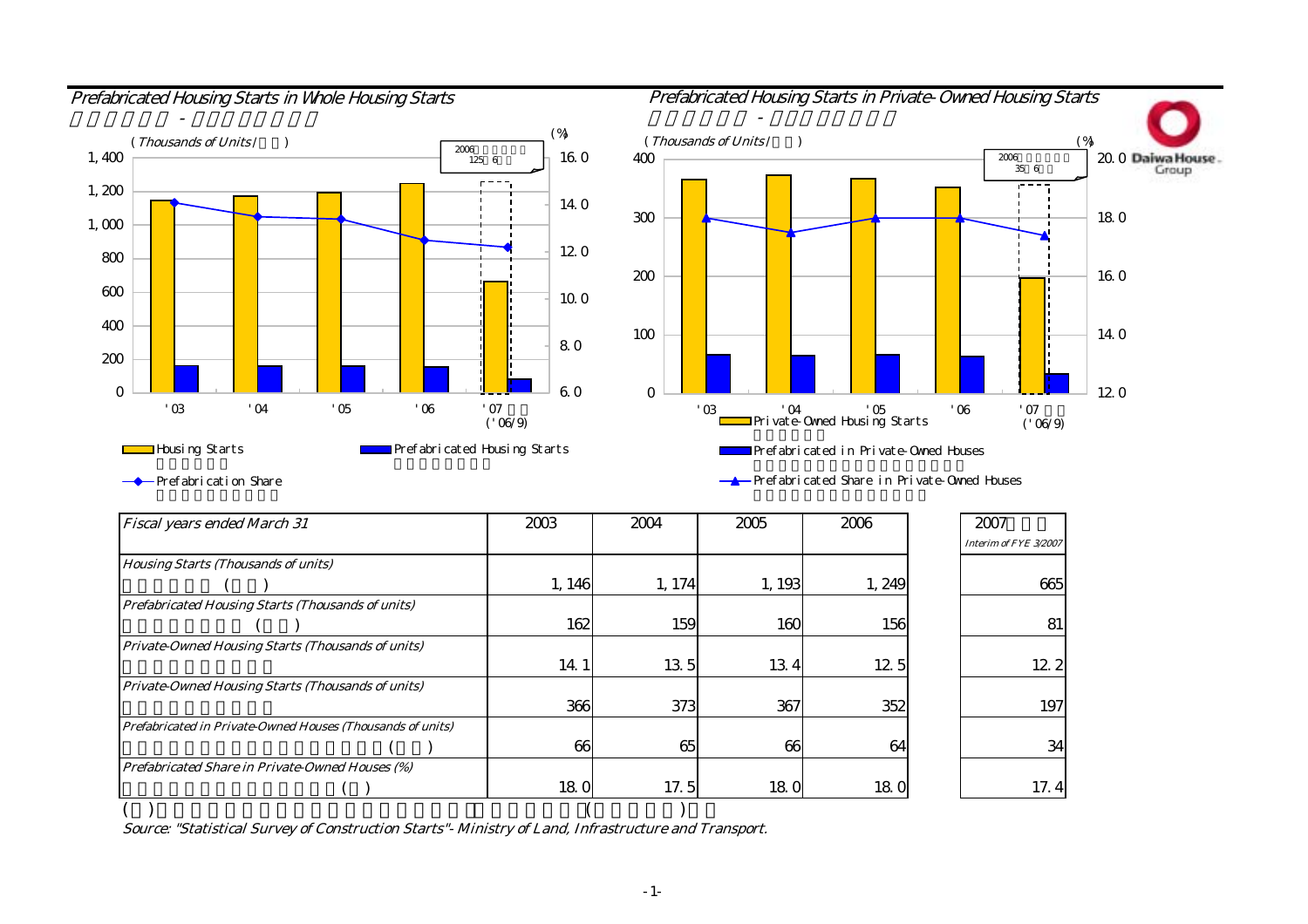

# Prefabricated Housing Starts in Whole Housing Starts **Prefabricated Housing Starts in Private-Owned Housing Starts** - プレハブ - プレハブ - プレハブ - プレハブ - プレハブ 200 $300$ 400 (Thousands of Units /千戸) (Thousands of Units /千戸) (%) (%) 2006年度当社予想 $\frac{1}{1}$  16.0 400  $\frac{1}{1}$



Prefabricated Share in Private-Owned Houses

Prefabrication Share

| <b>Fiscal years ended March 31</b>                         | 2003   | 2004   | 2005  | 2006   | 2007                  |
|------------------------------------------------------------|--------|--------|-------|--------|-----------------------|
|                                                            |        |        |       |        | Interim of FYE 3/2007 |
| <b>Housing Starts (Thousands of units)</b>                 |        |        |       |        |                       |
|                                                            | 1, 146 | 1, 174 | 1,193 | 1, 249 | 665                   |
| <b>Prefabricated Housing Starts (Thousands of units)</b>   |        |        |       |        |                       |
|                                                            | 162    | 159    | 160   | 156    | 81                    |
| Private-Owned Housing Starts (Thousands of units)          |        |        |       |        |                       |
|                                                            | 14.1   | 135    | 134   | 12.5   | 12.2                  |
| Private-Owned Housing Starts (Thousands of units)          |        |        |       |        |                       |
|                                                            | 366    | 373    | 367   | 352    | 197                   |
| Prefabricated in Private-Owned Houses (Thousands of units) |        |        |       |        |                       |
|                                                            | 66     | 65     | 66    | 64     | 34                    |
| Prefabricated Share in Private-Owned Houses (%)            |        |        |       |        |                       |
|                                                            | 18.0   | 17.5   | 180   | 180    | 17.4                  |
|                                                            |        |        |       |        |                       |

Source: "Statistical Survey of Construction Starts"- Ministry of Land, Infrastructure and Transport.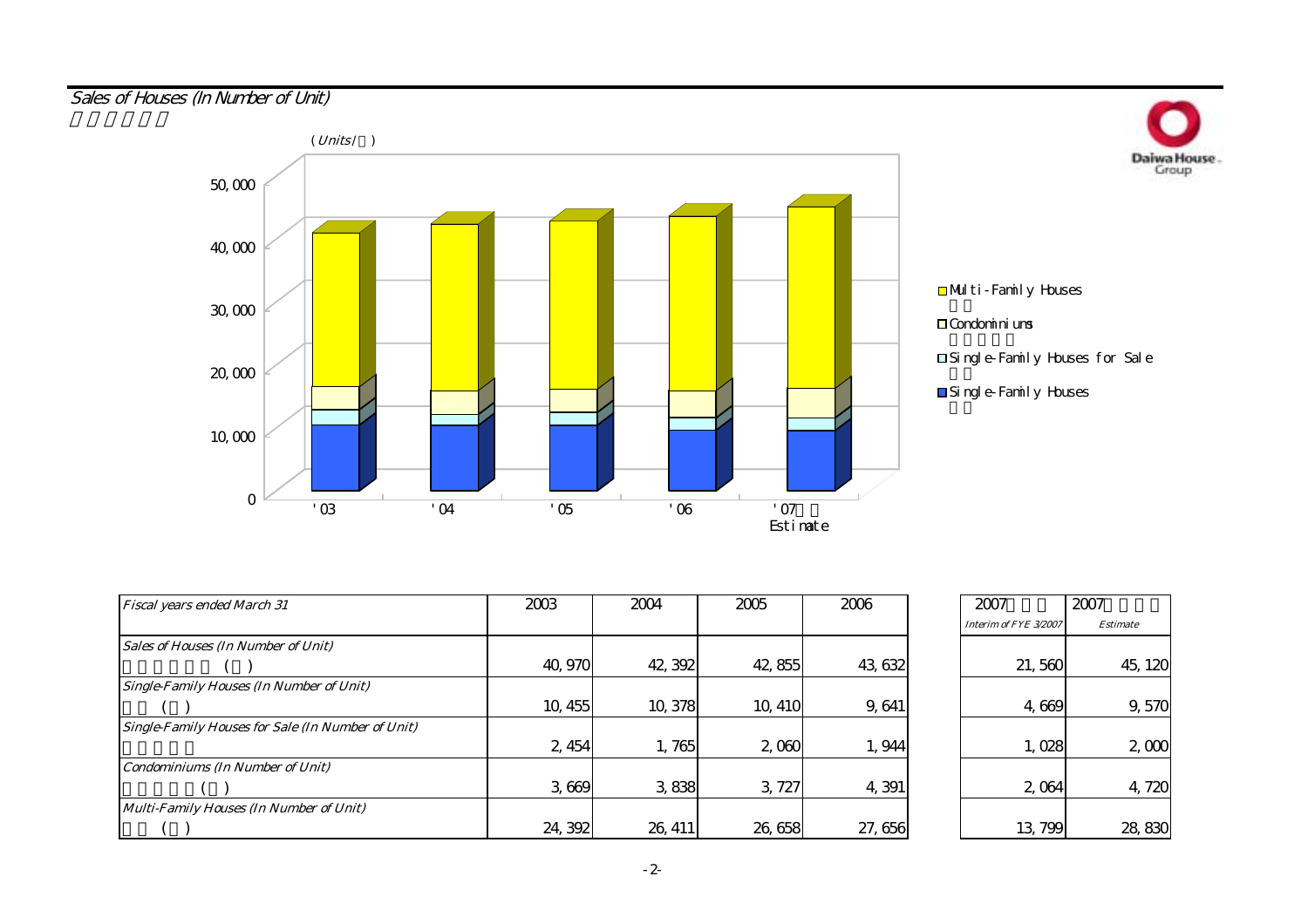# Sales of Houses (In Number of Unit)



| <b>Fiscal years ended March 31</b>                       | 2003    | 2004    | 2005    | 2006    | 2007                  |
|----------------------------------------------------------|---------|---------|---------|---------|-----------------------|
|                                                          |         |         |         |         | Interim of FYE 3/2007 |
| <b>Sales of Houses (In Number of Unit)</b>               |         |         |         |         |                       |
|                                                          | 40, 970 | 42, 392 | 42,855  | 43, 632 | 21,560                |
| <b>Single-Family Houses (In Number of Unit)</b>          |         |         |         |         |                       |
|                                                          | 10, 455 | 10,378  | 10, 410 | 9,641   | 4,669                 |
| <b>Single-Family Houses for Sale (In Number of Unit)</b> |         |         |         |         |                       |
|                                                          | 2, 454  | 1,765   | 2,060   | 1,944   | 1,028                 |
| <b>Condominiums (In Number of Unit)</b>                  |         |         |         |         |                       |
|                                                          | 3,669   | 3,838   | 3, 727  | 4,391   | 2,064                 |
| Multi-Family Houses (In Number of Unit)                  |         |         |         |         |                       |
|                                                          | 24, 392 | 26, 411 | 26,658  | 27,656  | 13, 799               |

| $\bar{5}$ | 2006       | 2007                  | 2007            |
|-----------|------------|-----------------------|-----------------|
|           |            | Interim of FYE 3/2007 | <b>Estimate</b> |
|           |            |                       |                 |
| 2,855     | 43, 632    | 21,560                | 45, 120         |
|           |            |                       |                 |
| 0,410     | 9,641      | 4,669                 | 9,570           |
|           |            |                       |                 |
| 2,060     | 1,944      | 1,028                 | 2,000           |
|           |            |                       |                 |
| 3,727     | 4,391      | 2,064                 | 4,720           |
|           |            |                       |                 |
| 6,658     | 656<br>27. | 13,799                | 830<br>28,      |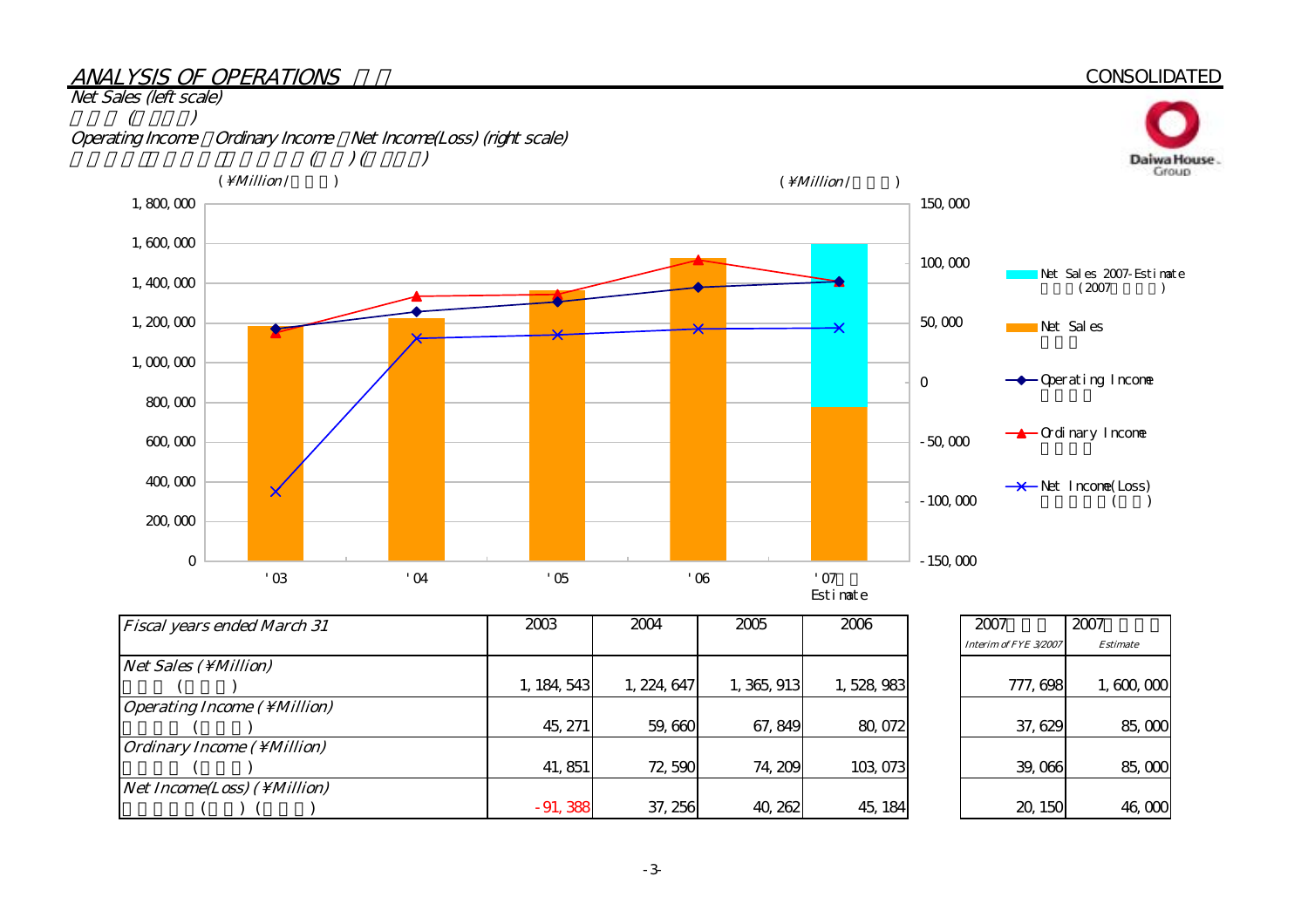#### ANALYSIS OF OPERATIONS**CONSOLIDATED** Net Sales (left scale) 売上高 (左メモリ) Operating Income Ordinary Income Net Income(Loss) (right scale)<br>( ) ( )  $\left( \begin{array}{cc} 1 & 0 \\ 0 & 1 \end{array} \right)$ Daiwa House.  $(\Million / \Million / \M)$ 1,800,000 150,000 1,600,000 100,000 Net Sales 2007-Estimate<br>(2007) 1,400,000 1,200,000 50,000  $\overline{\mathsf{x}}$ Net Sales 1,000,000 **→** Operating Income  $\mathbf 0$ 800,000 **←▲**Ordinary Income 600,000 -50,000 400,000  $\rightarrow$ Net Income(Loss)  $\overline{\mathsf{x}}$  $-100,000$  $($ 200,000  $\Omega$ -150,000  $'03$  '04 '05 '06 '07 '07

| <b>Fiscal years ended March 31</b>                | 2003        | 2004        | 2005        | 2006      | 2007                  |
|---------------------------------------------------|-------------|-------------|-------------|-----------|-----------------------|
|                                                   |             |             |             |           | Interim of FYE 3/2007 |
| $Net Sales ( \lMillion)$                          |             |             |             |           |                       |
|                                                   | 1, 184, 543 | 1, 224, 647 | 1, 365, 913 | 1,528,983 | 777, 698              |
| <i>Operating Income</i> $(\ \M $ <i>Million</i> ) |             |             |             |           |                       |
|                                                   | 45, 271     | 59,660      | 67, 849     | 80,072    | 37,629                |
| <i><b>Ordinary Income (\Million)</b></i>          |             |             |             |           |                       |
|                                                   | 41, 851     | 72,590      | 74, 209     | 103,073   | 39,066                |
| <i>Net Income(Loss)</i> ( \ <i>Million)</i>       |             |             |             |           |                       |
|                                                   | $-91,388$   | 37, 256     | 40, 262     | 45, 184   | 20, 150               |

| 2007                  | 2007            |
|-----------------------|-----------------|
| Interim of FYE 3/2007 | <b>Estimate</b> |
| 777, 698              | 1,600,000       |
| 37, 629               | 85,000          |
| 39,066                | 85,000          |
| 20, 150               | 46,000          |

Estimate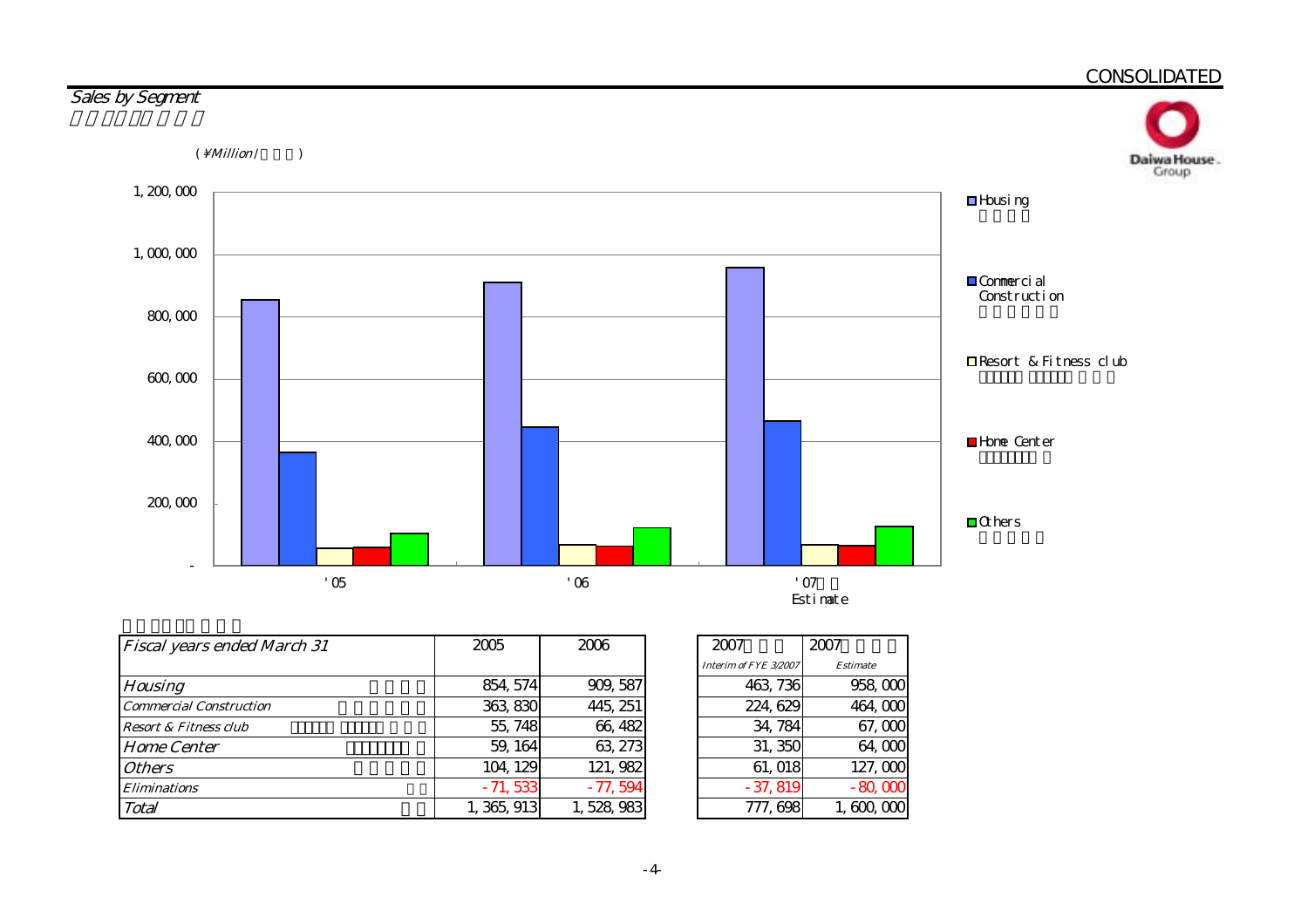

| <b>Fiscal years ended March 31</b> | 2005        | 2006      |  |  |
|------------------------------------|-------------|-----------|--|--|
|                                    |             |           |  |  |
| <b>Housing</b>                     | 854, 574    | 909, 587  |  |  |
| <b>Commercial Construction</b>     | 363, 830    | 445, 251  |  |  |
| <b>Resort &amp; Fitness club</b>   | 55, 748     | 66, 482   |  |  |
| <b>Home Center</b>                 | 59, 164     | 63, 273   |  |  |
| <b>Others</b>                      | 104, 129    | 121, 982  |  |  |
| <i><b>Eliminations</b></i>         | $-71,533$   | $-77,594$ |  |  |
| Total                              | 1, 365, 913 | 1,528,983 |  |  |

| 2007                  | 2007            |
|-----------------------|-----------------|
| Interim of FYE 3/2007 | <b>Estimate</b> |
| 463, 736              | 958,000         |
| 224, 629              | 464,000         |
| 34, 784               | 67,000          |
| 31, 350               | 64,000          |
| 61, 018               | 127,000         |
| $-37,819$             | - 80, OC        |
| 777, 698              | 1,600,000       |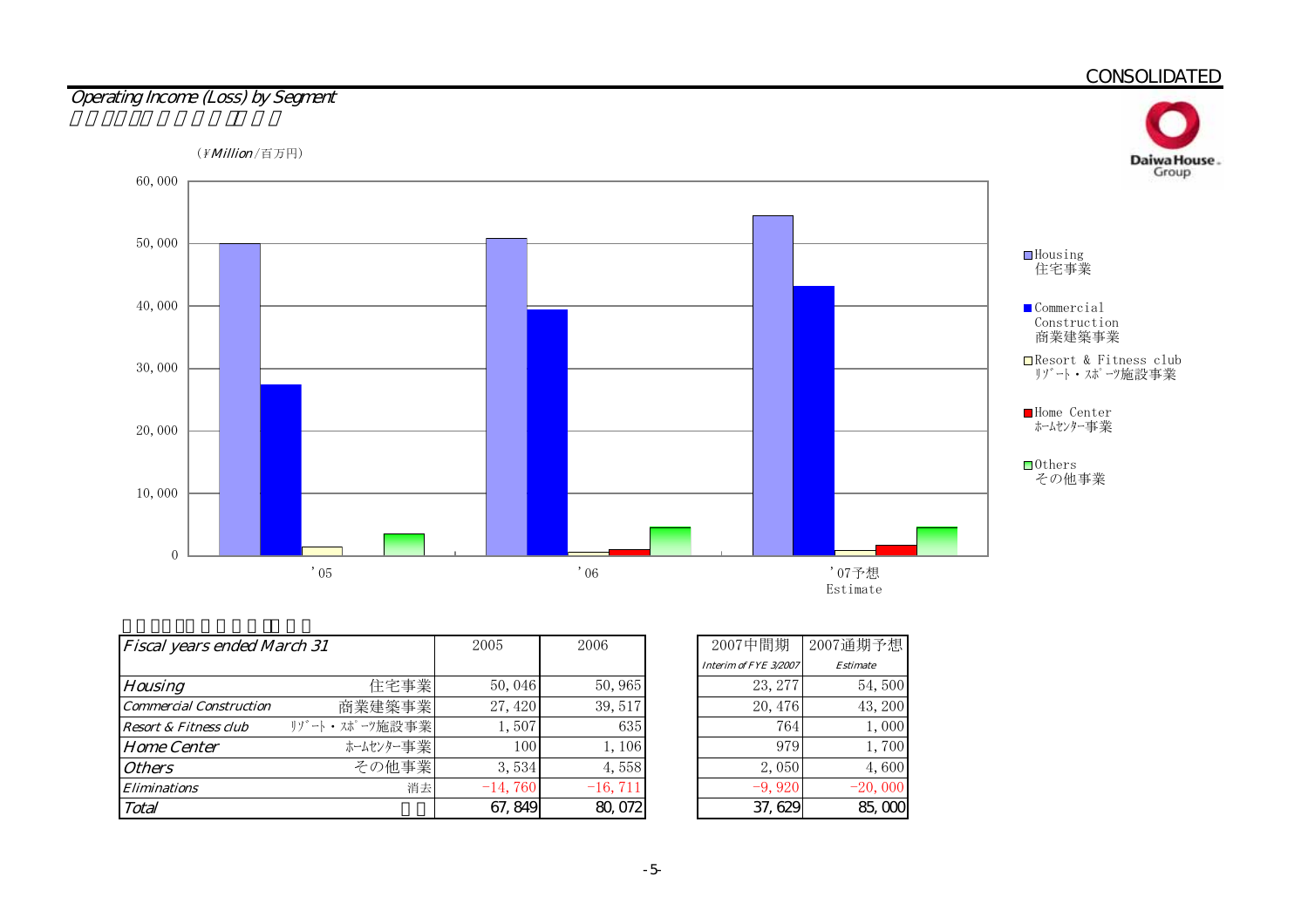

| <b>Fiscal years ended March 31</b> | 2005          | 2006      |            |
|------------------------------------|---------------|-----------|------------|
|                                    |               |           |            |
| <b>Housing</b>                     | 住宅事業          | 50,046    | 50, 965    |
| <b>Commercial Construction</b>     | 商業建築事業        | 27, 420   | 39, 517    |
| <b>Resort &amp; Fitness club</b>   | リゾート・スポーツ施設事業 | 1,507     | 635        |
| <b>Home Center</b>                 | ホームセンター事業     | 100       | 1,106      |
| <b>Others</b>                      | その他事業         | 3,534     | 4,558      |
| <b>Eliminations</b>                | 消去            | $-14,760$ | $-16, 711$ |
| Total                              |               | 67, 849   | 80,072     |

| 2007中間期               | 2007通期予想        |
|-----------------------|-----------------|
| Interim of FYE 3/2007 | <b>Estimate</b> |
| 23, 277               | 54,500          |
| 20, 476               | 43, 200         |
| 764                   | 1,000           |
| 979                   | 1,700           |
| 2,050                 | 4,600           |
| $-9,920$              | $-20,000$       |
| 37, 629               | 85. O           |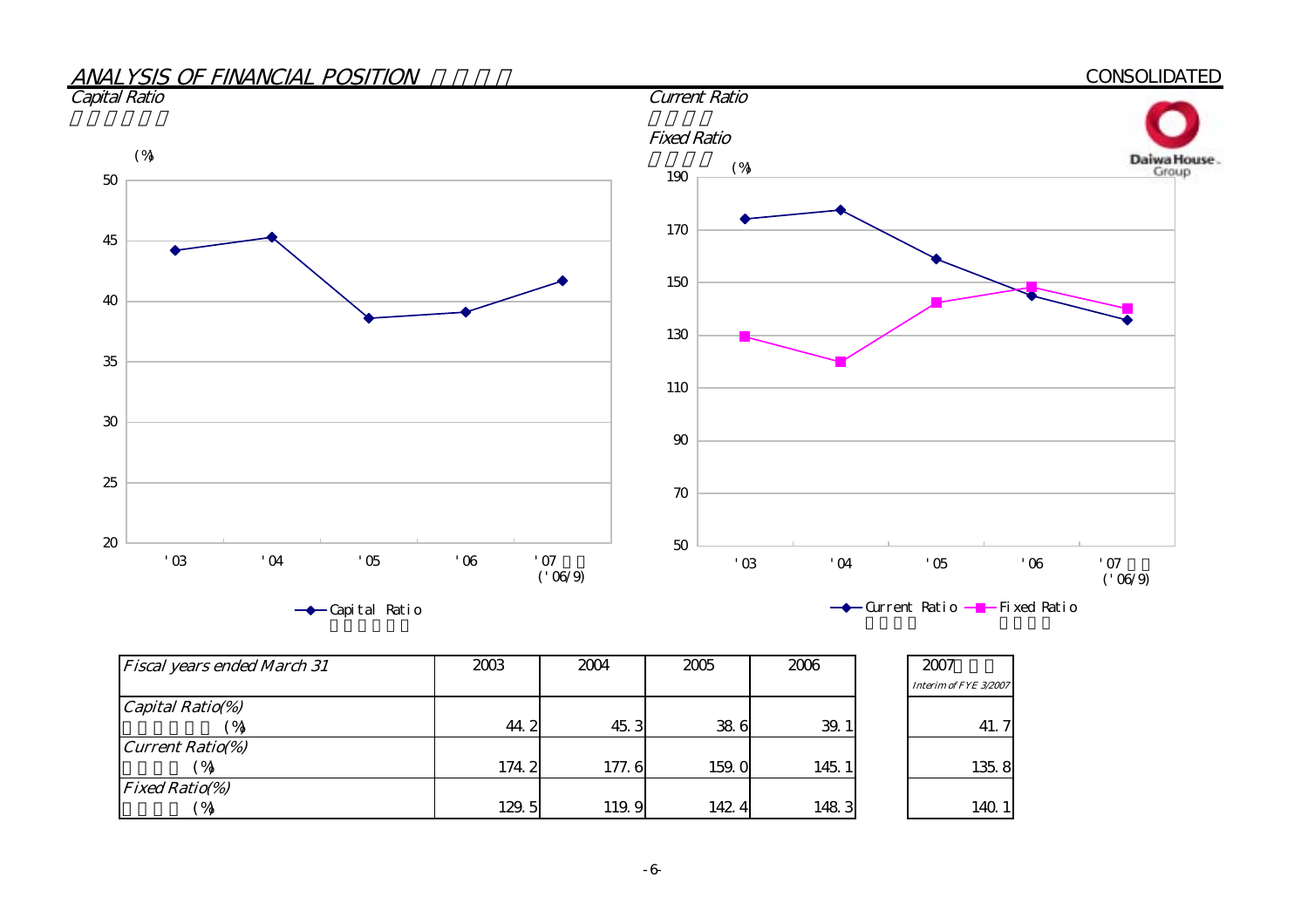

| <b>Fiscal years ended March 31</b> | 2003  | 2004  | 2005  | 2006  | 2007                  |
|------------------------------------|-------|-------|-------|-------|-----------------------|
|                                    |       |       |       |       | Interim of FYE 3/2007 |
| $\alpha$ Capital Ratio(%)          |       |       |       |       |                       |
| $\gamma$                           | 44.2  | 45.3  | 38.6  | 39.1  | 41.7                  |
| <b>Current Ratio(%)</b>            |       |       |       |       |                       |
| $^{\circ}$ %                       | 174.2 | 177.6 | 159.0 | 145.1 | 135.8                 |
| <b>Fixed Ratio(%)</b>              |       |       |       |       |                       |
| $^{\prime}$ %                      | 129.5 | 119.9 | 142.4 | 1483  | 140.1                 |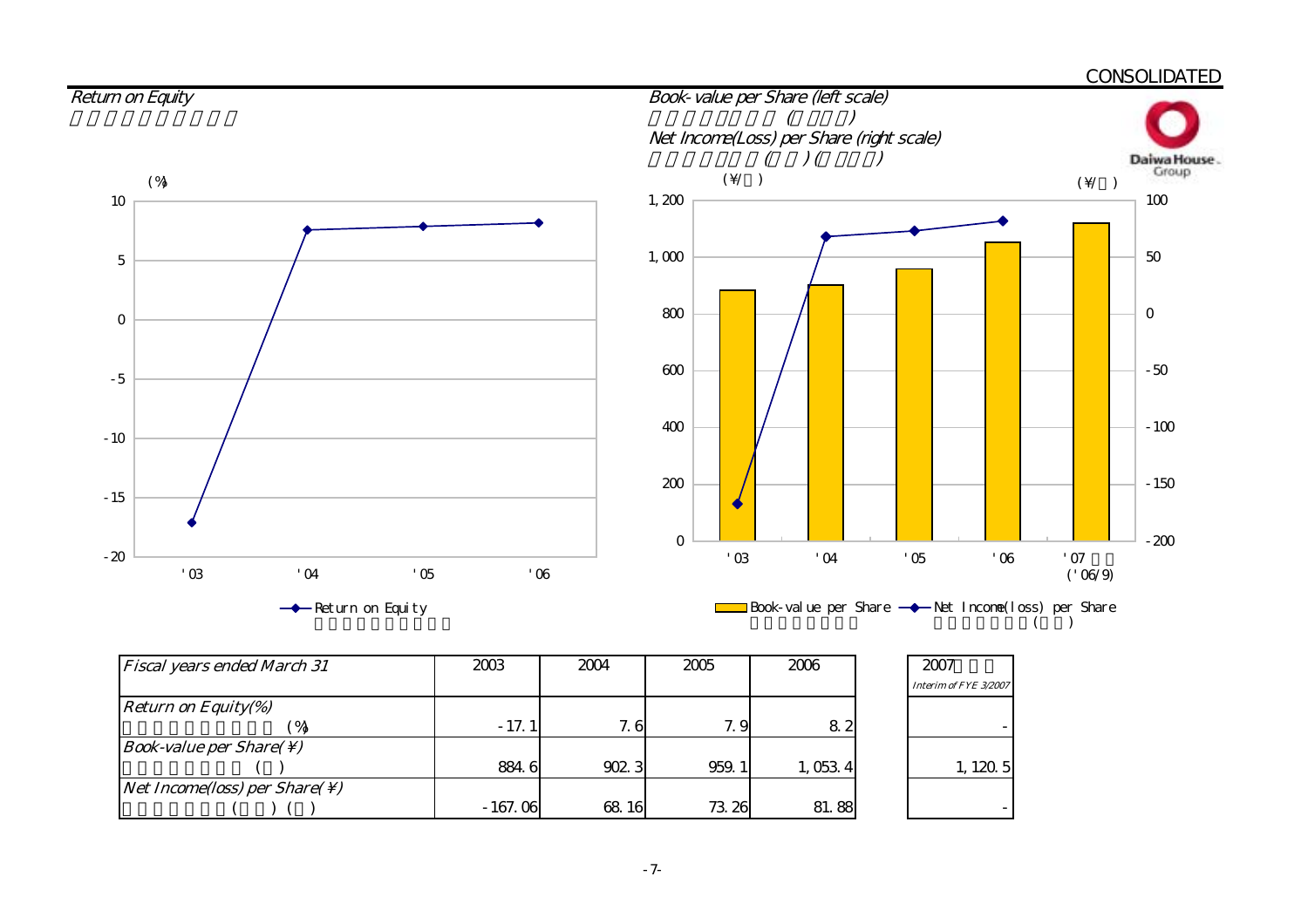

| <b>Fiscal years ended March 31</b>                               | 2003      | 2004  | 2005  | 2006    | 2007                  |
|------------------------------------------------------------------|-----------|-------|-------|---------|-----------------------|
|                                                                  |           |       |       |         | Interim of FYE 3/2007 |
| <i>Return on Equity(%)</i>                                       |           |       |       |         |                       |
|                                                                  | $-17.1$   | 7.6   | 7.9   | 82      |                       |
| <i>Book-value per Share(<math>\setminus</math>)</i>              |           |       |       |         |                       |
|                                                                  | 884.6     | 9023  | 959.1 | 1,053 4 | 1, 120, 5             |
| <i>Net Income(loss)</i> per <i>Share(<math>\setminus</math>)</i> |           |       |       |         |                       |
|                                                                  | $-167.06$ | 68 16 | 73.26 | 81.88   |                       |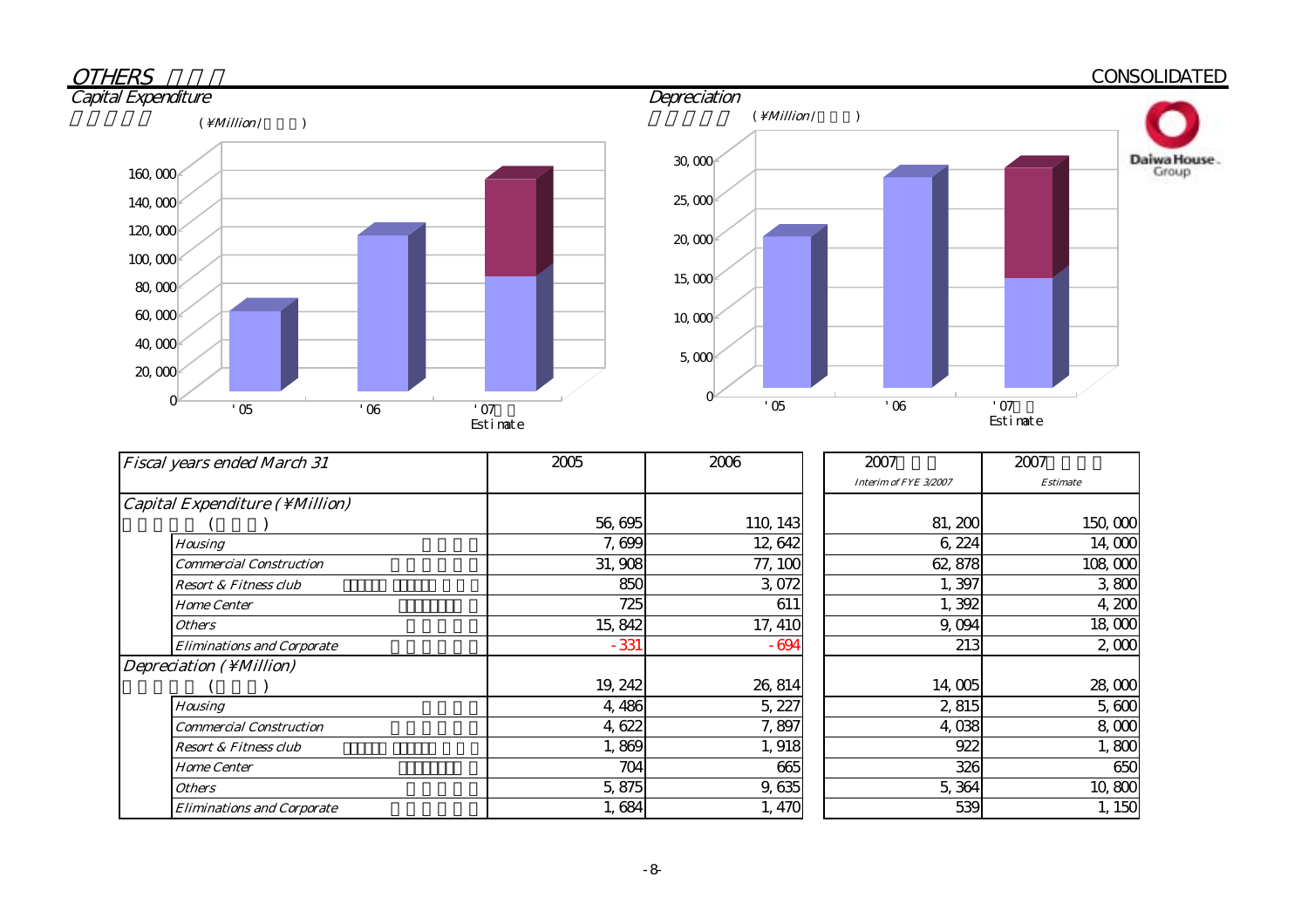#### **OTHERS**  CONSOLIDATED **Capital Expenditure** ( $\Million /$ ) ( $\Million /$ ) 30,000 Daiwa House.<br>Group  $160,000$





| <b>Fiscal years ended March 31</b> | 2005    | 2006     | 2007                  | 2007            |  |
|------------------------------------|---------|----------|-----------------------|-----------------|--|
|                                    |         |          | Interim of FYE 3/2007 | <b>Estimate</b> |  |
| Capital Expenditure (\ Million)    |         |          |                       |                 |  |
|                                    | 56,695  | 110, 143 | 81, 200               | 150,000         |  |
| <b>Housing</b>                     | 7,699   | 12,642   | 6,224                 | 14,000          |  |
| Commercial Construction            | 31,908  | 77, 100  | 62, 878               | 108,000         |  |
| <b>Resort &amp; Fitness club</b>   | 850     | 3,072    | 1,397                 | 3800            |  |
| <b>Home Center</b>                 | 725     | 611      | 1,392                 | 4,200           |  |
| Others                             | 15,842  | 17, 410  | 9,094                 | 18,000          |  |
| <b>Eliminations and Corporate</b>  | $-331$  | $-694$   | 213                   | 2,000           |  |
| Depreciation (\Million)            |         |          |                       |                 |  |
|                                    | 19, 242 | 26, 814  | 14,005                | 28,000          |  |
| <b>Housing</b>                     | 4,486   | 5, 227   | 2,815                 | 5,600           |  |
| <b>Commercial Construction</b>     | 4,622   | 7,897    | 4,038                 | 8,000           |  |
| <b>Resort &amp; Fitness club</b>   | 1,869   | 1,918    | 922                   | 1,800           |  |
| <b>Home Center</b>                 | 704     | 665      | 326                   | 650             |  |
| <b>Others</b>                      | 5,875   | 9,635    | 5,364                 | 10,800          |  |
| <b>Eliminations and Corporate</b>  | 1,684   | 1,470    | 539                   | 1, 150          |  |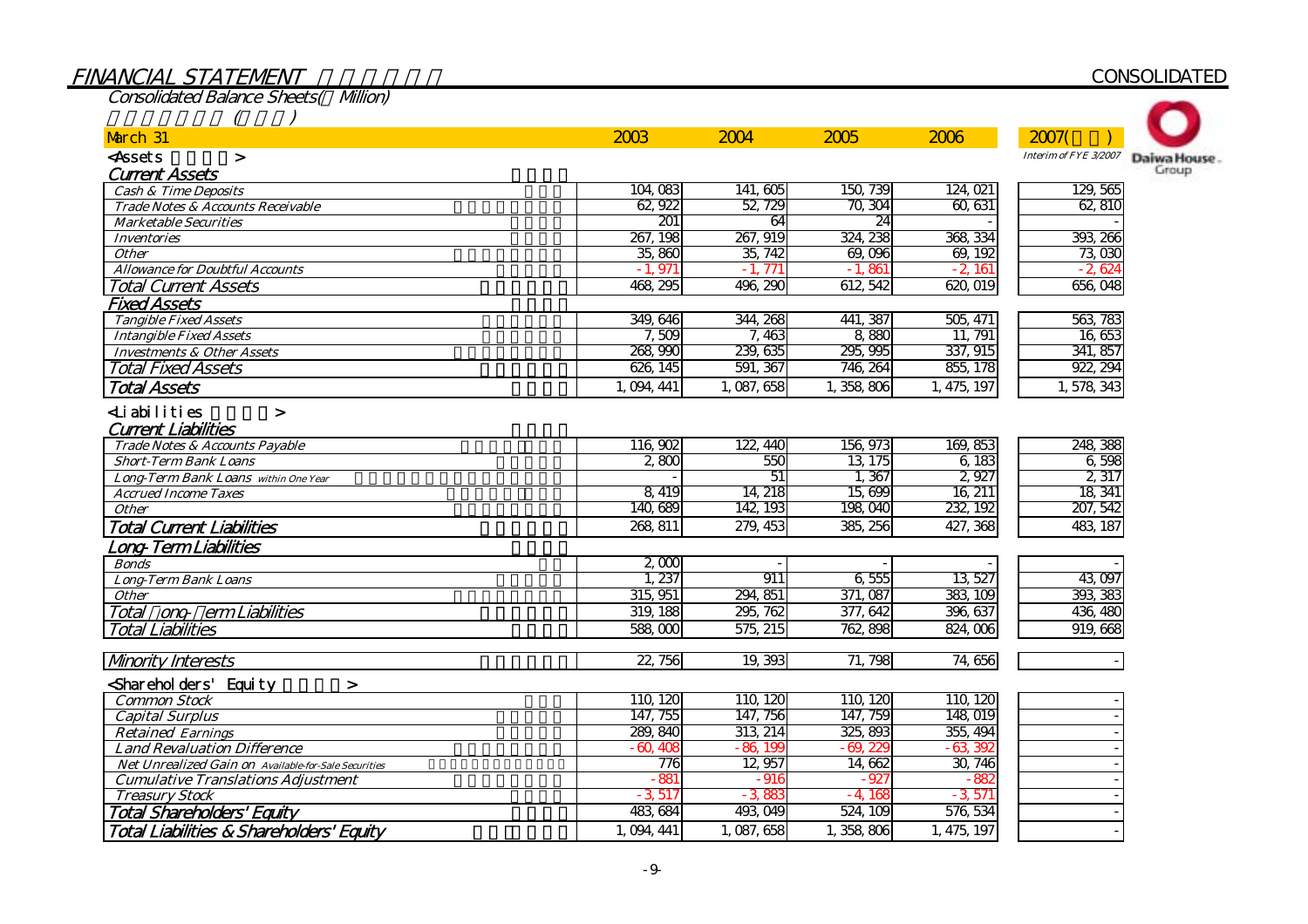| <b>Consolidated Balance Sheets( Million)</b>         |             |                 |                        |             |                        |             |
|------------------------------------------------------|-------------|-----------------|------------------------|-------------|------------------------|-------------|
|                                                      |             |                 |                        |             |                        |             |
| March 31                                             | 2003        | 2004            | 2005                   | 2006        | 2007(                  |             |
| <assets<br><math>\geq</math></assets<br>             |             |                 |                        |             | Interim of FYE 3/2007  | Daiwa House |
| <b>Current Assets</b>                                |             |                 |                        |             |                        | Group       |
| <b>Cash &amp; Time Deposits</b>                      | 104,083     | 141,605         | 150, 739               | 124, 021    | 129, 565               |             |
| Trade Notes & Accounts Receivable                    | 62, 922     | 52, 729         | 70, 304                | 60, 631     | 62,810                 |             |
| <b>Marketable Securities</b>                         | 201         | 64              | 24                     |             |                        |             |
| <b>Inventories</b>                                   | 267, 198    | 267, 919        | 324, 238               | 368, 334    | 393, 266               |             |
| <b>Other</b>                                         | 35,860      | 35, 742         | 69,096                 | 69, 192     | 73,030                 |             |
| <b>Allowance for Doubtful Accounts</b>               | $-1,971$    | $-1,771$        | $-1,861$               | $-2,161$    | $-2,624$               |             |
| <b>Total Current Assets</b>                          | 468, 295    | 496, 290        | 612 542                | 620,019     | $\overline{656}$ $048$ |             |
| <b>Fixed Assets</b>                                  |             |                 |                        |             |                        |             |
| <b>Tangible Fixed Assets</b>                         | 349, 646    | 344, 268        | 441, 387               | 505, 471    | 563, 783               |             |
| <b>Intangible Fixed Assets</b>                       | 7,509       | 7,463           | 8,880                  | 11, 791     | 16,653                 |             |
| <b>Investments &amp; Other Assets</b>                | 268,990     | 239, 635        | 295, 995               | 337, 915    | 341, 857               |             |
| <b>Total Fixed Assets</b>                            | 626, 145    | 591, 367        | 746, 264               | 855, 178    | 922, 294               |             |
| <b>Total Assets</b>                                  | 1, 094, 441 | 1,087,658       | 1,358,806              | 1, 475, 197 | 1,578,343              |             |
| <b>∠Liabilities</b><br>$\geq$                        |             |                 |                        |             |                        |             |
| <b>Current Liabilities</b>                           |             |                 |                        |             |                        |             |
| Trade Notes & Accounts Payable                       | 116,902     | 122, 440        | 156, 973               | 169, 853    | 248, 388               |             |
| <b>Short-Term Bank Loans</b>                         | 2800        | 550             | 13, 175                | 6,183       | 6,598                  |             |
| Long-Term Bank Loans within One Year                 |             | $\overline{51}$ | 1,367                  | 2,927       | 2,317                  |             |
| <b>Accrued Income Taxes</b>                          | 8, 419      | 14, 218         | 15,699                 | 16, 211     | 18, 341                |             |
| <b>Other</b>                                         | 140,689     | 142, 193        | 198,040                | 232, 192    | 207, 542               |             |
| <b>Total Current Liabilities</b>                     | 268, 811    | 279, 453        | 385, 256               | 427, 368    | 483, 187               |             |
| ong-TermLiabilities                                  |             |                 |                        |             |                        |             |
| <b>Bonds</b>                                         | 2,000       |                 |                        |             |                        |             |
| <b>Long-Term Bank Loans</b>                          | 1, 237      | 911             | 6,555                  | 13, 527     | 43,097                 |             |
| <b>Other</b>                                         | 315, 951    | 294, 851        | 371, 087               | 383, 109    | 393, 383               |             |
| Total ong erm Liabilities                            | 319, 188    | 295, 762        | 377, 642               | 396, 637    | 436, 480               |             |
| <b>Total Liabilities</b>                             | 588,000     | 575, 215        | 762, 898               | 824,006     | 919,668                |             |
|                                                      |             |                 |                        |             |                        |             |
| <b>Mnority Interests</b>                             | 22, 756     | 19, 393         | 71, 798                | 74,656      |                        |             |
| Sharehol ders' Equity<br>$\geq$                      |             |                 |                        |             |                        |             |
| <b>Common Stock</b>                                  | 110, 120    | 110, 120        | 110, 120               | 110, 120    |                        |             |
| <b>Capital Surplus</b>                               | 147, 755    | 147, 756        | 147, 759               | 148,019     |                        |             |
| <b>Retained Earnings</b>                             | 289, 840    | 313, 214        | 325, 893               | 355, 494    |                        |             |
| <b>Land Revaluation Difference</b>                   | $-60,408$   | $-86,199$       | $-69, 22$              | $-63,392$   |                        |             |
| Net Unrealized Gain on Available-for-Sale Securities | 776         | 12,957          | 14,662                 | 30, 746     |                        |             |
| <b>Cumulative Translations Adjustment</b>            | $-881$      | $-916$          | $-927$                 | $-882$      |                        |             |
| <b>Treasury Stock</b>                                | $-3,517$    | $-3,883$        | -4, 168                | $-3,571$    |                        |             |
| <b>Total Shareholders' Equity</b>                    | 483, 684    | 493, 049        | $\overline{524}$ , 109 | 576, 534    |                        |             |

# FINANCIAL STATEMENT

Total Liabilities & Shareholders' Equity  $\frac{1}{2}$ 

# **CONSOLIDATED**

1,094,441 1,087,658 1,358,806 1,475,197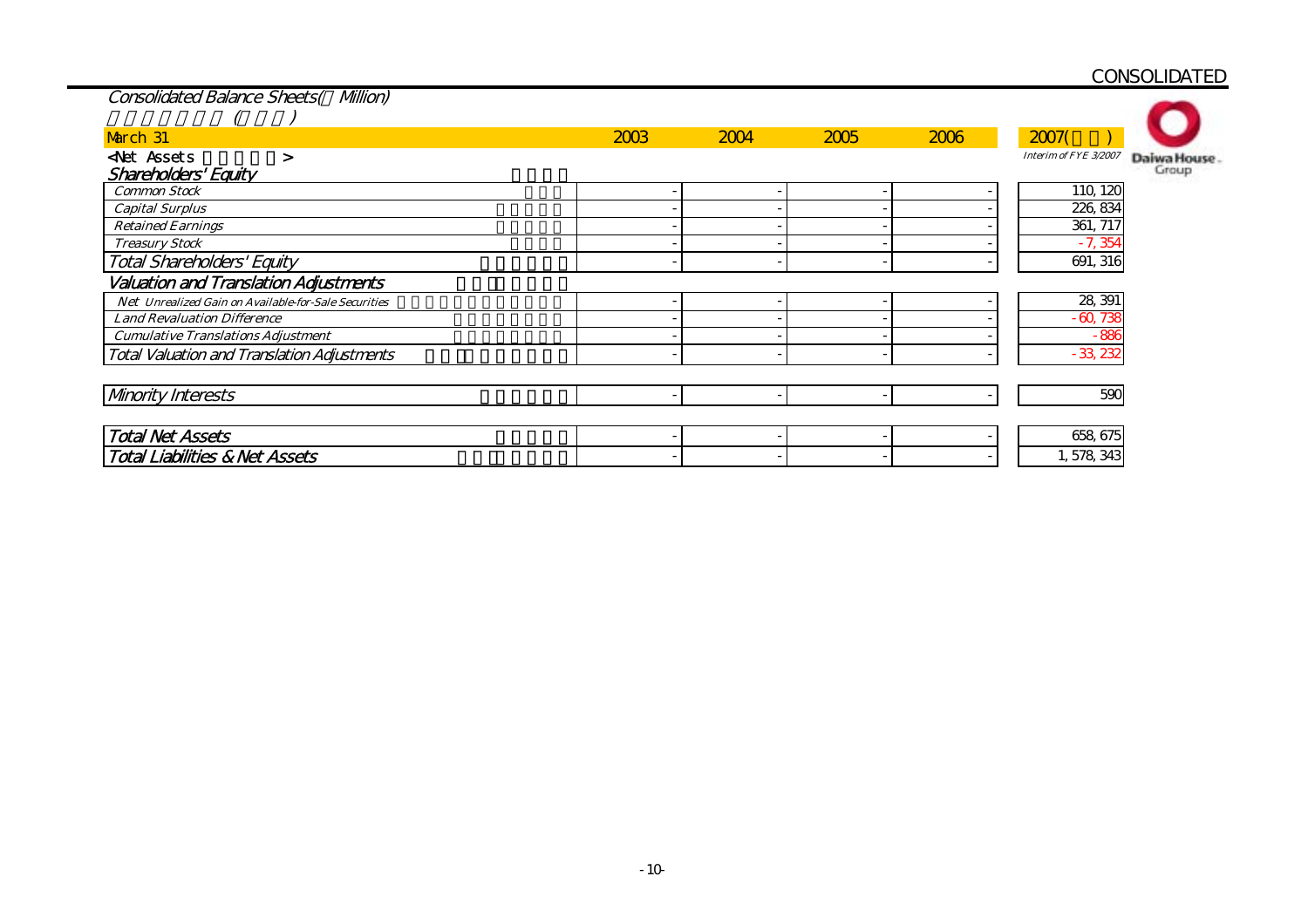| <b>Consolidated Balance Sheets( Milion)</b>          |      |      |      |      |                       |             |
|------------------------------------------------------|------|------|------|------|-----------------------|-------------|
|                                                      |      |      |      |      |                       |             |
| March 31                                             | 2003 | 2004 | 2005 | 2006 | 2007(                 |             |
| <b>Net Assets</b><br>>                               |      |      |      |      | Interim of FYE 3/2007 | Daiwa House |
| Shareholders' Equity                                 |      |      |      |      |                       | Group       |
| <b>Common Stock</b>                                  |      |      |      |      | 110, 120              |             |
| <b>Capital Surplus</b>                               |      |      |      |      | 226, 834              |             |
| <b>Retained Earnings</b>                             |      |      |      |      | 361, 717              |             |
| <b>Treasury Stock</b>                                |      |      |      |      | $-7,354$              |             |
| <b>Total Shareholders' Equity</b>                    |      |      |      |      | 691, 316              |             |
| <b>Valuation and Translation Adjustments</b>         |      |      |      |      |                       |             |
| Net Unrealized Gain on Available-for-Sale Securities |      |      |      |      | 28, 391               |             |
| <b>Land Revaluation Difference</b>                   |      |      |      |      | $-60,738$             |             |
| <b>Cumulative Translations Adjustment</b>            |      |      |      |      | $-886$                |             |
| <b>Total Valuation and Translation Adjustments</b>   |      |      |      |      | $-33,232$             |             |
|                                                      |      |      |      |      |                       |             |
| <b>Mnority Interests</b>                             |      |      |      |      | 590                   |             |
|                                                      |      |      |      |      |                       |             |
| <b>Total Net Assets</b>                              |      |      |      |      | 658, 675              |             |
| <b>Total Liabilities &amp; Net Assets</b>            |      |      |      |      | 1,578,343             |             |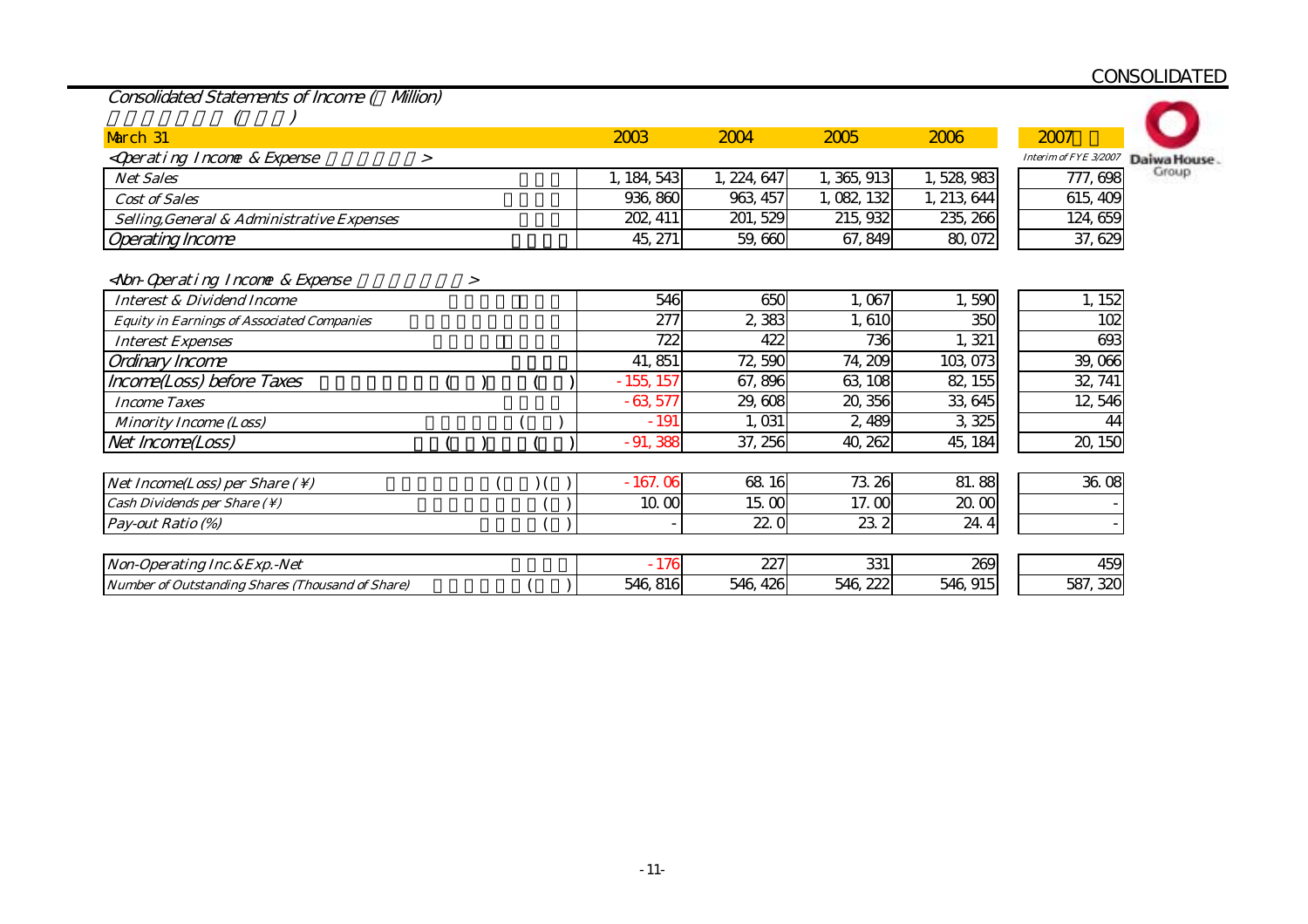| Consolidated Statements of Income ( Milion)                                                                                                                                                |        |   |  |             |             |             |             |                       |             |
|--------------------------------------------------------------------------------------------------------------------------------------------------------------------------------------------|--------|---|--|-------------|-------------|-------------|-------------|-----------------------|-------------|
|                                                                                                                                                                                            |        |   |  |             |             |             |             |                       |             |
| March 31                                                                                                                                                                                   |        |   |  | 2003        | 2004        | 2005        | 2006        | 2007                  |             |
| <qperating &="" expense<="" incone="" td=""><td><math>\geq</math></td><td></td><td></td><td></td><td></td><td></td><td></td><td>Interim of FYE 3/2007</td><td>Daiwa House</td></qperating> | $\geq$ |   |  |             |             |             |             | Interim of FYE 3/2007 | Daiwa House |
| <b>Net Sales</b>                                                                                                                                                                           |        |   |  | 1, 184, 543 | 1, 224, 647 | 1, 365, 913 | 1,528,983   | 777, 698              | Group       |
| <b>Cost of Sales</b>                                                                                                                                                                       |        |   |  | 936, 860    | 963, 457    | 1,082,132   | 1, 213, 644 | 615, 409              |             |
| Selling, General & Administrative Expenses                                                                                                                                                 |        |   |  | 202, 411    | 201, 529    | 215, 932    | 235, 266    | 124,659               |             |
| <b>Operating Income</b>                                                                                                                                                                    |        |   |  | 45, 271     | 59,660      | 67, 849     | 80,072      | 37, 629               |             |
|                                                                                                                                                                                            |        |   |  |             |             |             |             |                       |             |
| <non-qperating &="" expense<="" income="" td=""><td></td><td>&gt;</td><td></td><td></td><td></td><td></td><td></td><td></td><td></td></non-qperating>                                      |        | > |  |             |             |             |             |                       |             |
| <b>Interest &amp; Dividend Income</b>                                                                                                                                                      |        |   |  | 546         | 650         | 1,067       | 1,590       | 1, 152                |             |
| <b>Equity in Earnings of Associated Companies</b>                                                                                                                                          |        |   |  | 277         | 2,383       | 1,610       | 350         | 102                   |             |
| <b>Interest Expenses</b>                                                                                                                                                                   |        |   |  | 722         | 422         | 736         | 1,321       | 693                   |             |
| Ordinary Income                                                                                                                                                                            |        |   |  | 41, 851     | 72,590      | 74, 209     | 103,073     | 39,066                |             |
| Income(Loss) before Taxes                                                                                                                                                                  |        |   |  | $-155, 157$ | 67,896      | 63, 108     | 82, 155     | 32, 741               |             |
| <b>Income Taxes</b>                                                                                                                                                                        |        |   |  | $-63,577$   | 29,608      | 20, 356     | 33,645      | 12,546                |             |
| <b>Minority Income (Loss)</b>                                                                                                                                                              |        |   |  | $-191$      | 1,031       | 2,489       | 3,325       | 44                    |             |
| Net Income(Loss)                                                                                                                                                                           |        |   |  | $-91,388$   | 37, 256     | 40, 262     | 45, 184     | 20, 150               |             |
|                                                                                                                                                                                            |        |   |  |             |             |             |             |                       |             |
| <i>Net Income(Loss) per Share (\)</i>                                                                                                                                                      |        |   |  | $-167.06$   | 68 16       | 73.26       | 81.88       | 36.08                 |             |
| Cash Dividends per Share (\)                                                                                                                                                               |        |   |  | 10.00       | 15.00       | 17.00       | 20.00       |                       |             |
| Pay-out Ratio (%)                                                                                                                                                                          |        |   |  |             | 22.0        | 23.2        | 24.4        |                       |             |
|                                                                                                                                                                                            |        |   |  |             |             |             |             |                       |             |
| Non-Operating Inc. & Exp. - Net                                                                                                                                                            |        |   |  | $-176$      | 227         | 331         | 269         | 459                   |             |
| Number of Outstanding Shares (Thousand of Share)                                                                                                                                           |        |   |  | 546, 816    | 546, 426    | 546, 222    | 546, 915    | 587, 320              |             |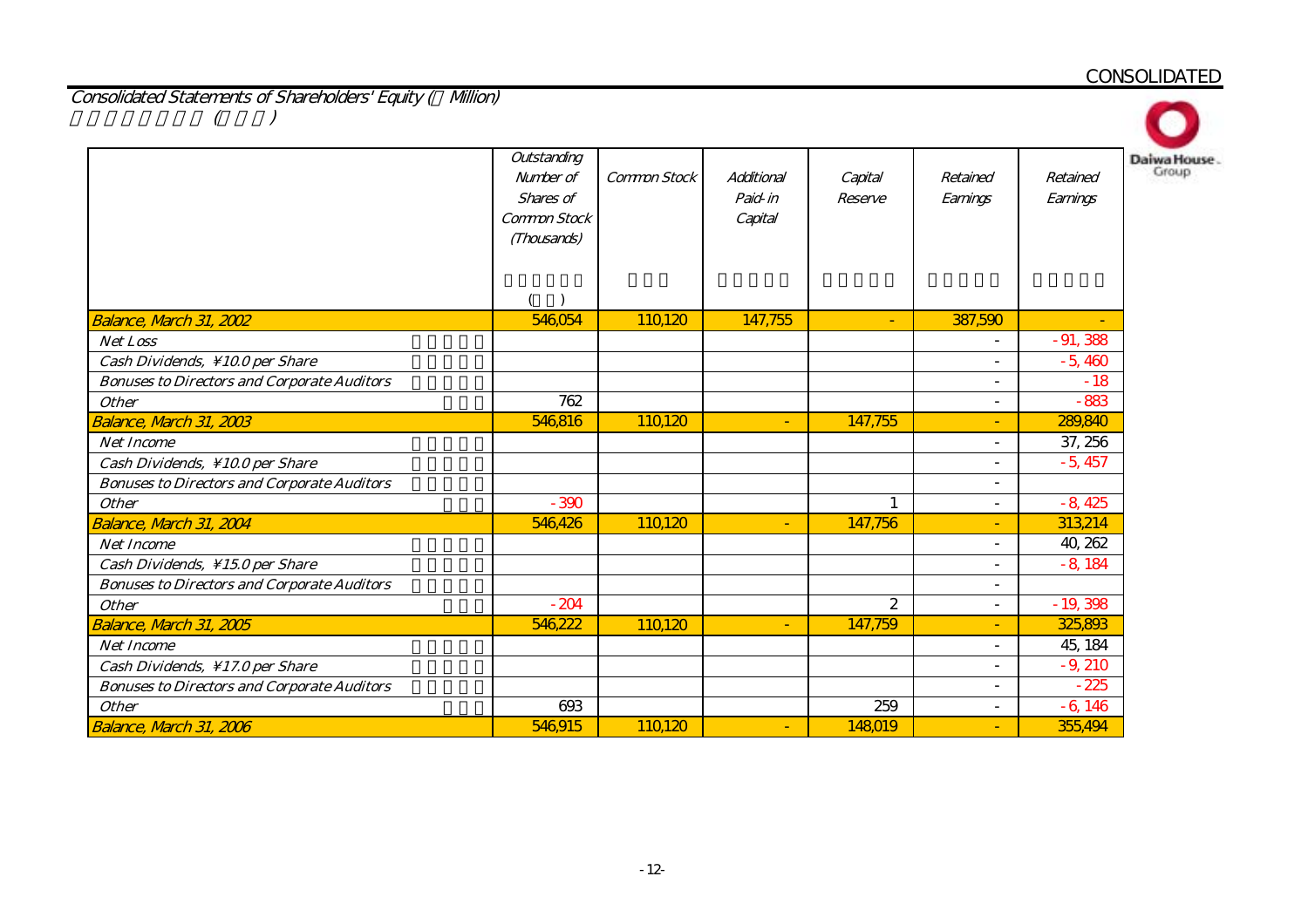Consolidated Statements of Shareholders' Equity ( Million)  $($ 

| Balance, March 31, 2002                            | Outstanding<br>Number of<br>Shares of<br>Common Stock<br>(Thousands)<br>546,054 | Common Stock<br>110120 | Additional<br>Paid-in<br>Capital<br>147,755 | Capital<br>Reserve<br>٠ | Retained<br>Earnings<br>387,590 | Da<br>Retained<br>Earnings |
|----------------------------------------------------|---------------------------------------------------------------------------------|------------------------|---------------------------------------------|-------------------------|---------------------------------|----------------------------|
| <b>Net Loss</b>                                    |                                                                                 |                        |                                             |                         | $\blacksquare$                  | $-91,388$                  |
| Cash Dividends, \10.0 per Share                    |                                                                                 |                        |                                             |                         | $\overline{\phantom{a}}$        | $-5,460$                   |
| <b>Bonuses to Directors and Corporate Auditors</b> |                                                                                 |                        |                                             |                         | $\overline{\phantom{a}}$        | $-18$                      |
| <b>Other</b>                                       | 762                                                                             |                        |                                             |                         | $\overline{\phantom{a}}$        | $-883$                     |
| Balance, March 31, 2003                            | 546,816                                                                         | 110120                 | ٠                                           | 147,755                 | ٠                               | 289,840                    |
| <b>Net Income</b>                                  |                                                                                 |                        |                                             |                         | $\overline{\phantom{a}}$        | 37, 256                    |
| Cash Dividends, \10.0 per Share                    |                                                                                 |                        |                                             |                         | $\sim$                          | $-5,457$                   |
| <b>Bonuses to Directors and Corporate Auditors</b> |                                                                                 |                        |                                             |                         | $\sim$                          |                            |
| <b>Other</b>                                       | $-390$                                                                          |                        |                                             | $\mathbf{1}$            | $\sim$                          | $-8,425$                   |
| Balance, March 31, 2004                            | 546,426                                                                         | 110120                 | ٠                                           | 147,756                 | $\blacksquare$                  | 313,214                    |
| <b>Net Income</b>                                  |                                                                                 |                        |                                             |                         | $\sim$                          | 40, 262                    |
| Cash Dividends, \15.0 per Share                    |                                                                                 |                        |                                             |                         | $\overline{\phantom{a}}$        | $-8,184$                   |
| <b>Bonuses to Directors and Corporate Auditors</b> |                                                                                 |                        |                                             |                         | $\overline{\phantom{a}}$        |                            |
| <b>Other</b>                                       | $-204$                                                                          |                        |                                             | 2                       | $\overline{\phantom{a}}$        | $-19,398$                  |
| Balance, March 31, 2005                            | 546,222                                                                         | 110,120                | $\overline{\phantom{0}}$                    | 147,759                 | $\sim$                          | 325,893                    |
| <b>Net Income</b>                                  |                                                                                 |                        |                                             |                         | $\overline{\phantom{a}}$        | 45, 184                    |
| Cash Dividends, \17.0 per Share                    |                                                                                 |                        |                                             |                         | $\overline{\phantom{a}}$        | $-9,210$                   |
| <b>Bonuses to Directors and Corporate Auditors</b> |                                                                                 |                        |                                             |                         | $\overline{\phantom{a}}$        | $-225$                     |
| <b>Other</b>                                       | 693                                                                             |                        |                                             | 259                     | $\overline{\phantom{a}}$        | $-6,146$                   |
| Balance, March 31, 2006                            | 546,915                                                                         | 110,120                | ٠                                           | 148019                  | $\sim$                          | 355,494                    |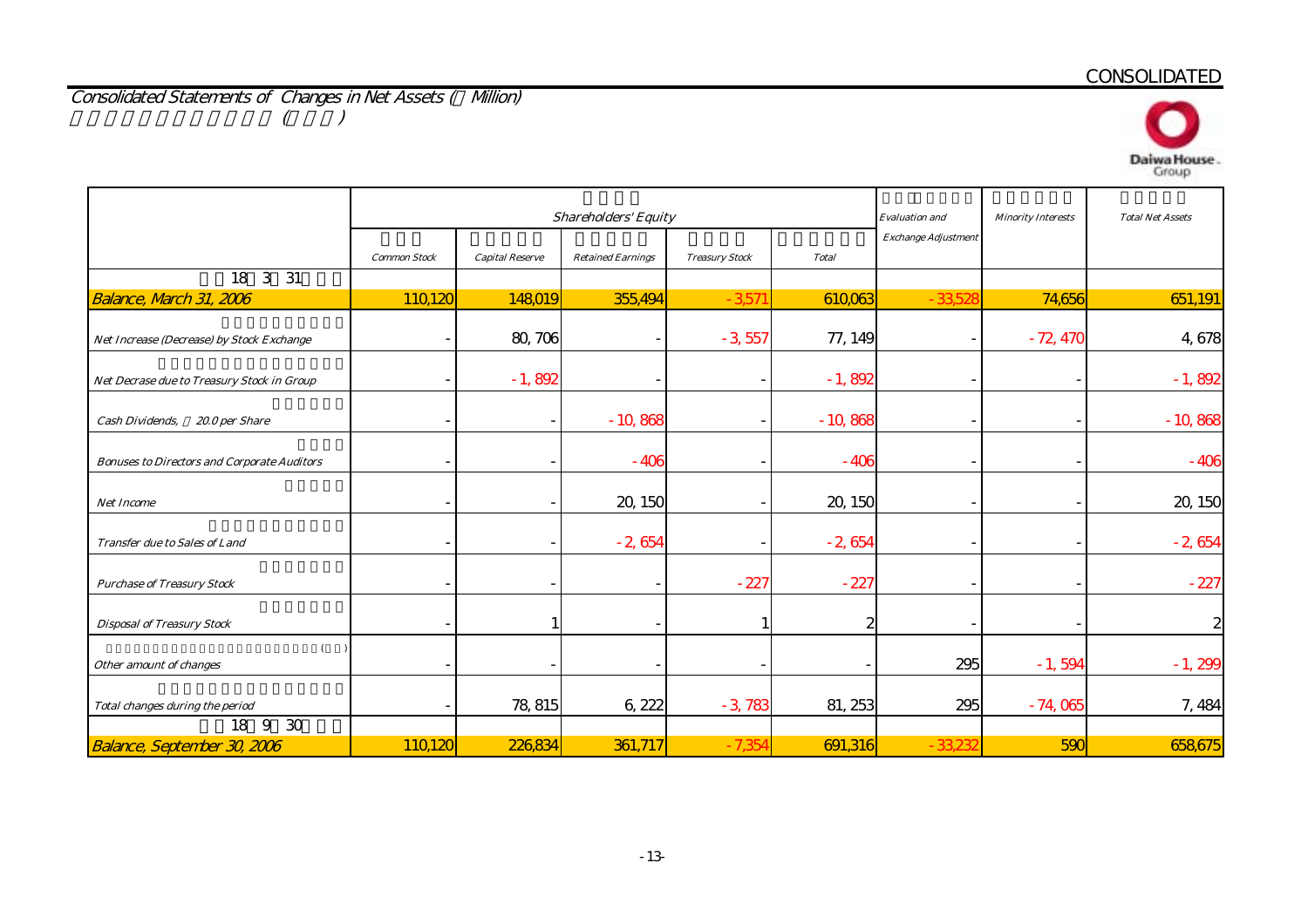Consolidated Statements of Changes in Net Assets ( Million)  $($   $)$ 



|                                                    |                     |                        | <b>Shareholders' Equity</b> |                       | <b>Evaluation</b> and | <b>Minority Interests</b>  | <b>Total Net Assets</b> |              |
|----------------------------------------------------|---------------------|------------------------|-----------------------------|-----------------------|-----------------------|----------------------------|-------------------------|--------------|
|                                                    | <b>Common Stock</b> | <b>Capital Reserve</b> | <b>Retained Earnings</b>    | <b>Treasury Stock</b> | <b>Total</b>          | <b>Exchange Adjustment</b> |                         |              |
| 18    3    31                                      |                     |                        |                             |                       |                       |                            |                         |              |
| Balance, March 31, 2006                            | 110,120             | 148019                 | 355,494                     | $-3571$               | 610,063               | $-33,52$                   | 74,656                  | 651,191      |
| Net Increase (Decrease) by Stock Exchange          |                     | 80, 706                |                             | $-3,557$              | 77, 149               |                            | $-72,470$               | 4,678        |
| Net Decrase due to Treasury Stock in Group         |                     | $-1,892$               |                             |                       | $-1,892$              |                            |                         | $-1,892$     |
| Cash Dividends,<br>20.0 per Share                  |                     |                        | $-10,868$                   |                       | $-10,868$             |                            |                         | $-10,868$    |
| <b>Bonuses to Directors and Corporate Auditors</b> |                     |                        | $-406$                      |                       | $-406$                |                            |                         | $-406$       |
| Net Income                                         |                     |                        | 20, 150                     |                       | 20, 150               |                            |                         | 20, 150      |
| Transfer due to Sales of Land                      |                     |                        | $-2,654$                    |                       | $-2,654$              |                            |                         | $-2,654$     |
| <b>Purchase of Treasury Stock</b>                  |                     |                        |                             | $-227$                | $-227$                |                            |                         | $-227$       |
| <b>Disposal of Treasury Stock</b>                  |                     |                        |                             |                       | 2                     |                            |                         | $\mathbf{z}$ |
| $\overline{(}$<br>Other amount of changes          |                     |                        |                             |                       |                       | 295                        | $-1,594$                | $-1,299$     |
| Total changes during the period                    |                     | 78, 815                | 6, 222                      | $-3,783$              | 81, 253               | 295                        | $-74,065$               | 7,484        |
| 30<br>18 9                                         |                     |                        |                             |                       |                       |                            |                         |              |
| <b>Balance, September 30, 2006</b>                 | 110,120             | 226,834                | 361,717                     | $-7,354$              | 691,316               | $-33,23$                   | 590                     | 658,675      |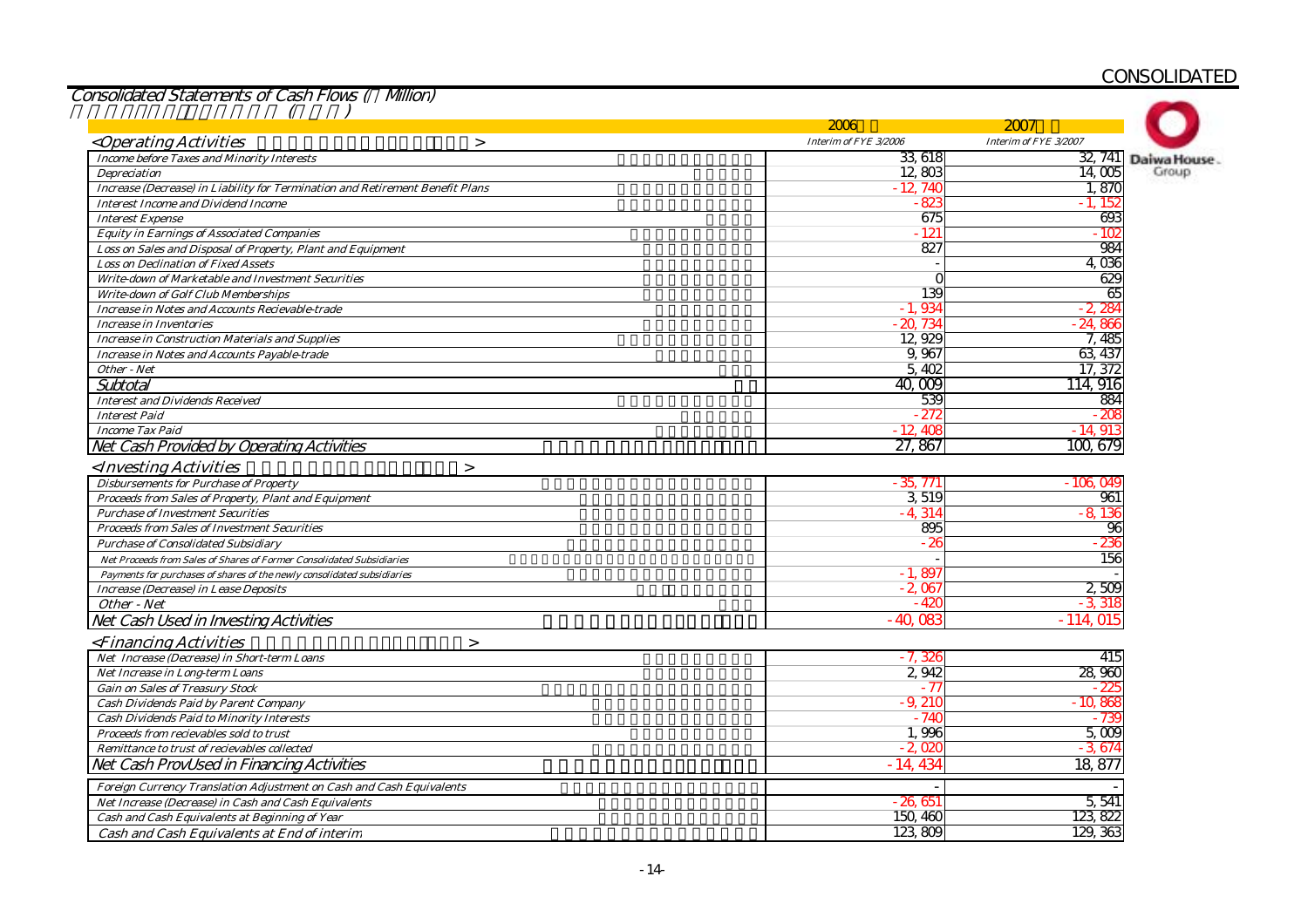|                                                                               | 2006                  | 2007                  |             |
|-------------------------------------------------------------------------------|-----------------------|-----------------------|-------------|
| <operating activities<br=""><math>\geq</math></operating>                     | Interim of FYE 3/2006 | Interim of FYE 3/2007 |             |
| <b>Income before Taxes and Minority Interests</b>                             | 33 618                | 32, 741               | Daiwa House |
| <b>Depreciation</b>                                                           | 12,803                | 14.005                | Group       |
| Increase (Decrease) in Liability for Termination and Retirement Benefit Plans | $-12,740$             | 1.870                 |             |
| <b>Interest Income and Dividend Income</b>                                    | - 823                 | $-1.152$              |             |
| <b>Interest Expense</b>                                                       | 675                   | 693                   |             |
| <b>Equity in Earnings of Associated Companies</b>                             | - 121                 | $-102$                |             |
| Loss on Sales and Disposal of Property, Plant and Equipment                   | 827                   | 984                   |             |
| <b>Loss on Declination of Fixed Assets</b>                                    |                       | 4.036                 |             |
| Write-down of Marketable and Investment Securities                            |                       | 629                   |             |
| <b>Write-down of Golf Club Memberships</b>                                    | 139                   | 65                    |             |
| <b>Increase in Notes and Accounts Recievable-trade</b>                        | $-1,934$              | - 2, 284              |             |
| <b>Increase in Inventories</b>                                                | $-20,734$             | $-24,866$             |             |
| <b>Increase in Construction Materials and Supplies</b>                        | 12,929                | 7,485                 |             |
| <b>Increase in Notes and Accounts Payable-trade</b>                           | 9,967                 | 63 437                |             |
| Other - Net                                                                   | 5,402                 | 17, 372               |             |
| Subtotal                                                                      | 40,009                | 114, 916              |             |
| <b>Interest and Dividends Received</b>                                        | 539                   | 884                   |             |
| <b>Interest Paid</b>                                                          | - 272                 | $-200$                |             |
| <b>Income Tax Paid</b>                                                        | $-12.408$             | - 14, 913             |             |
| Net Cash Provided by Operating Activities                                     | 27,867                | 100, 679              |             |
| <investing activities<br=""><math>\geq</math></investing>                     |                       |                       |             |
| <b>Disbursements for Purchase of Property</b>                                 | $-35,771$             | - 106.049             |             |
| Proceeds from Sales of Property, Plant and Equipment                          | 3,519                 | 961                   |             |
| <b>Purchase of Investment Securities</b>                                      | $-4,314$              | $-8.136$              |             |
| <b>Proceeds from Sales of Investment Securities</b>                           | 895                   | 96                    |             |
| <b>Purchase of Consolidated Subsidiary</b>                                    | - 26                  | 236                   |             |
| Net Proceeds from Sales of Shares of Former Consolidated Subsidiaries         |                       | 156                   |             |
| Payments for purchases of shares of the newly consolidated subsidiaries       | $-1,897$              |                       |             |
| Increase (Decrease) in Lease Deposits                                         | $-2,067$              | 2,509                 |             |
| Other - Net                                                                   | $-420$                | - 3. 31:              |             |
| Net Cash Used in Investing Activities                                         | $-40.08$              | $-114,015$            |             |
| <financing activities<br=""><math>\geq</math></financing>                     |                       |                       |             |
| Net Increase (Decrease) in Short-term Loans                                   | $-7,326$              | 415                   |             |
| Net Increase in Long-term Loans                                               | 2,942                 | 28,960                |             |
| <b>Gain on Sales of Treasury Stock</b>                                        | $-77$                 | 22                    |             |
| Cash Dividends Paid by Parent Company                                         | $-9,210$              | $-10,868$             |             |
| <b>Cash Dividends Paid to Minority Interests</b>                              | - 740                 | - 739                 |             |
| Proceeds from recievables sold to trust                                       | 1,996                 | 5,009                 |             |
| Remittance to trust of recievables collected                                  | $-2.020$              | $-3.67$               |             |
| Net Cash ProvUsed in Financing Activities                                     | $-14,434$             | 18,877                |             |
| Foreign Currency Translation Adjustment on Cash and Cash Equivalents          |                       |                       |             |
| Net Increase (Decrease) in Cash and Cash Equivalents                          | $-26.651$             | 5,541                 |             |
| Cash and Cash Equivalents at Beginning of Year                                | 150, 460              | 123, 822              |             |
| Cash and Cash Equivalents at End of interim                                   | 123,809               | 129, 363              |             |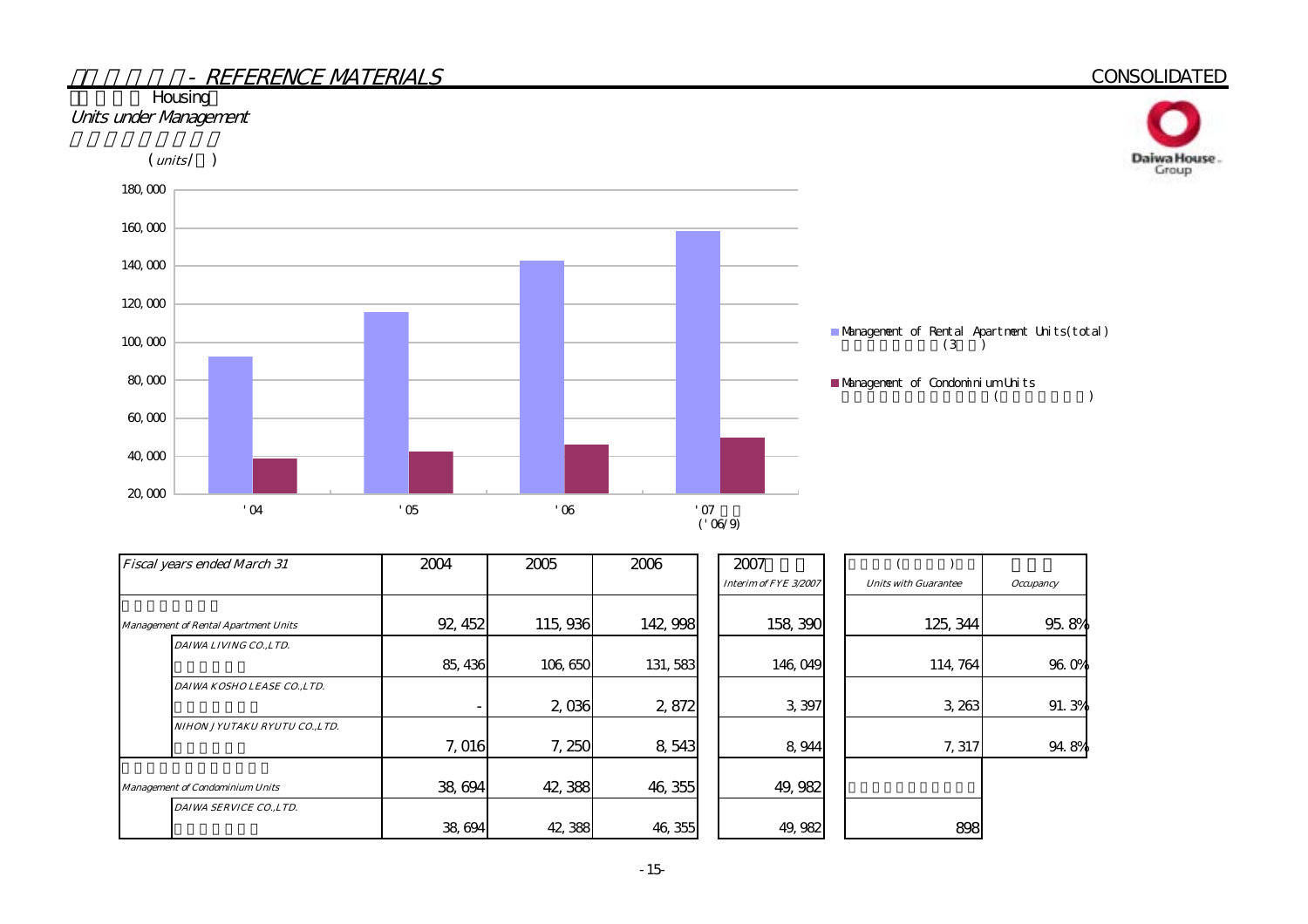# - REFERENCE MATERIALS**CONSOLIDATED Housing** Units under Management  $(mits / )$ Daiwa House.<br>Group 180,000 160,000 140,000 120,000 Management of Rental Apartment Units(total) 100,000  $(3)$ 80,000 Management of Condominium Units

('06/9)

 $($ 

| Fiscal years ended March 31            | 2004    | 2005    | 2006     | 2007                  |                             |                    |
|----------------------------------------|---------|---------|----------|-----------------------|-----------------------------|--------------------|
|                                        |         |         |          | Interim of FYE 3/2007 | <b>Units with Guarantee</b> | <b>Occupancy</b>   |
| Management of Rental Apartment Units   | 92, 452 | 115,936 | 142, 998 | 158, 390              | 125, 344                    | 95.8%              |
| DAIWA LIVING CO.,LTD.                  |         |         |          |                       |                             |                    |
|                                        | 85, 436 | 106,650 | 131, 583 | 146,049               | 114, 764                    | 96. O <sub>%</sub> |
| DAIWA KOSHO LEASE CO.,LTD.             |         |         |          |                       |                             |                    |
|                                        |         | 2,036   | 2,872    | 3,397                 | 3, 263                      | 91.3%              |
| NIHON JYUTAKU RYUTU CO.,LTD.           |         |         |          |                       |                             |                    |
|                                        | 7,016   | 7,250   | 8,543    | 8,944                 | 7, 317                      | 94.8%              |
| <b>Management of Condominium Units</b> | 38,694  | 42,388  | 46, 355  | 49, 982               |                             |                    |
| DAIWA SERVICE CO., LTD.                | 38,694  | 42,388  | 46, 355  | 49, 982               | 898                         |                    |

 $'04$   $'05$   $'06$   $'07$ 

20,000

40,000

60,000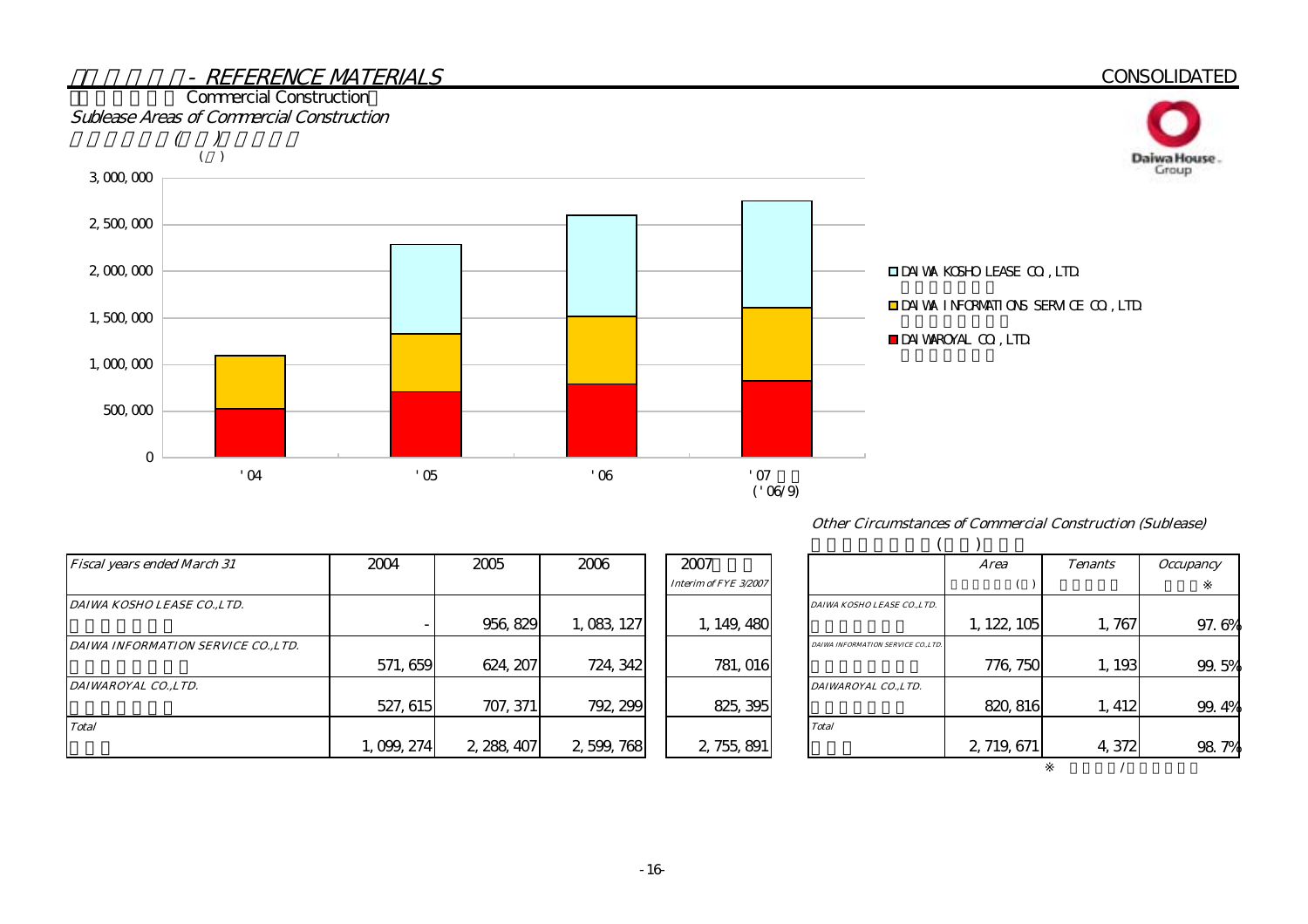

#### Other Circumstances of Commercial Construction (Sublease)

| <b>Fiscal years ended March 31</b>  | 2004      | 2005        | 2006        | 2007                  |                                     | <i>Area</i> | <b>Tenants</b> | <i><b>Occupancy</b></i> |
|-------------------------------------|-----------|-------------|-------------|-----------------------|-------------------------------------|-------------|----------------|-------------------------|
|                                     |           |             |             | Interim of FYE 3/2007 |                                     |             |                |                         |
| DAIWA KOSHO LEASE COLTD.            |           |             |             |                       | DAIWA KOSHO LEASE COLTD.            |             |                |                         |
|                                     |           | 956, 829    | 1,083,127   | 1, 149, 480           |                                     | 1, 122, 105 | 1,767          | 97.                     |
| DAIWA INFORMATION SERVICE CO., LTD. |           |             |             |                       | DAIWA INFORMATION SERVICE CO., LTD. |             |                |                         |
|                                     | 571, 659  | 624, 207    | 724, 342    | 781, 016              |                                     | 776, 750    | 1, 193         | 99.                     |
| DAIWAROYAL CO., LTD.                |           |             |             |                       | DAIWAROYAL COLTD.                   |             |                |                         |
|                                     | 527, 615  | 707, 371    | 792, 299    | 825, 395              |                                     | 820, 816    | 1, 412         | 99.                     |
| <b>Total</b>                        |           |             |             |                       | <b>Total</b>                        |             |                |                         |
|                                     | 1,099,274 | 2, 288, 407 | 2, 599, 768 | 2, 755, 891           |                                     | 2, 719, 671 | 4,372          | 98                      |

|                                     | <b>Area</b> | <b>Tenants</b> | <i><b>Occupancy</b></i> |
|-------------------------------------|-------------|----------------|-------------------------|
|                                     |             |                |                         |
| DAIWA KOSHO LEASE CO.,LTD.          |             |                |                         |
|                                     | 1, 122, 105 | 1,767          | 97.6%                   |
| DAIWA INFORMATION SERVICE CO., LTD. |             |                |                         |
|                                     | 776, 750    | 1,193          | 99.5%                   |
| DAIWAROYAL CO.,LTD.                 |             |                |                         |
|                                     | 820, 816    | 1, 412         | 99.4%                   |
| <b>Total</b>                        |             |                |                         |
|                                     | 2, 719, 671 | 4,372          | 98.<br>7%               |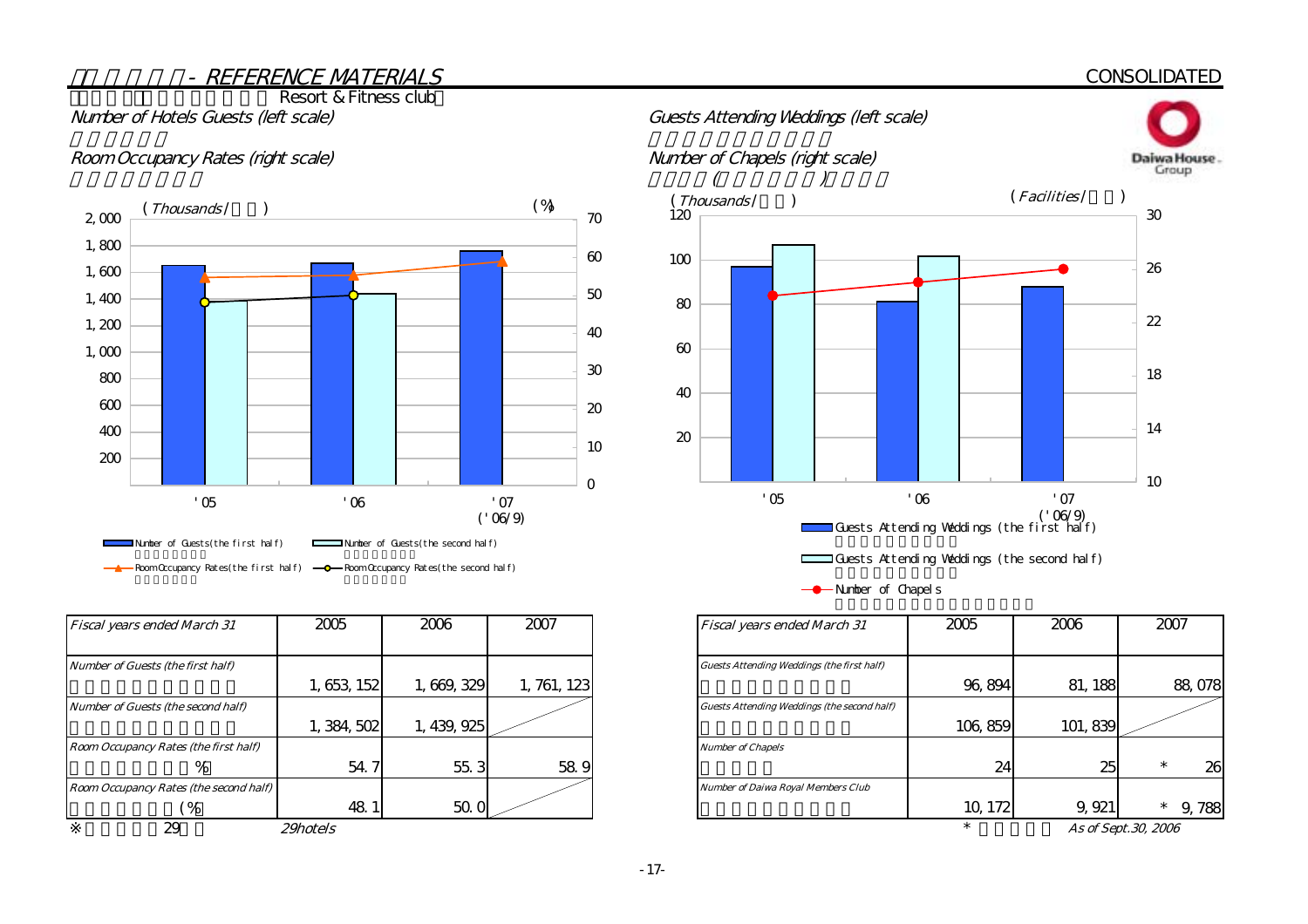# **CONSOLIDATED**

Resort & Fitness club

# Room Occupancy Rates (right scale) Number of Chapels (right scale)



| <b>Fiscal years ended March 31</b>     | 2005            | 2006        | 2007        | Fiscal years ended March 31                        |
|----------------------------------------|-----------------|-------------|-------------|----------------------------------------------------|
| Number of Guests (the first half)      |                 |             |             | Guests Attending Weddings (the first half)         |
|                                        | 1, 653, 152     | 1,669,329   | 1, 761, 123 |                                                    |
| Number of Guests (the second half)     |                 |             |             | <b>Guests Attending Weddings (the second half)</b> |
|                                        | 1, 384, 502     | 1, 439, 925 |             |                                                    |
| Room Occupancy Rates (the first half)  |                 |             |             | <b>Number of Chapels</b>                           |
| %                                      | 54.7            | 55.3        | 58.9        |                                                    |
| Room Occupancy Rates (the second half) |                 |             |             | <b>Number of Daiwa Royal Members Club</b>          |
| $\frac{9}{6}$                          | 48.             | 50.0        |             |                                                    |
| 29                                     | <i>29hotels</i> |             |             |                                                    |



-**-**Number of Chapels

| Fiscal years ended March 31            | 2005            | 2006      | 2007        | <b>Fiscal years ended March 31</b>                 | 2005    | 2006     | 2007                                       |
|----------------------------------------|-----------------|-----------|-------------|----------------------------------------------------|---------|----------|--------------------------------------------|
|                                        |                 |           |             |                                                    |         |          |                                            |
| Number of Guests (the first half)      |                 |           |             | <b>Guests Attending Weddings (the first half)</b>  |         |          |                                            |
|                                        | 1, 653, 152     | 1,669,329 | 1, 761, 123 |                                                    | 96, 894 | 81, 188  | 88,078                                     |
| Number of Guests (the second half)     |                 |           |             | <b>Guests Attending Weddings (the second half)</b> |         |          |                                            |
|                                        | 1, 384, 502     | 439, 925  |             |                                                    | 106,859 | 101, 839 |                                            |
| Room Occupancy Rates (the first half)  |                 |           |             | <b>Number of Chapels</b>                           |         |          |                                            |
| %                                      | 54.7            | 55.3      | 58.9        |                                                    | 24      | 25       | 26                                         |
| Room Occupancy Rates (the second half) |                 |           |             | <b>Number of Daiwa Royal Members Club</b>          |         |          |                                            |
| $\frac{9}{6}$                          | 48.1            | 50. O     |             |                                                    | 10, 172 | 9, 921   | 9,788<br>$\ast$                            |
| $\sim$                                 | $0.01 \times 1$ |           |             |                                                    |         |          | $\ell$ $\alpha$ $\alpha$ $\alpha$ $\alpha$ |

As of Sept.30, 2006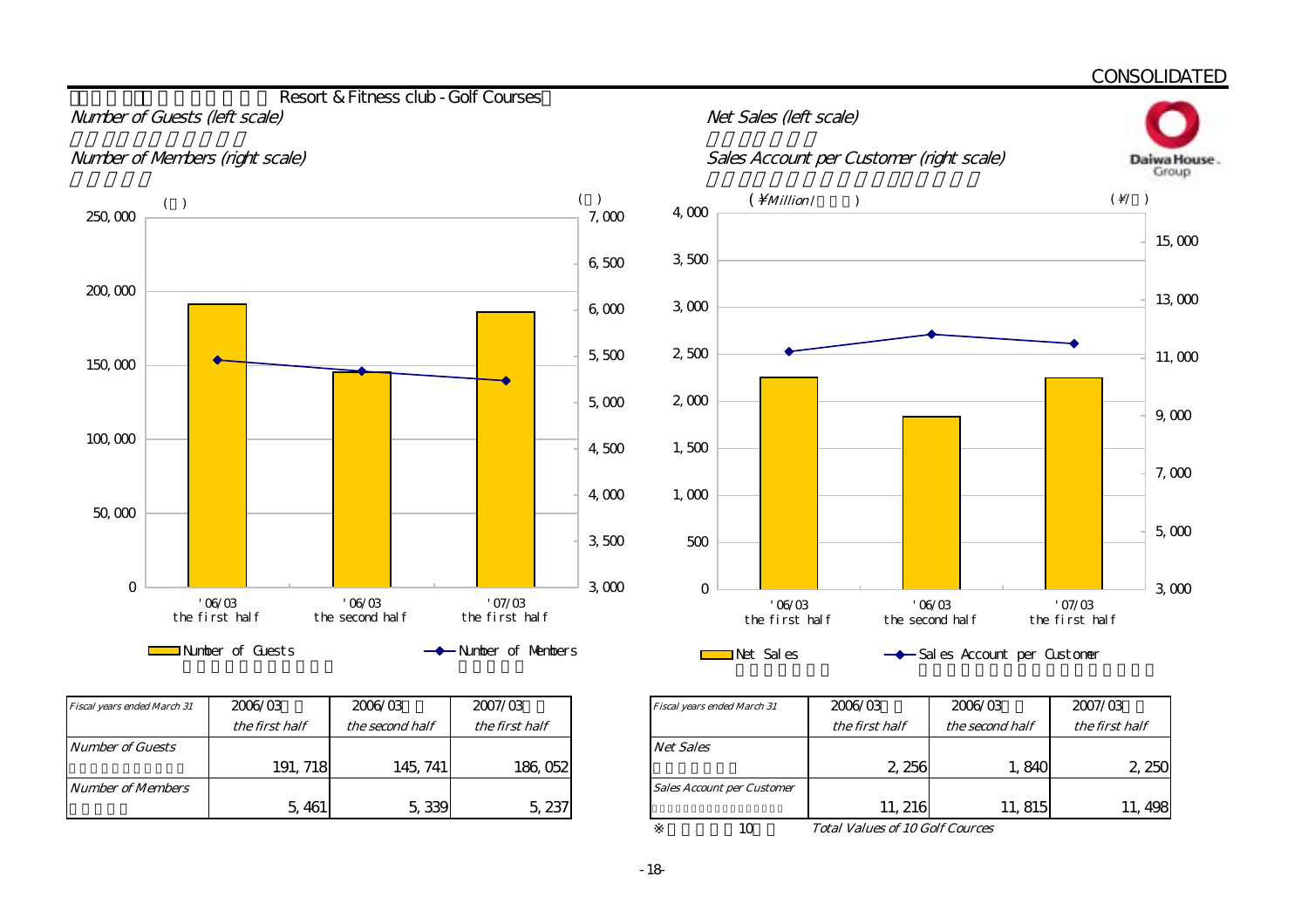

|             | Sales Account per Customer (right scale)<br>Daiwa House. |                                      |                          |        |  |  |  |  |  |
|-------------|----------------------------------------------------------|--------------------------------------|--------------------------|--------|--|--|--|--|--|
| 4,000       | $( \n\hbox{\texttt{Million}}/$<br>$\lambda$              |                                      | $(\sqrt{2})$             |        |  |  |  |  |  |
| 3,500       |                                                          |                                      |                          | 15,000 |  |  |  |  |  |
| 3000        |                                                          |                                      |                          | 13,000 |  |  |  |  |  |
| 2,500       |                                                          |                                      |                          | 11,000 |  |  |  |  |  |
| 2,000       |                                                          |                                      |                          | 9,000  |  |  |  |  |  |
| 1,500       |                                                          |                                      |                          |        |  |  |  |  |  |
| 1,000       |                                                          |                                      |                          | 7,000  |  |  |  |  |  |
| 500         |                                                          |                                      |                          | 5,000  |  |  |  |  |  |
| $\mathbf 0$ |                                                          |                                      |                          | 3000   |  |  |  |  |  |
|             | 06/03<br>the first half                                  | $^{\prime}$ 06/03<br>the second half | '07/03<br>the first half |        |  |  |  |  |  |
|             | Net Sales                                                | -Sal es Account per Custoner         |                          |        |  |  |  |  |  |

| Fiscal years ended March 31 | 2006/03        | 2006/03         | 2007/03        | Fiscal years ended March 31       | 2006/03        | 2006/03         | 2007/03        |
|-----------------------------|----------------|-----------------|----------------|-----------------------------------|----------------|-----------------|----------------|
|                             | the first half | the second half | the first half |                                   | the first half | the second half | the first half |
| Number of Guests            |                |                 |                | <b>Net Sales</b>                  |                |                 |                |
|                             | 191, 718       | 145, 741        | 186, 052       |                                   | 2, 256         | 1,840           | 2 <sub>i</sub> |
| <i>Number of Members</i>    |                |                 |                | <b>Sales Account per Customer</b> |                |                 |                |
|                             | 5, 461         | 5,339           | 5,237          |                                   | 11, 216        | 11, 815         | 11, 4          |

 Net Sales Sales Account per Customer  $10<sub>10</sub>$  $the first half$  the second half the first half 5,461 5,339 5,237 11,216 11,815 11,498 191, 718 145, 741 186, 052 1 2, 250 1, 840 2, 250 2, 250 2, 250

Total Values of 10 Golf Cources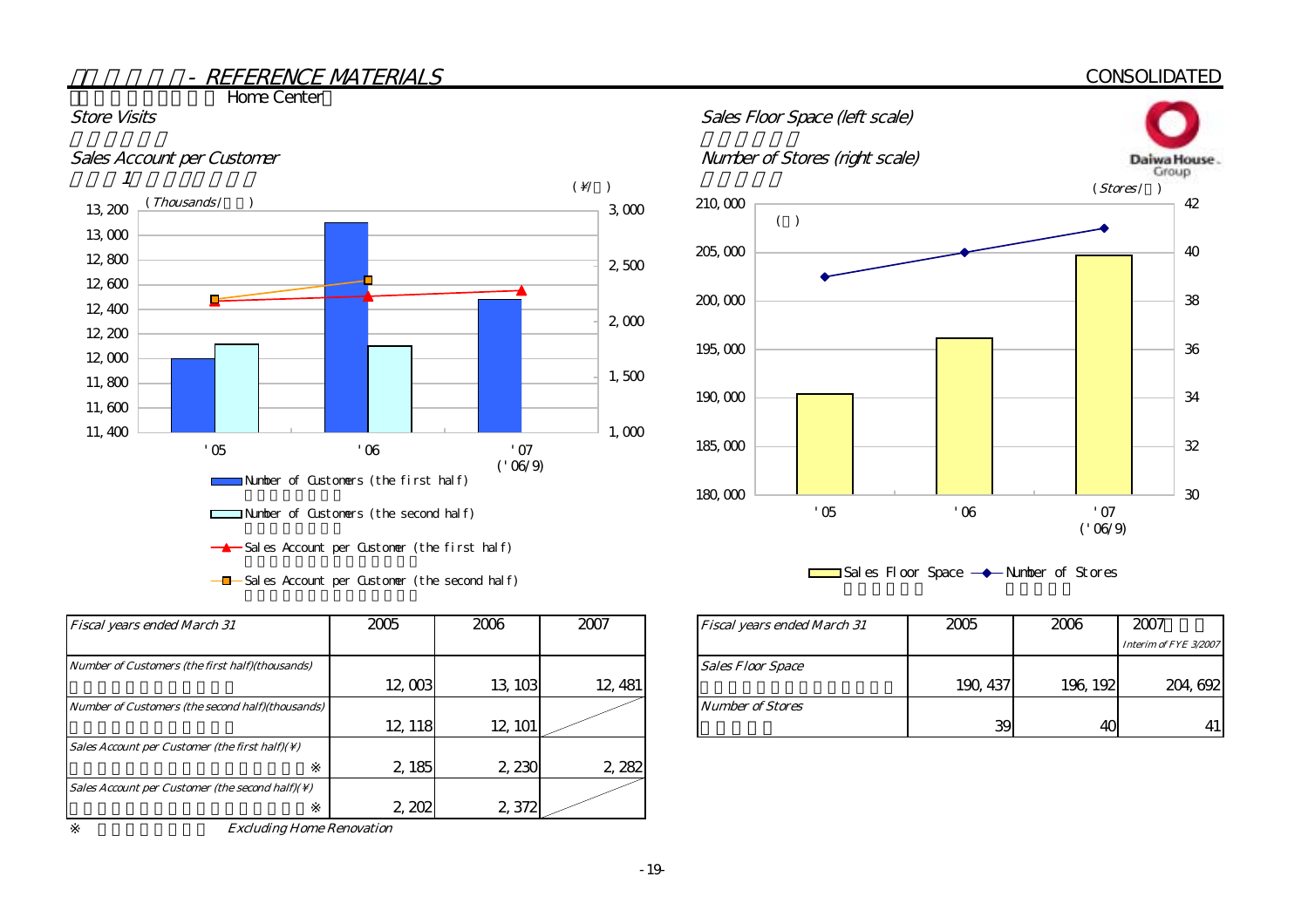# **CONSOLIDATED**

**The Home Center** 





 $-\blacksquare$  Sales Account per Customer (the second half)

| <b>Fiscal years ended March 31</b>                          | 2005    | 2006    | 2007    | Fiscal years ended March 31 |
|-------------------------------------------------------------|---------|---------|---------|-----------------------------|
| Number of Customers (the first half)(thousands)             |         |         |         | <b>Sales Floor Space</b>    |
|                                                             | 12,003  | 13, 103 | 12, 481 |                             |
| Number of Customers (the second half)(thousands)            |         |         |         | <b>Number of Stores</b>     |
|                                                             | 12, 118 | 12, 101 |         |                             |
| Sales Account per Customer (the first half)( $\setminus$ )  |         |         |         |                             |
|                                                             | 2, 185  | 2,230   | 2,282   |                             |
| Sales Account per Customer (the second half)( $\setminus$ ) |         |         |         |                             |
|                                                             | 2,202   | 2,372   |         |                             |

Excluding Home Renovation





| 2005    | 2006    | 2007    | <b>Fiscal years ended March 31</b> | 2005     | 2006     | 2007                  |
|---------|---------|---------|------------------------------------|----------|----------|-----------------------|
|         |         |         |                                    |          |          | Interim of FYE 3/2007 |
|         |         |         | <b>Sales Floor Space</b>           |          |          |                       |
| 12,003  | 13, 103 | 12, 481 |                                    | 190, 437 | 196, 192 | 204, 692              |
|         |         |         | <b>Number of Stores</b>            |          |          |                       |
| 12, 118 | 12, 101 |         |                                    | 39       | 4C       | 41                    |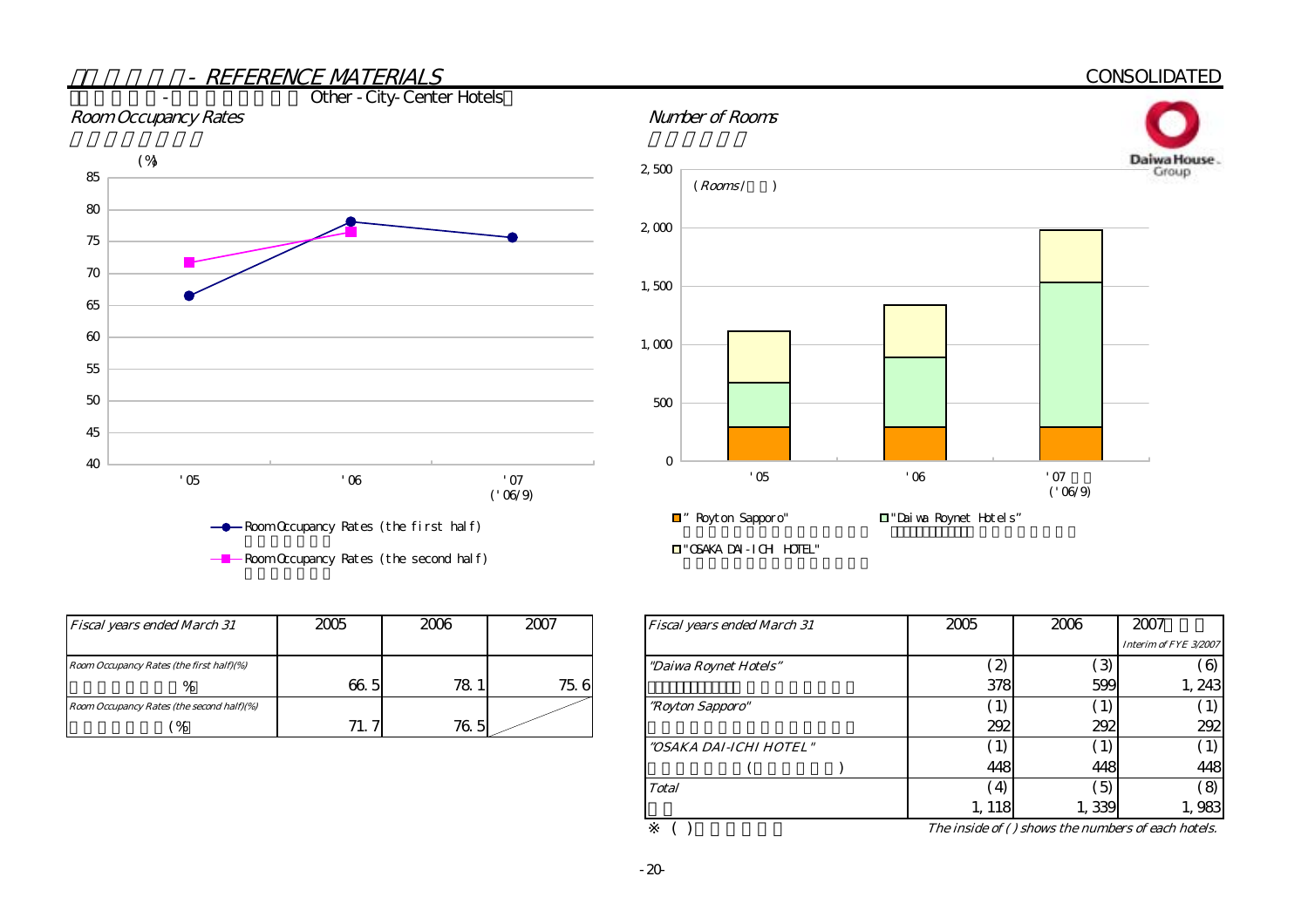

| <b>Fiscal years ended March 31</b>        | 2005     | 2006 | 2007 | Fiscal years ended March 31 |
|-------------------------------------------|----------|------|------|-----------------------------|
| Room Occupancy Rates (the first half)(%)  |          |      |      | "Daiwa Roynet Hotels"       |
| %                                         | 66.5     | 78 1 | 75.6 |                             |
| Room Occupancy Rates (the second half)(%) |          |      |      | <i>"Royton Sapporo"</i>     |
| $\frac{6}{6}$                             | 71.<br>7 | 76.5 |      |                             |

|    | 2006 | 2007 | Fiscal years ended March 31 | 2005              | 2006  | 2007                  |
|----|------|------|-----------------------------|-------------------|-------|-----------------------|
|    |      |      |                             |                   |       | Interim of FYE 3/2007 |
|    |      |      | "Daiwa Roynet Hotels"       | $\hat{z}$         | 3     | 6                     |
| 51 | 78.1 | 75.6 |                             | 378               | 599   | 1,243                 |
|    |      |      | "Royton Sapporo"            | $\left( 1\right)$ | 1)    |                       |
| ⇁  | 76.5 |      |                             | 292               | 292   | 292                   |
|    |      |      | "OSAKA DAI-ICHI HOTEL"      | $\left(1\right)$  | 1)    |                       |
|    |      |      |                             | 448               | 448   | 448                   |
|    |      |      | <b>Total</b>                | $\left( 4\right)$ | 5)    | $\mathcal{S}$         |
|    |      |      |                             | 1, 118            | 1,339 | 1,983                 |

( $)$  The inside of ( ) shows the numbers of each hotels.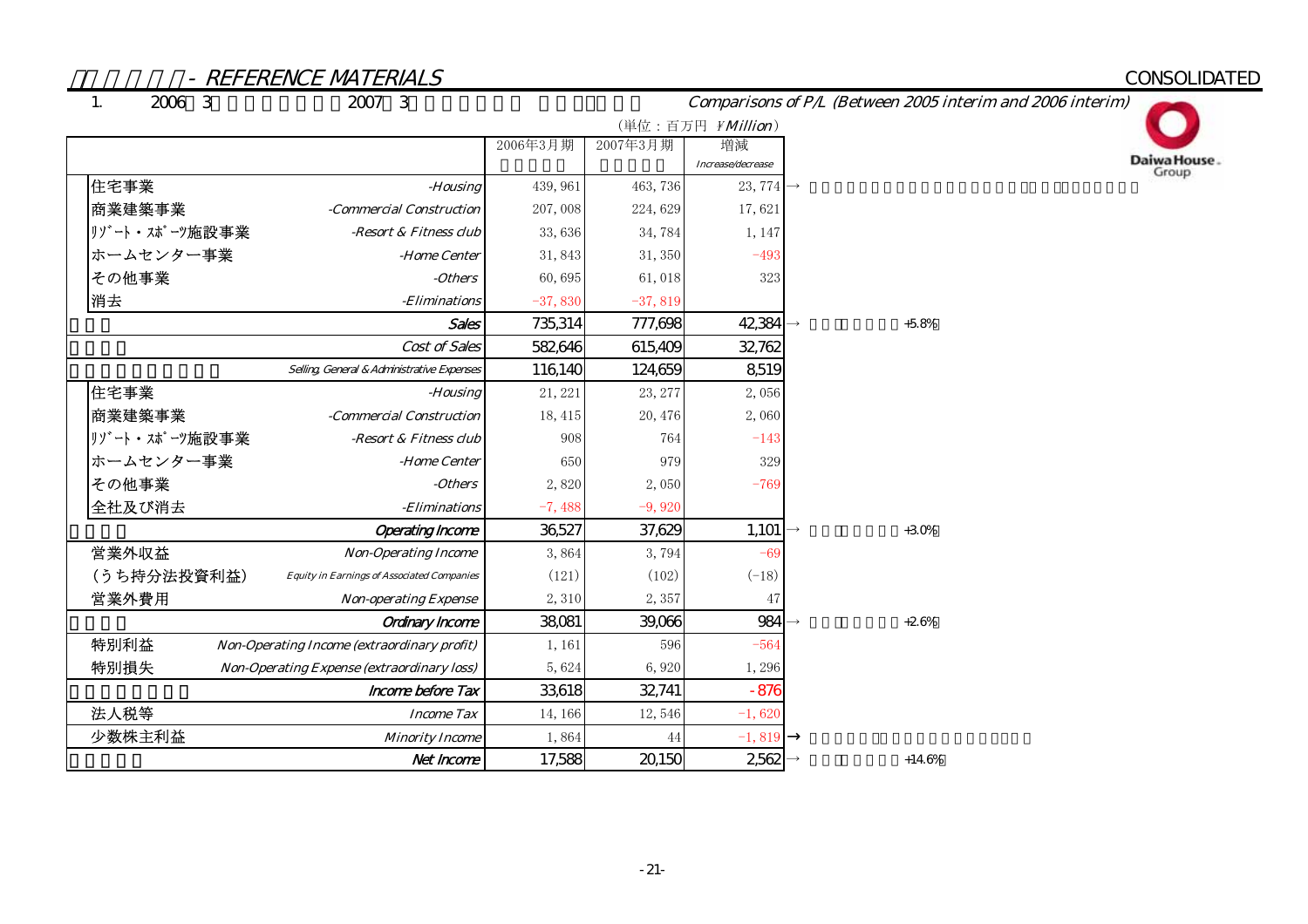# CONSOLIDATED

1.

# Comparisons of P/L (Between 2005 interim and 2006 interim)

![](_page_23_Picture_5.jpeg)

|               |                                                   |           |           | (単位:百万円 ¥Million)                          |          |
|---------------|---------------------------------------------------|-----------|-----------|--------------------------------------------|----------|
|               |                                                   | 2006年3月期  | 2007年3月期  | 増減                                         |          |
| 住宅事業          | -Housing                                          | 439, 961  | 463, 736  | Increase/decrease<br>23, 774 $\rightarrow$ |          |
| 商業建築事業        | -Commercial Construction                          | 207,008   | 224,629   | 17,621                                     |          |
| リゾート・スポーツ施設事業 | -Resort & Fitness club                            | 33,636    | 34,784    | 1, 147                                     |          |
| ホームセンター事業     | -Home Center                                      | 31,843    | 31, 350   | $-493$                                     |          |
| その他事業         | -Others                                           | 60,695    | 61,018    | 323                                        |          |
| 消去            | -Eliminations                                     | $-37,830$ | $-37,819$ |                                            |          |
|               | <b>Sales</b>                                      | 735,314   | 777,698   | 42,384                                     | $+5.8%$  |
|               | Cost of Sales                                     | 582,646   | 615,409   | 32,762                                     |          |
|               | Selling General & Administrative Expenses         | 116,140   | 124,659   | 8,519                                      |          |
| 住宅事業          | -Housing                                          | 21, 221   | 23, 277   | 2,056                                      |          |
| 商業建築事業        | -Commercial Construction                          | 18, 415   | 20, 476   | 2,060                                      |          |
| リゾート・スポーツ施設事業 | -Resort & Fitness club                            | 908       | 764       | $-143$                                     |          |
| ホームセンター事業     | -Home Center                                      | 650       | 979       | 329                                        |          |
| その他事業         | -Others                                           | 2,820     | 2,050     | $-769$                                     |          |
| 全社及び消去        | - <i>Eliminations</i>                             | $-7,488$  | $-9,920$  |                                            |          |
|               | <b>Operating Income</b>                           | 36,527    | 37,629    | 1,101                                      | $+30%$   |
| 営業外収益         | <b>Non-Operating Income</b>                       | 3,864     | 3,794     | $-69$                                      |          |
| (うち持分法投資利益)   | <b>Equity in Earnings of Associated Companies</b> | (121)     | (102)     | $(-18)$                                    |          |
| 営業外費用         | <b>Non-operating Expense</b>                      | 2,310     | 2,357     | 47                                         |          |
|               | <b>Ordinary Income</b>                            | 38,081    | 39,066    | 984                                        | $+2.6%$  |
| 特別利益          | Non-Operating Income (extraordinary profit)       | 1, 161    | 596       | $-564$                                     |          |
| 特別損失          | <b>Non-Operating Expense (extraordinary loss)</b> | 5,624     | 6,920     | 1,296                                      |          |
|               | Income before Tax                                 | 33,618    | 32,741    | $-876$                                     |          |
| 法人税等          | <b>Income Tax</b>                                 | 14, 166   | 12,546    | $-1,620$                                   |          |
| 少数株主利益        | <b>Minority Income</b>                            | 1,864     | 44        | $-1,819$                                   |          |
|               | Net Income                                        | 17,588    | 20,150    | 2,562                                      | $+14.6%$ |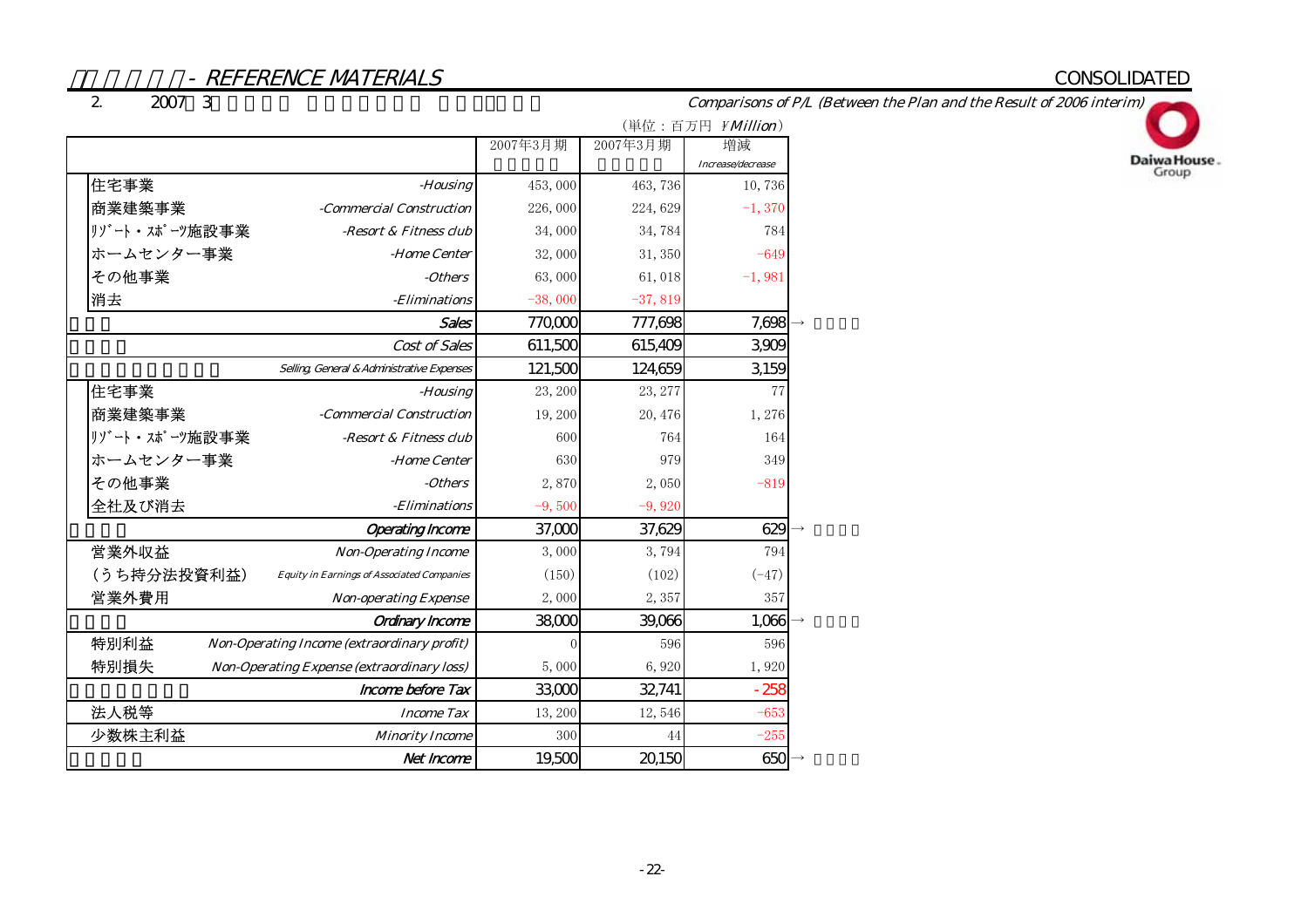# CONSOLIDATED

#### 2. $2007 \quad 3$

Comparisons of P/L (Between the Plan and the Result of 2006 interim)

![](_page_24_Picture_4.jpeg)

|                                                                  |           |           | (単位:百万円 <i>¥Million</i> ) |
|------------------------------------------------------------------|-----------|-----------|---------------------------|
|                                                                  | 2007年3月期  | 2007年3月期  | 増減                        |
|                                                                  |           |           | Increase/decrease         |
| 住宅事業<br>-Housing                                                 | 453,000   | 463,736   | 10,736                    |
| 商業建築事業<br>-Commercial Construction                               | 226,000   | 224,629   | $-1,370$                  |
| リゾート・スポーツ施設事業<br>-Resort & Fitness club                          | 34,000    | 34,784    | 784                       |
| ホームセンター事業<br>-Home Center                                        | 32,000    | 31, 350   | $-649$                    |
| その他事業<br>-Others                                                 | 63,000    | 61,018    | $-1,981$                  |
| 消去<br>- <i>Eliminations</i>                                      | $-38,000$ | $-37,819$ |                           |
| Sales                                                            | 770,000   | 777,698   | 7,698                     |
| Cost of Sales                                                    | 611,500   | 615,409   | 3,909                     |
| Selling, General & Administrative Expenses                       | 121,500   | 124,659   | 3,159                     |
| 住宅事業<br>-Housing                                                 | 23, 200   | 23, 277   | 77                        |
| 商業建築事業<br>-Commercial Construction                               | 19,200    | 20, 476   | 1,276                     |
| リゾート・スポーツ施設事業<br>-Resort & Fitness club                          | 600       | 764       | 164                       |
| ホームセンター事業<br>-Home Center                                        | 630       | 979       | 349                       |
| その他事業<br>-Others                                                 | 2,870     | 2,050     | $-819$                    |
| 全社及び消去<br>- <i>Eliminations</i>                                  | $-9,500$  | $-9,920$  |                           |
| <b>Operating Income</b>                                          | 37,000    | 37,629    | 629                       |
| 営業外収益<br><b>Non-Operating Income</b>                             | 3,000     | 3,794     | 794                       |
| (うち持分法投資利益)<br><b>Equity in Earnings of Associated Companies</b> | (150)     | (102)     | $(-47)$                   |
| 営業外費用<br><b>Non-operating Expense</b>                            | 2,000     | 2,357     | 357                       |
| <b>Ordinary Income</b>                                           | 38,000    | 39,066    | 1,066                     |
| 特別利益<br>Non-Operating Income (extraordinary profit)              | $\theta$  | 596       | 596                       |
| 特別損失<br><b>Non-Operating Expense (extraordinary loss)</b>        | 5,000     | 6,920     | 1,920                     |
| Income before Tax                                                | 33,000    | 32,741    | $-258$                    |
| 法人税等<br><b>Income Tax</b>                                        | 13, 200   | 12,546    | $-653$                    |
| 少数株主利益<br><b>Minority Income</b>                                 | 300       | 44        | $-255$                    |
| Net Income                                                       | 19,500    | 20,150    | 650                       |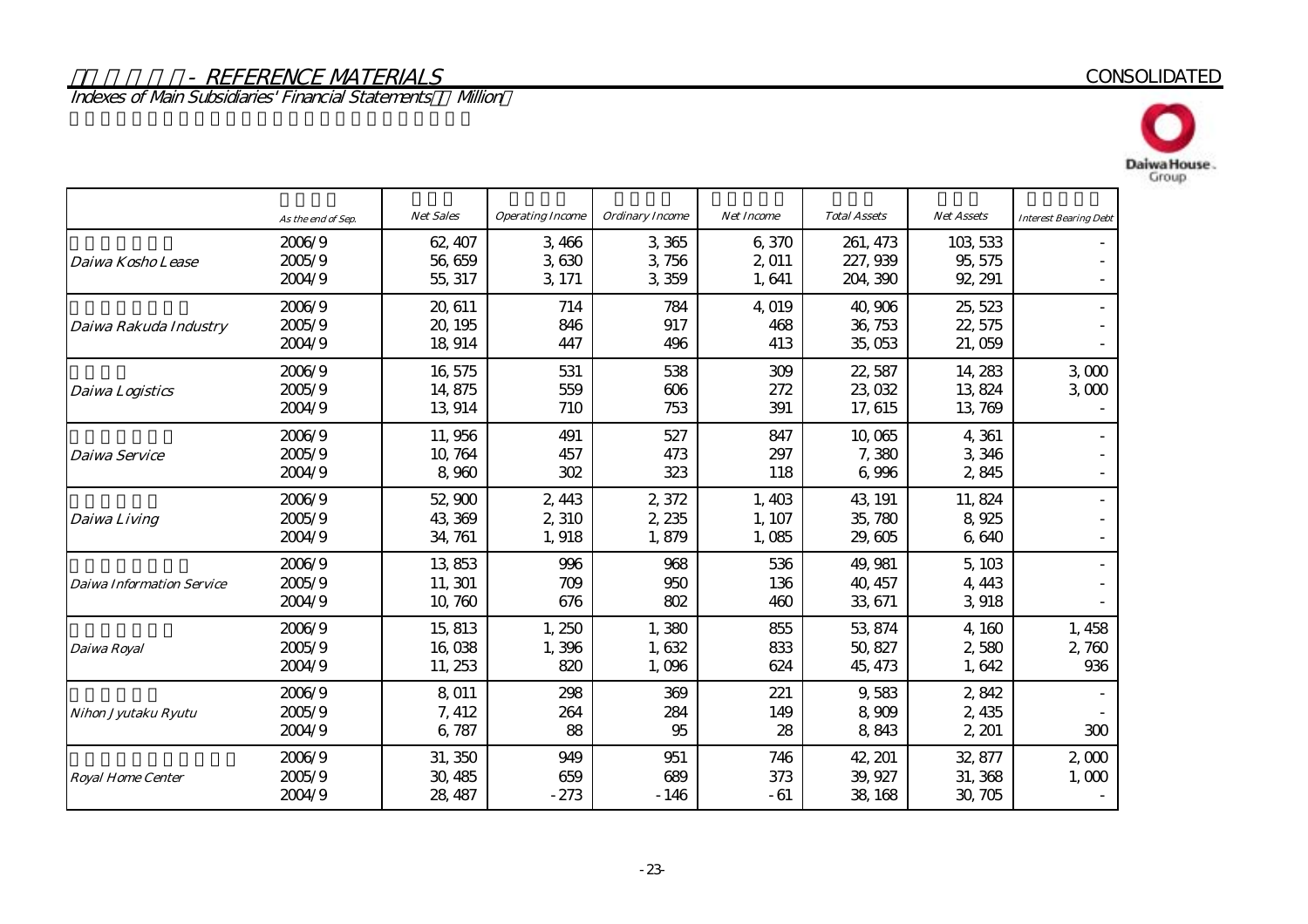Indexes of Main Subsidiaries' Financial Statements – Million

![](_page_25_Picture_2.jpeg)

![](_page_25_Picture_3.jpeg)

|                                  | As the end of Sep.         | Net Sales                     | <b>Operating Income</b>  | Ordinary Income          | <b>Net Income</b>        | <b>Total Assets</b>              | <b>Net Assets</b>              | <b>Interest Bearing Debt</b> |
|----------------------------------|----------------------------|-------------------------------|--------------------------|--------------------------|--------------------------|----------------------------------|--------------------------------|------------------------------|
| Daiwa Kosho Lease                | 2006/9<br>2005/9<br>2004/9 | 62, 407<br>56,659<br>55, 317  | 3,466<br>3,630<br>3, 171 | 3 3 65<br>3,756<br>3,359 | 6,370<br>2,011<br>1,641  | 261, 473<br>227, 939<br>204, 390 | 103, 533<br>95, 575<br>92, 291 |                              |
| Daiwa Rakuda Industry            | 2006/9<br>2005/9<br>2004/9 | 20, 611<br>20, 195<br>18, 914 | 714<br>846<br>447        | 784<br>917<br>496        | 4.019<br>468<br>413      | 40,906<br>36, 753<br>35,053      | 25, 523<br>22, 575<br>21,059   |                              |
| <b>Daiwa Logistics</b>           | 2006/9<br>2005/9<br>2004/9 | 16,575<br>14,875<br>13,914    | 531<br>559<br>710        | 538<br>606<br>753        | 309<br>272<br>391        | 22, 587<br>23,032<br>17, 615     | 14, 283<br>13,824<br>13,769    | 3000<br>3000                 |
| Daiwa Service                    | 2006/9<br>2005/9<br>2004/9 | 11,956<br>10, 764<br>8,960    | 491<br>457<br>302        | 527<br>473<br>323        | 847<br>297<br>118        | 10,065<br>7,380<br>6,996         | 4,361<br>3,346<br>2,845        |                              |
| Daiwa Living                     | 2006/9<br>2005/9<br>2004/9 | 52,900<br>43,369<br>34, 761   | 2,443<br>2,310<br>1,918  | 2,372<br>2, 235<br>1,879 | 1,403<br>1, 107<br>1,085 | 43, 191<br>35,780<br>29,605      | 11,824<br>8,925<br>6,640       |                              |
| <b>Daiwa Information Service</b> | 2006/9<br>2005/9<br>2004/9 | 13,853<br>11, 301<br>10,760   | 996<br>709<br>676        | 968<br>950<br>802        | 536<br>136<br>460        | 49, 981<br>40, 457<br>33, 671    | 5,103<br>4, 443<br>3,918       |                              |
| Daiwa Royal                      | 2006/9<br>2005/9<br>2004/9 | 15, 813<br>16,038<br>11, 253  | 1,250<br>1,396<br>820    | 1,380<br>1,632<br>1,096  | 855<br>833<br>624        | 53, 874<br>50, 827<br>45, 473    | 4,160<br>580<br>2,<br>1,642    | 1,458<br>2,760<br>936        |
| Nihon Jyutaku Ryutu              | 2006/9<br>2005/9<br>2004/9 | 8.011<br>7, 412<br>6,787      | 298<br>264<br>88         | 369<br>284<br>95         | 221<br>149<br>28         | 9,583<br>8 909<br>8,843          | 2,842<br>2,435<br>2, 201       | 300                          |
| <b>Royal Home Center</b>         | 2006/9<br>2005/9<br>2004/9 | 31, 350<br>30, 485<br>28, 487 | 949<br>659<br>$-273$     | 951<br>689<br>$-146$     | 746<br>373<br>$-61$      | 42, 201<br>39, 927<br>38, 168    | 32, 877<br>31, 368<br>30, 705  | 2,000<br>1,000               |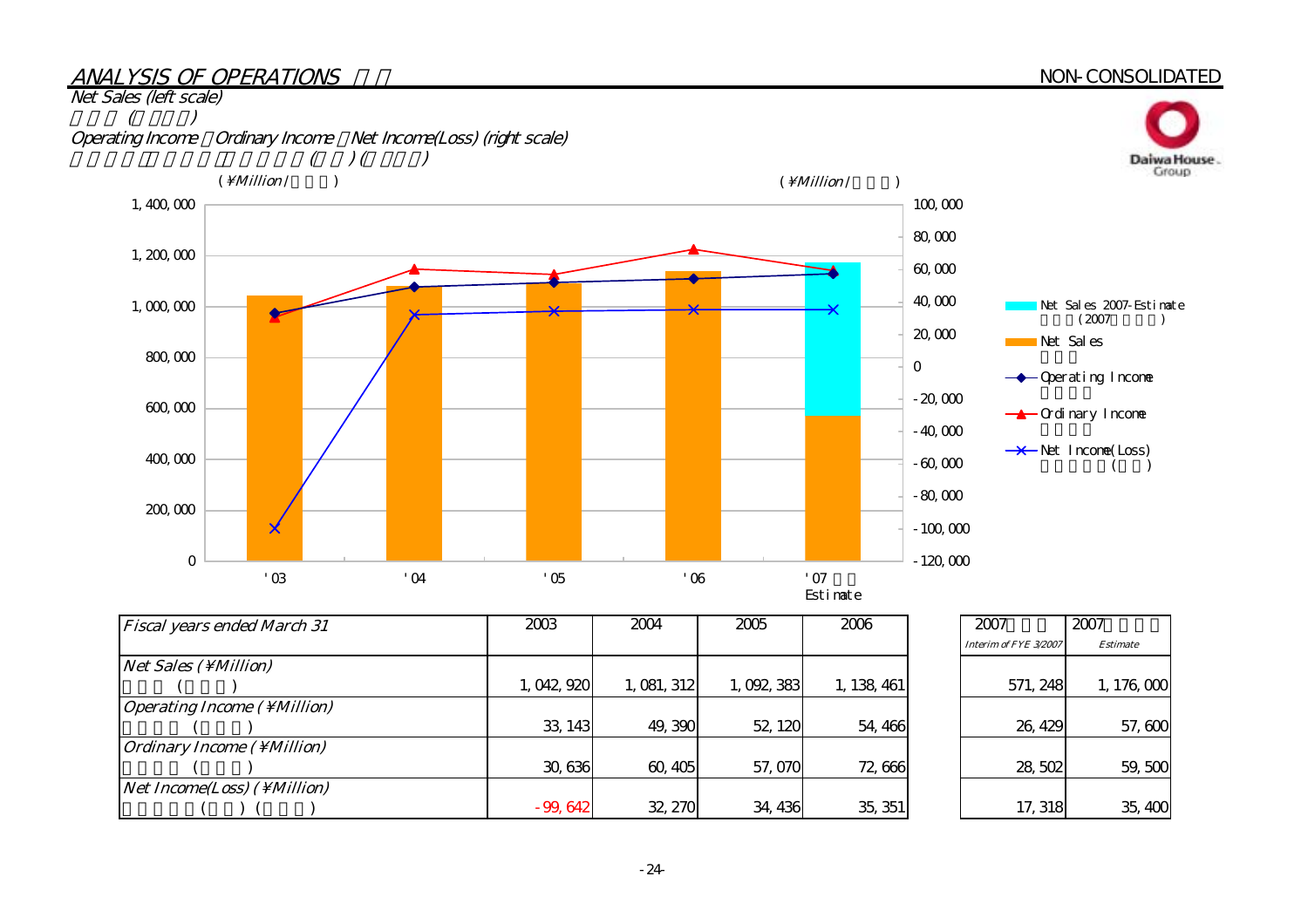# ANALYSIS OF OPERATIONS

# NON-CONSOLIDATED

![](_page_26_Figure_2.jpeg)

| <b>Fiscal years ended March 31</b>          | 2003        | 2004        | 2005      | 2006        |
|---------------------------------------------|-------------|-------------|-----------|-------------|
| Net Sales (\Million)                        |             |             |           |             |
|                                             | 1, 042, 920 | 1, 081, 312 | 1,092,383 | 1, 138, 461 |
| <b>Operating Income (\Million)</b>          |             |             |           |             |
|                                             | 33, 143     | 49,390      | 52, 120   | 54, 466     |
| <i><b>Ordinary Income (\Million)</b></i>    |             |             |           |             |
|                                             | 30,636      | 60, 405     | 57,070    | 72,666      |
| <i>Net Income(Loss)</i> ( \ <i>Million)</i> |             |             |           |             |
|                                             | $-99,642$   | 32, 270     | 34, 436   | 35, 351     |

| 2007                  | 2007            |
|-----------------------|-----------------|
| Interim of FYE 3/2007 | <b>Estimate</b> |
| 571, 248              | 1, 176, 000     |
| 26, 429               | 57,600          |
| 28,502                | 59,500          |
| 17, 318               | 35,400          |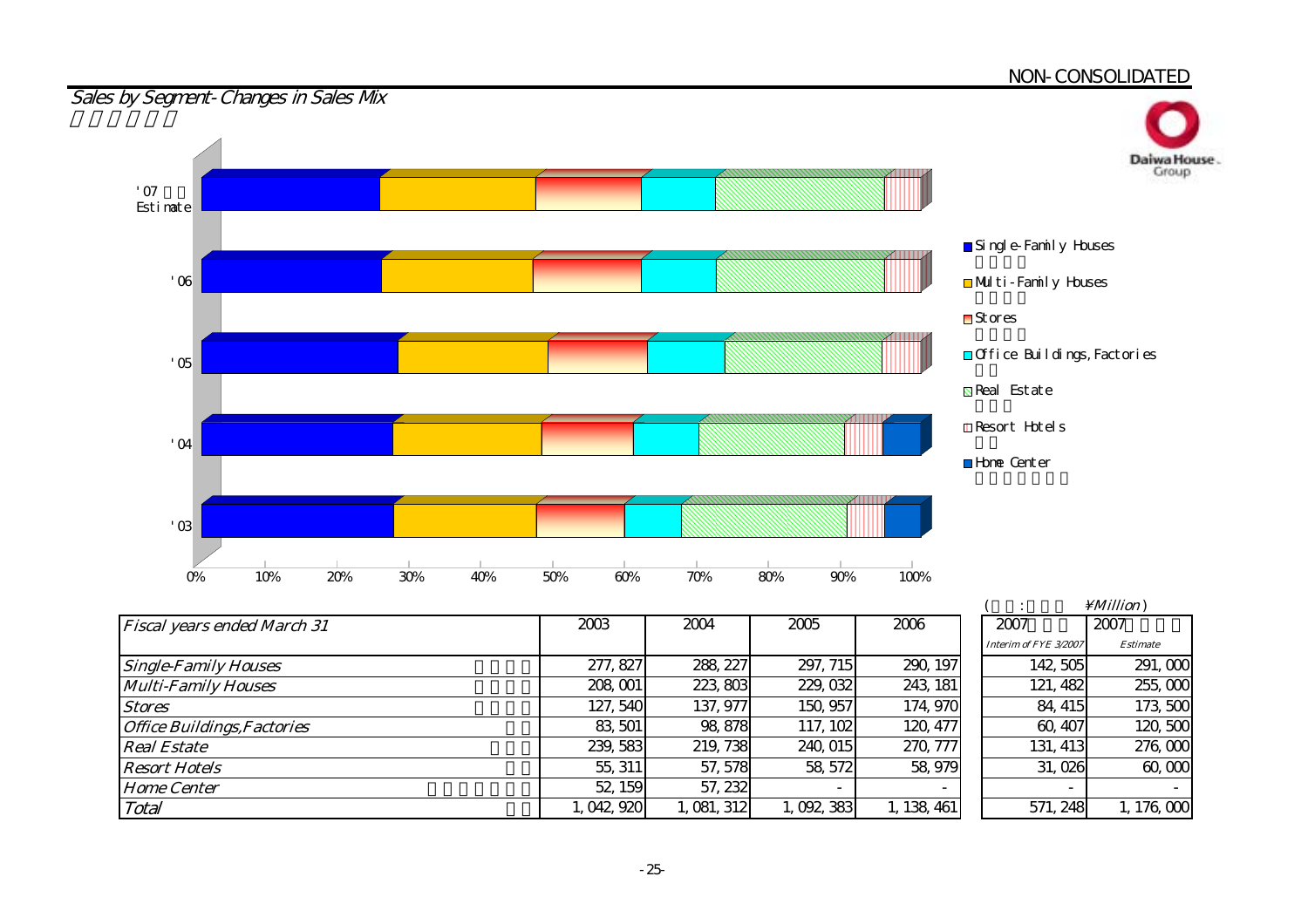#### <u>NON-CONSOLIDATED</u>

![](_page_27_Figure_1.jpeg)

| <b>Fiscal years ended March 31</b> | 2003        | 2004        | 2005      | 2006        | 2007                     | 2007            |
|------------------------------------|-------------|-------------|-----------|-------------|--------------------------|-----------------|
|                                    |             |             |           |             | Interim of FYE 3/2007    | <b>Estimate</b> |
| <b>Single-Family Houses</b>        | 277, 827    | 288, 227    | 297, 715  | 290, 197    | 142, 505                 | 291,000         |
| <b>Multi-Family Houses</b>         | 208, 001    | 223,803     | 229, 032  | 243, 181    | 121, 482                 | 255,000         |
| <b>Stores</b>                      | 127, 540    | 137, 977    | 150, 957  | 174, 970    | 84, 415                  | 173,500         |
| <b>Office Buildings, Factories</b> | 83, 501     | 98, 878     | 117, 102  | 120, 477    | 60, 407                  | 120,500         |
| <b>Real Estate</b>                 | 239, 583    | 219, 738    | 240, 015  | 270, 777    | 131, 413                 | 276,000         |
| <b>Resort Hotels</b>               | 55, 311     | 57, 578     | 58, 572   | 58, 979     | 31,026                   | 60,000          |
| <b>Home Center</b>                 | 52, 159     | 57, 232     |           |             | $\overline{\phantom{0}}$ |                 |
| Total                              | 1, 042, 920 | 1, 081, 312 | 1,092,383 | 1, 138, 461 | 571, 248                 | 1, 176, 000     |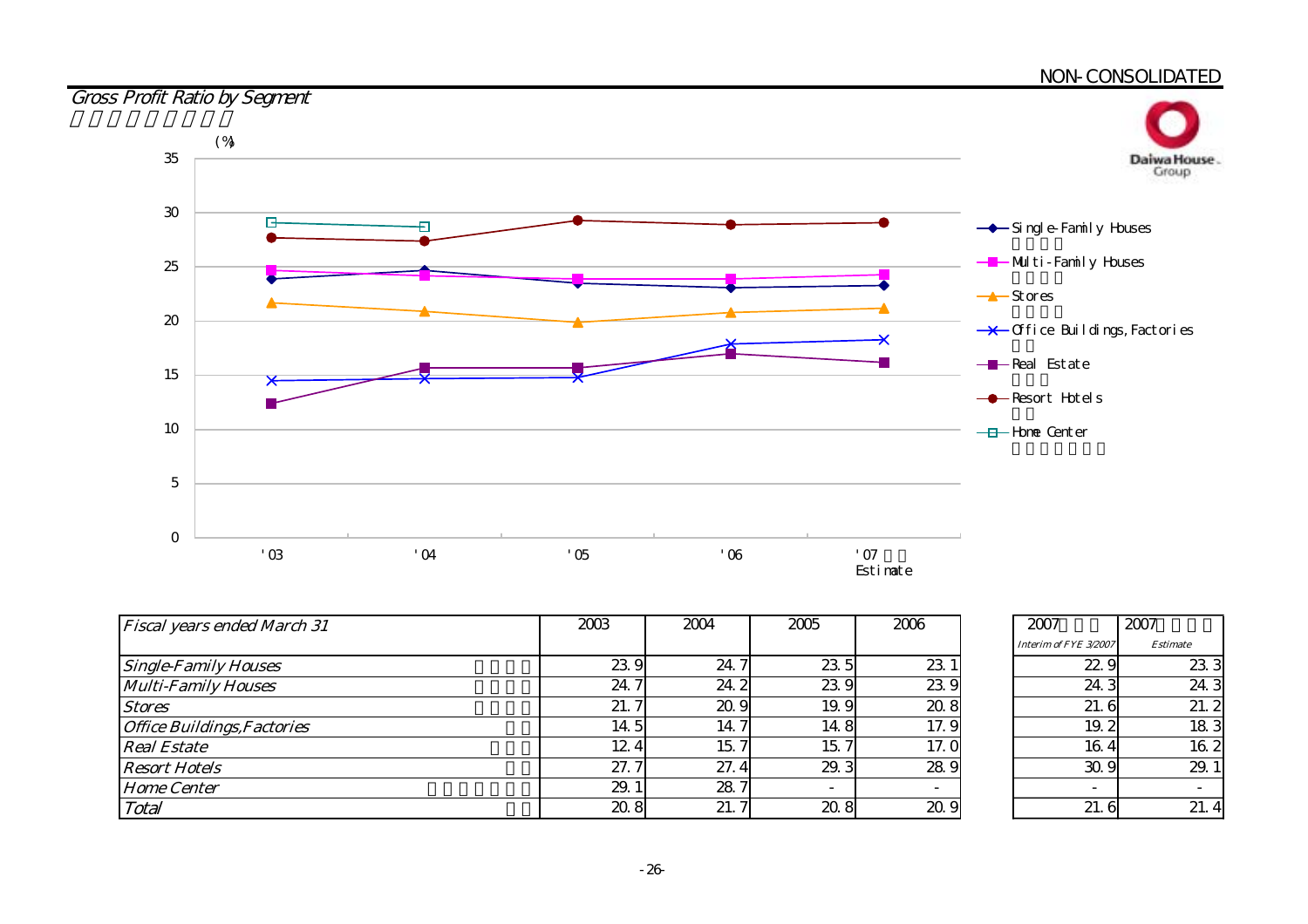#### NON-CONSOLIDATED

![](_page_28_Figure_1.jpeg)

| <b>Fiscal years ended March 31</b> | 2003 | 2004                | 2005                     | 2006 |
|------------------------------------|------|---------------------|--------------------------|------|
|                                    |      |                     |                          |      |
| <b>Single-Family Houses</b>        | 23.9 | 24.                 | 23.5                     | 23.  |
| <b>Multi-Family Houses</b>         | 24.7 | 24.2                | 23.9                     | 23.9 |
| <b>Stores</b>                      | 21.7 | 20.9                | 19.9                     | 20.8 |
| <b>Office Buildings, Factories</b> | 14.5 | $\mathcal{I}$<br>14 | 14.8                     | 17.9 |
| <b>Real Estate</b>                 | 124  | 15.                 | 15.                      | 17.0 |
| <b>Resort Hotels</b>               | 27.7 | 27.4                | 29.3                     | 28.9 |
| <b>Home Center</b>                 | 29.1 | 28.7                | $\overline{\phantom{a}}$ |      |
| Total                              | 208  | 21.                 | 20.8                     | 20.9 |

| 2007                  | 2007            |
|-----------------------|-----------------|
| Interim of FYE 3/2007 | <b>Estimate</b> |
| 22.9                  | 233             |
| 24.3                  | 24.3            |
| 21.6                  | 21.2            |
| 19.2                  | 183             |
| 16.4                  | 162             |
| 30.9                  | 29.1            |
|                       |                 |
| 21. 6                 | 21              |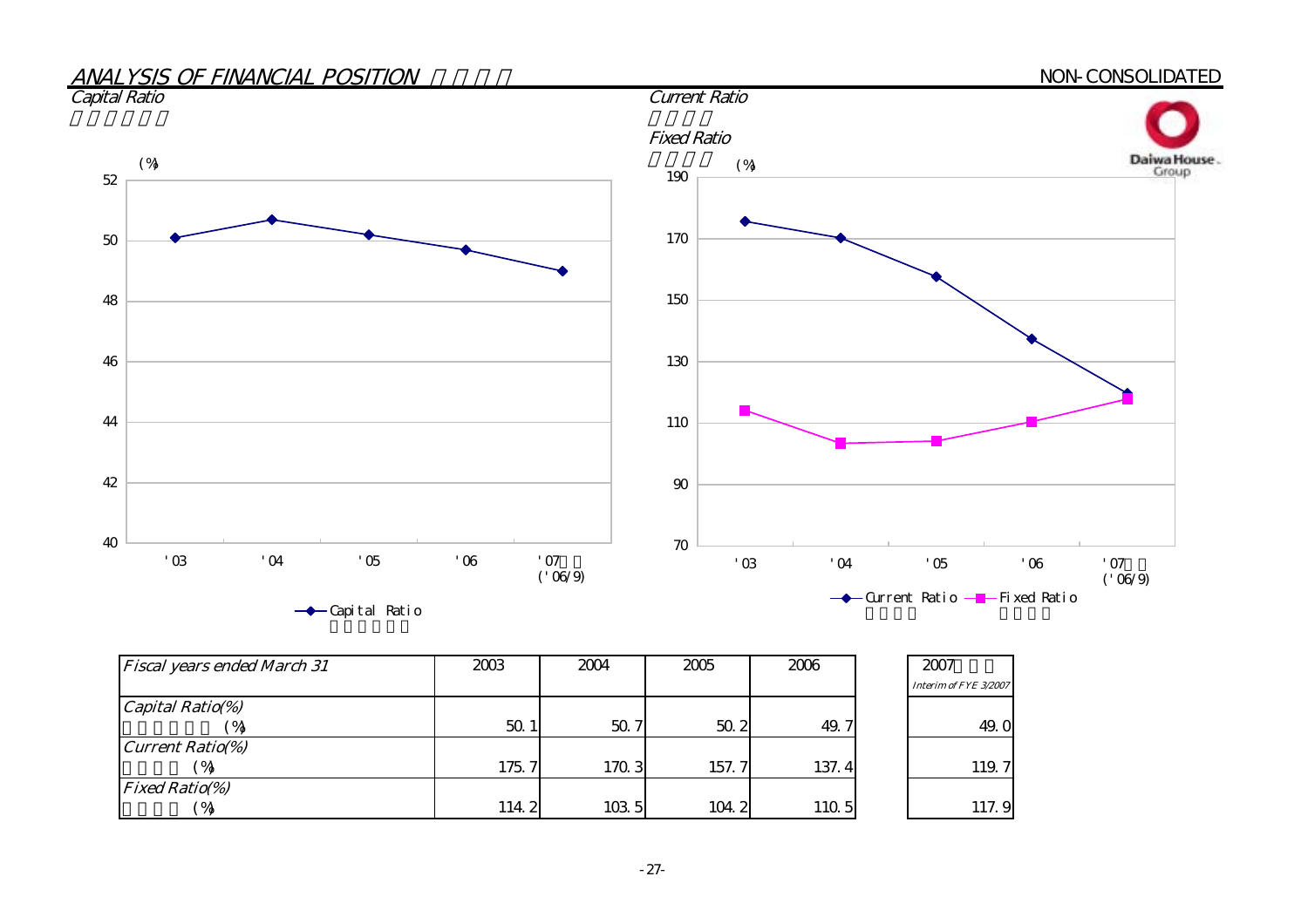![](_page_29_Figure_0.jpeg)

| <b>Fiscal years ended March 31</b> | 2003  | 2004  | 2005  | 2006  | 2007                  |
|------------------------------------|-------|-------|-------|-------|-----------------------|
|                                    |       |       |       |       | Interim of FYE 3/2007 |
| Capital Ratio(%)                   |       |       |       |       |                       |
| $^{\prime}$ %                      | 50.1  | 50.7  | 50.2  | 49.7  | 49.0                  |
| <b>Current Ratio(%)</b>            |       |       |       |       |                       |
| $^{\circ}$ %                       | 175.7 | 170.3 | 157.7 | 137.4 | 119.7                 |
| <b>Fixed Ratio(%)</b>              |       |       |       |       |                       |
| ′ %                                | 114.2 | 103 5 | 104.2 | 110.5 | 117.9                 |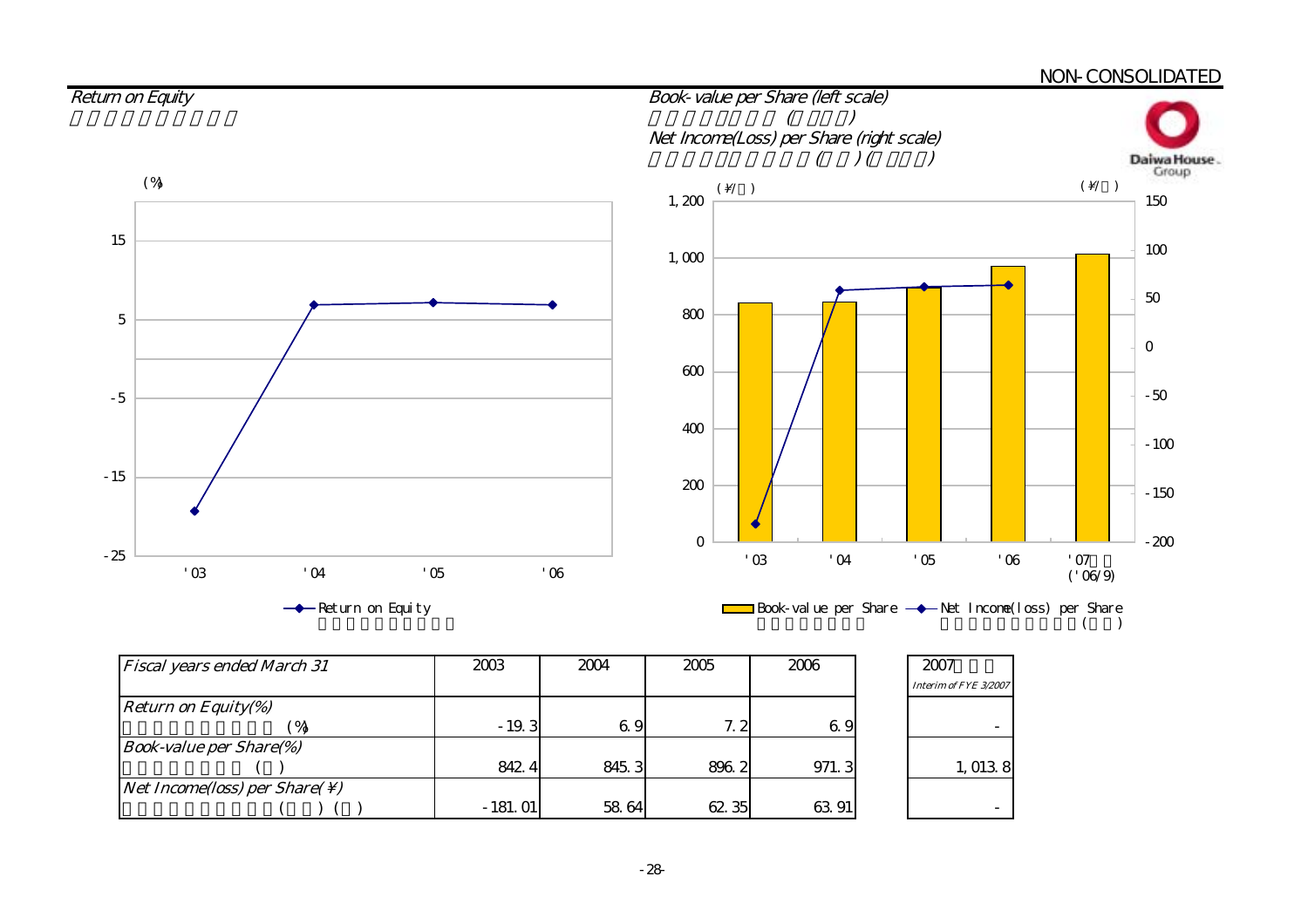#### NON-CONSOLIDATED

![](_page_30_Figure_1.jpeg)

| <b>Fiscal years ended March 31</b>                        | 2003      | 2004  | 2005  | 2006  | 2007                  |
|-----------------------------------------------------------|-----------|-------|-------|-------|-----------------------|
|                                                           |           |       |       |       | Interim of FYE 3/2007 |
| <b>Return on Equity(%)</b>                                |           |       |       |       |                       |
|                                                           | $-19.3$   | 69    | 7.2   | 6.9   |                       |
| <b>Book-value per Share(%)</b>                            |           |       |       |       |                       |
|                                                           | 842.4     | 845.3 | 896.2 | 971.3 | 1,0138                |
| <i>Net Income(loss) per Share(<math>\setminus</math>)</i> |           |       |       |       |                       |
|                                                           | $-181.01$ | 58 64 | 62.35 | 63.91 |                       |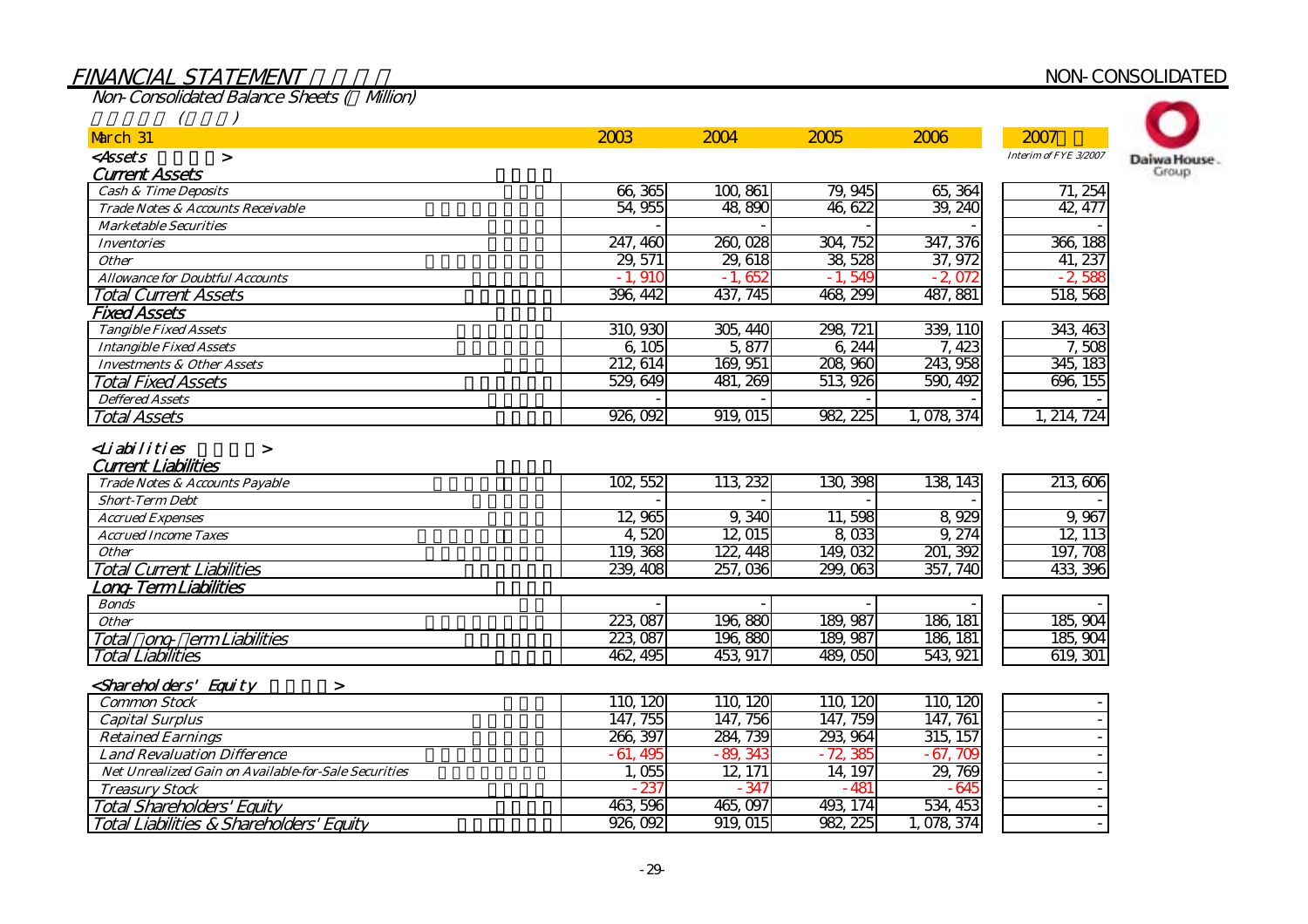# FINANCIAL STATEMENT NON-CONSOLIDATED

Non-Consolidated Balance Sheets (¥Million)

| March 31                                                                                               | 2003      | 2004      | 2005      | 2006      | 2007                  |              |
|--------------------------------------------------------------------------------------------------------|-----------|-----------|-----------|-----------|-----------------------|--------------|
| <assets<br><math>\geq</math></assets<br>                                                               |           |           |           |           | Interim of FYE 3/2007 | Daiwa House. |
| <b>Current Assets</b>                                                                                  |           |           |           |           |                       | Group        |
| <b>Cash &amp; Time Deposits</b>                                                                        | 66,365    | 100,861   | 79, 945   | 65, 364   | 71, 254               |              |
| Trade Notes & Accounts Receivable                                                                      | 54,955    | 48 890    | 46 622    | 39, 240   | 42, 477               |              |
| <b>Marketable Securities</b>                                                                           |           |           |           |           |                       |              |
| <b>Inventories</b>                                                                                     | 247, 460  | 260,028   | 304, 752  | 347, 376  | 366, 188              |              |
| <b>Other</b>                                                                                           | 29, 571   | 29, 618   | 38, 528   | 37, 972   | 41, 237               |              |
| <b>Allowance for Doubtful Accounts</b>                                                                 | $-1,910$  | $-1,652$  | $-1,549$  | $-2.072$  | $-2,588$              |              |
| <b>Total Current Assets</b>                                                                            | 396, 442  | 437, 745  | 468, 299  | 487, 881  | 518 568               |              |
| <b>Fixed Assets</b>                                                                                    |           |           |           |           |                       |              |
| <b>Tangible Fixed Assets</b>                                                                           | 310, 930  | 305, 440  | 298, 721  | 339, 110  | 343, 463              |              |
| <b>Intangible Fixed Assets</b>                                                                         | 6, 105    | 5,877     | 6,244     | 7, 423    | 7,508                 |              |
| <b>Investments &amp; Other Assets</b>                                                                  | 212, 614  | 169, 951  | 208,960   | 243, 958  | 345, 183              |              |
| <b>Total Fixed Assets</b>                                                                              | 529, 649  | 481, 269  | 513, 926  | 590, 492  | 696, 155              |              |
| <b>Deffered Assets</b>                                                                                 |           |           |           |           |                       |              |
| <b>Total Assets</b>                                                                                    | 926, 092  | 919,015   | 982, 225  | 1,078,374 | 1, 214, 724           |              |
| Trade Notes & Accounts Payable                                                                         | 102, 552  | 113, 232  | 130, 398  | 138, 143  | 213 606               |              |
| <b>Short-Term Debt</b>                                                                                 |           |           |           |           |                       |              |
| <b>Accrued Expenses</b>                                                                                | 12,965    | 9,340     | 11,598    | 8,929     | 9,967                 |              |
| <b>Accrued Income Taxes</b>                                                                            | 4,520     | 12,015    | 8,033     | 9, 274    | 12, 113               |              |
| <b>Other</b>                                                                                           | 119, 368  | 122, 448  | 149,032   | 201, 392  | 197, 708              |              |
| <b>Total Current Liabilities</b>                                                                       | 239, 408  | 257,036   | 299,063   | 357, 740  | 433, 396              |              |
| Long-Term Liabilities                                                                                  |           |           |           |           |                       |              |
| <b>Bonds</b>                                                                                           |           |           |           |           |                       |              |
| <b>Other</b>                                                                                           | 223, 087  | 196,880   | 189, 987  | 186, 181  | 185, 904              |              |
| ong erm Liabilities<br>Total                                                                           | 223, 087  | 196,880   | 189, 987  | 186, 181  | 185, 904              |              |
| <b>Total Liabilities</b>                                                                               | 462, 495  | 453, 917  | 489,050   | 543, 921  | 619, 301              |              |
| <shareholders' equity<="" td=""><td></td><td></td><td></td><td></td><td></td><td></td></shareholders'> |           |           |           |           |                       |              |
| $\geq$<br><b>Common Stock</b>                                                                          | 110, 120  | 110, 120  | 110, 120  | 110, 120  |                       |              |
| <b>Capital Surplus</b>                                                                                 | 147, 755  | 147, 756  | 147, 759  | 147, 761  |                       |              |
| <b>Retained Earnings</b>                                                                               | 266, 397  | 284, 739  | 293, 964  | 315, 157  |                       |              |
| <b>Land Revaluation Difference</b>                                                                     | $-61,495$ | $-89,343$ | $-72,385$ | $-67,709$ |                       |              |
| <b>Net Unrealized Gain on Available-for-Sale Securities</b>                                            | 1,055     | 12, 171   | 14, 197   | 29,769    |                       |              |
| <b>Treasury Stock</b>                                                                                  | $-237$    | $-347$    | $-481$    | $-645$    |                       |              |
|                                                                                                        | 463, 596  | 465,097   | 493, 174  | 534, 453  |                       |              |
| <b>Total Shareholders' Equity</b>                                                                      | 926, 092  | 919,015   | 982, 225  | 1,078,374 |                       |              |
| Total Liabilities & Shareholders' Equity                                                               |           |           |           |           |                       |              |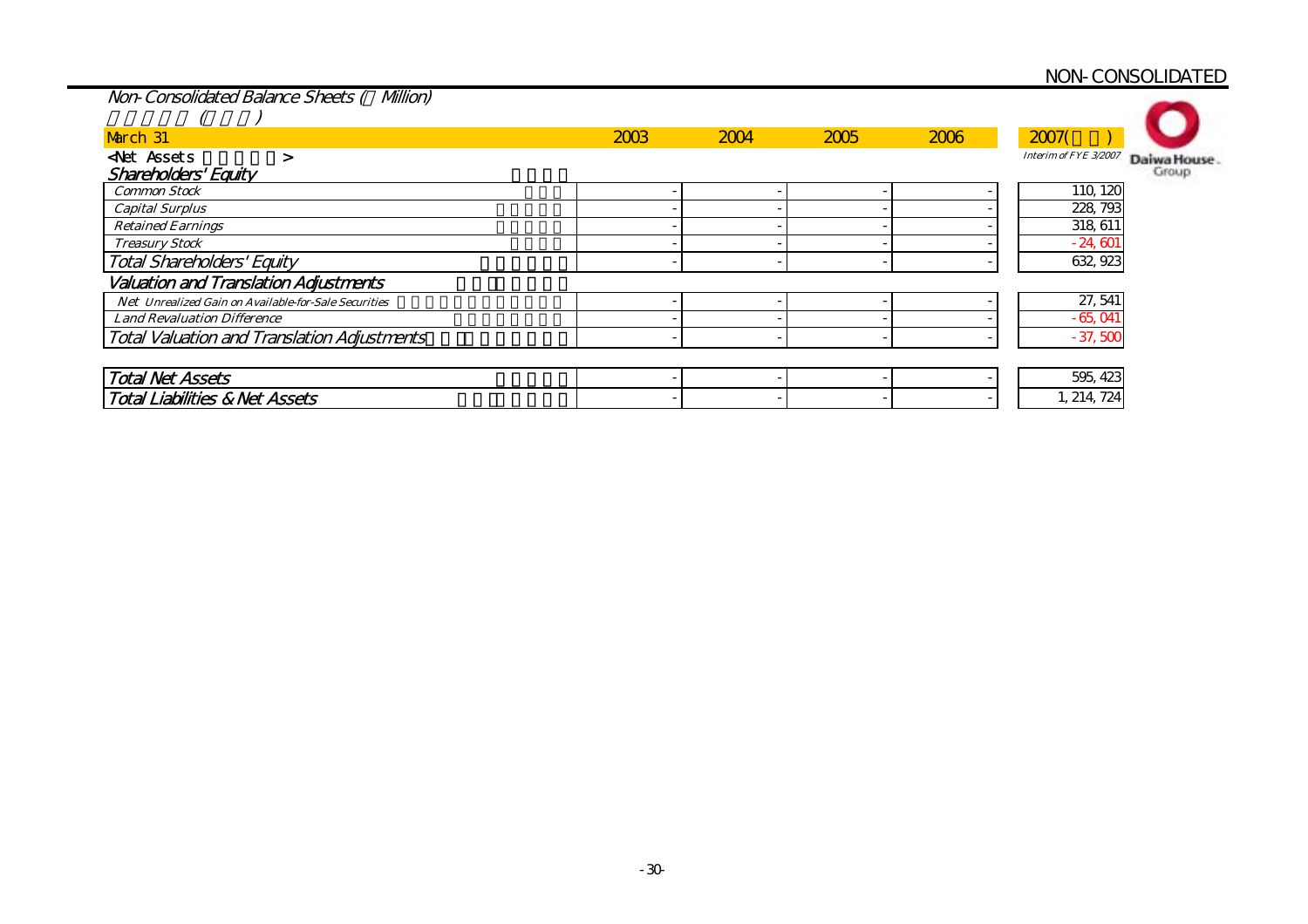# NON-CONSOLIDATED

| Non-Consolidated Balance Sheets (<br><b>Milion)</b>  |      |      |      |      |                                      |
|------------------------------------------------------|------|------|------|------|--------------------------------------|
|                                                      |      |      |      |      |                                      |
| March 31                                             | 2003 | 2004 | 2005 | 2006 | 2007(                                |
| <b>Net Assets</b><br>⋗                               |      |      |      |      | Interim of FYE 3/2007<br>Daiwa House |
| Shareholders' Equity                                 |      |      |      |      | Group                                |
| <b>Common Stock</b>                                  |      |      |      |      | 110, 120                             |
| <b>Capital Surplus</b>                               |      |      |      |      | 228, 793                             |
| <b>Retained Earnings</b>                             |      |      |      |      | 318, 611                             |
| <b>Treasury Stock</b>                                |      |      |      |      | $-24,601$                            |
| <b>Total Shareholders' Equity</b>                    |      |      |      |      | 632, 923                             |
| <b>Valuation and Translation Adjustments</b>         |      |      |      |      |                                      |
| Net Unrealized Gain on Available-for-Sale Securities |      |      |      |      | 27, 541                              |
| <b>Land Revaluation Difference</b>                   |      |      |      |      | $-65,041$                            |
| <b>Total Valuation and Translation Adjustments</b>   |      |      |      |      | $-37,500$                            |
|                                                      |      |      |      |      |                                      |
| <b>Total Net Assets</b>                              |      |      |      |      | 595, 423                             |
| <b>Total Liabilities &amp; Net Assets</b>            |      |      |      |      | 1, 214, 724                          |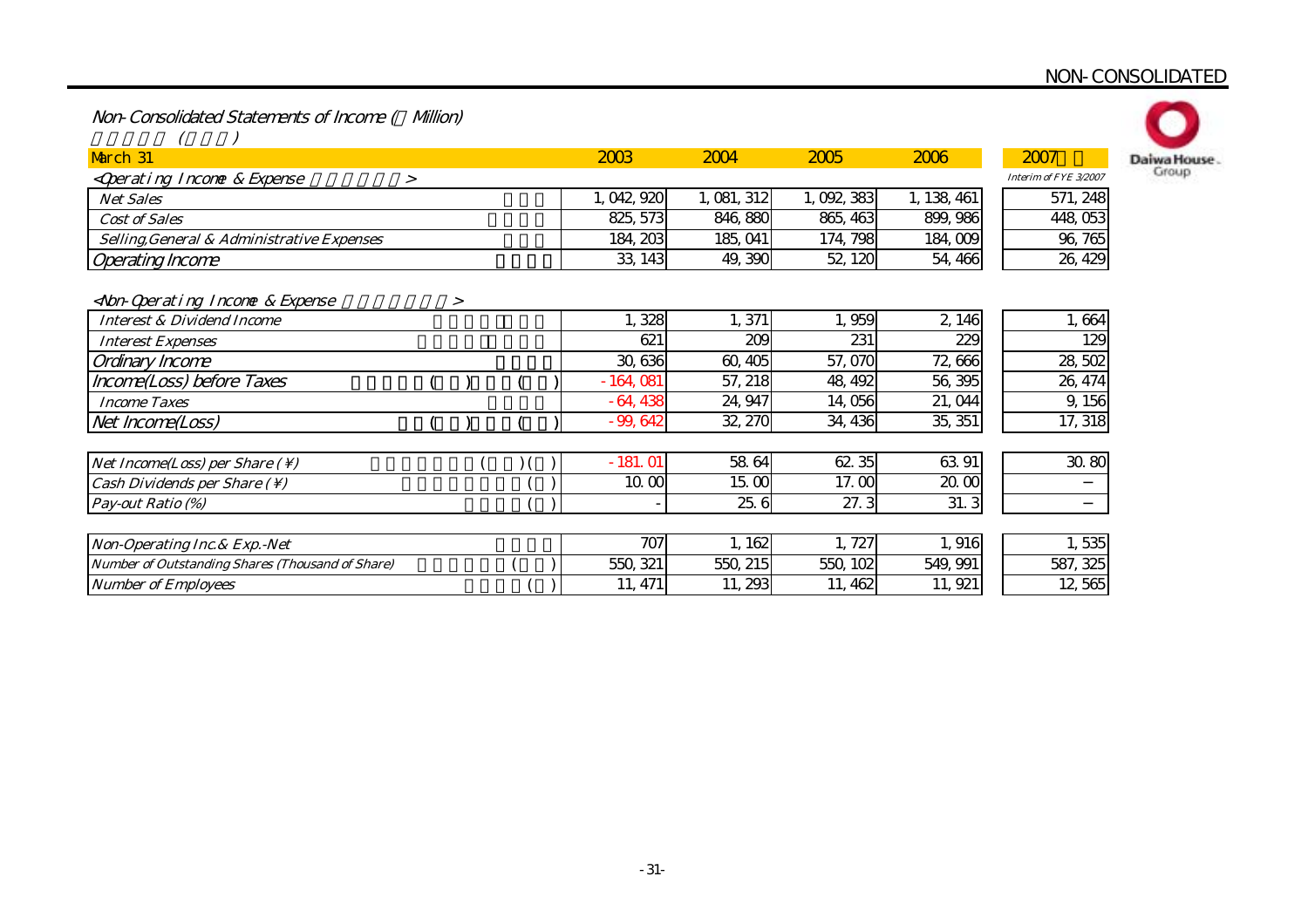# NON-CONSOLIDATED

Non-Consolidated Statements of Income ( Million)

| March 31                                                                                                                                                                             |        |   |  | 2003       | 2004        | 2005      | 2006        | 2007                  | Daiwa House |
|--------------------------------------------------------------------------------------------------------------------------------------------------------------------------------------|--------|---|--|------------|-------------|-----------|-------------|-----------------------|-------------|
| <qperating &="" expense<="" income="" td=""><td><math>\geq</math></td><td></td><td></td><td></td><td></td><td></td><td></td><td>Interim of FYE 3/2007</td><td>Group</td></qperating> | $\geq$ |   |  |            |             |           |             | Interim of FYE 3/2007 | Group       |
| <b>Net Sales</b>                                                                                                                                                                     |        |   |  | 1,042,920  | 1, 081, 312 | 1,092,383 | 1, 138, 461 | 571, 248              |             |
| <b>Cost of Sales</b>                                                                                                                                                                 |        |   |  | 825, 573   | 846, 880    | 865, 463  | 899, 986    | 448,053               |             |
| Selling, General & Administrative Expenses                                                                                                                                           |        |   |  | 184, 203   | 185, 041    | 174, 798  | 184,009     | 96, 765               |             |
| <b>Operating Income</b>                                                                                                                                                              |        |   |  | 33, 143    | 49, 390     | 52, 120   | 54, 466     | 26, 429               |             |
| <non-qoerating &="" expense<="" income="" th=""><th></th><th>&gt;</th><th></th><th></th><th></th><th></th><th></th><th></th><th></th></non-qoerating>                                |        | > |  |            |             |           |             |                       |             |
| <b>Interest &amp; Dividend Income</b>                                                                                                                                                |        |   |  | 1,328      | 1,371       | 1,959     | 2,146       | 1,664                 |             |
| <b>Interest Expenses</b>                                                                                                                                                             |        |   |  | 621        | 209         | 231       | 229         | 12 <sup>c</sup>       |             |
| Ordinary Income                                                                                                                                                                      |        |   |  | 30, 636    | 60,405      | 57,070    | 72,666      | 28,502                |             |
| Income(Loss) before Taxes                                                                                                                                                            |        |   |  | $-164,081$ | 57, 218     | 48, 492   | 56, 395     | 26, 474               |             |
| <b>Income Taxes</b>                                                                                                                                                                  |        |   |  | $-64,438$  | 24, 947     | 14,056    | 21, 044     | 9,156                 |             |
| Net Income(Loss)                                                                                                                                                                     |        |   |  | $-99,642$  | 32, 270     | 34, 436   | 35, 351     | 17, 318               |             |
|                                                                                                                                                                                      |        |   |  |            |             |           |             |                       |             |
| Net Income(Loss) per Share $( \setminus )$                                                                                                                                           |        |   |  | $-181.01$  | 58.64       | 62.35     | 63 91       | 30.80                 |             |
| Cash Dividends per Share $( \setminus )$                                                                                                                                             |        |   |  | 10.00      | 15.00       | 17.00     | 20.00       |                       |             |
| Pay-out Ratio (%)                                                                                                                                                                    |        |   |  |            | 25.6        | 27.3      | 31.3        |                       |             |
|                                                                                                                                                                                      |        |   |  |            |             |           |             |                       |             |
| Non-Operating Inc. & Exp. - Net                                                                                                                                                      |        |   |  | 707        | 1,162       | 1,727     | 1,916       | 1,535                 |             |
| Number of Outstanding Shares (Thousand of Share)                                                                                                                                     |        |   |  | 550, 321   | 550, 215    | 550, 102  | 549, 991    | 587, 325              |             |
| <b>Number of Employees</b>                                                                                                                                                           |        |   |  | 11, 471    | 11, 293     | 11, 462   | 11, 921     | 12,565                |             |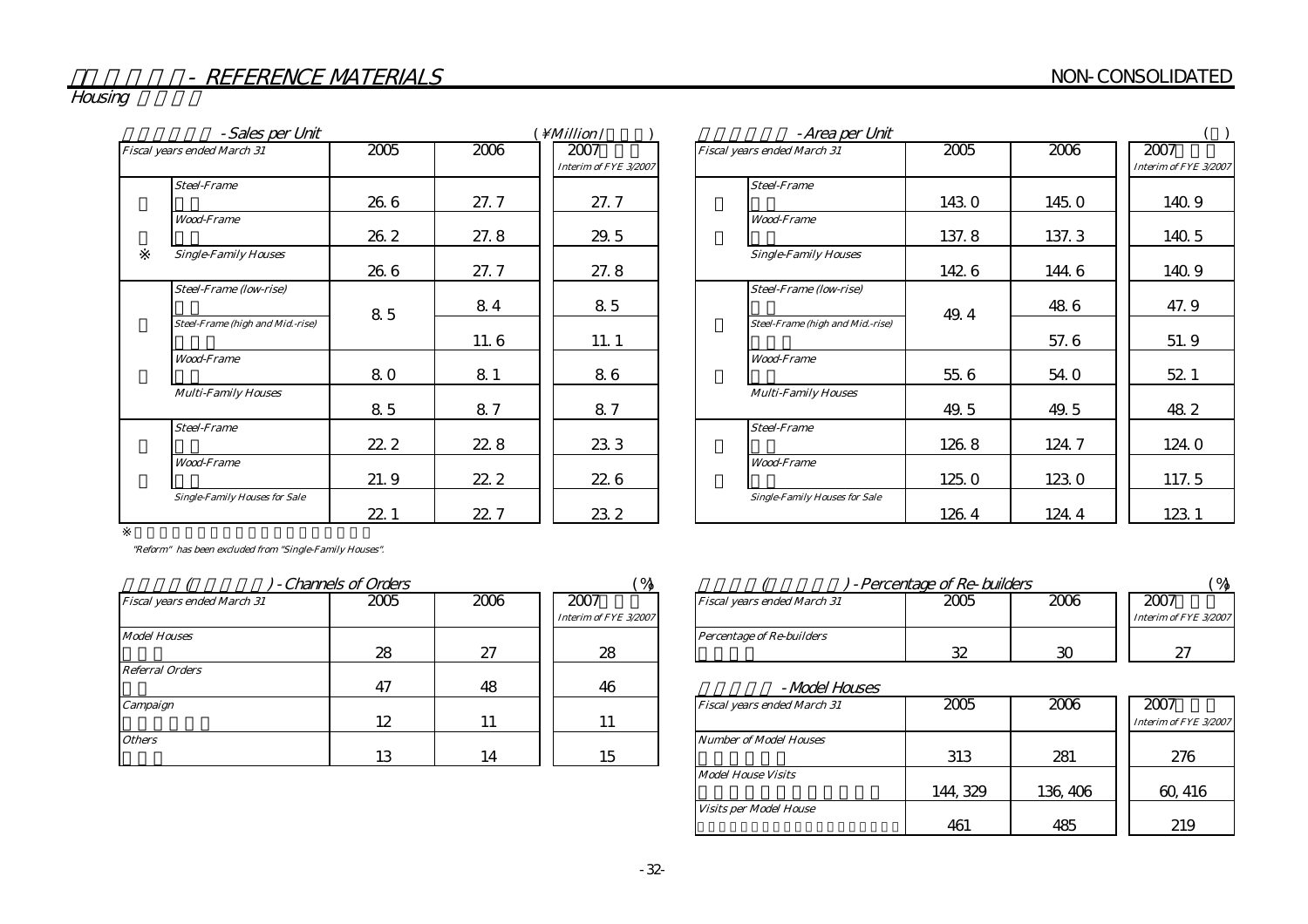Housing

| -Sales per Unit                      |      | <i>Million</i> | -Area per Unit        |                                      |
|--------------------------------------|------|----------------|-----------------------|--------------------------------------|
| Fiscal years ended March 31          | 2005 | 2006           | 2007                  | Fiscal years ended March 31          |
|                                      |      |                | Interim of FYE 3/2007 |                                      |
| <b>Steel-Frame</b>                   |      |                |                       | <b>Steel-Frame</b>                   |
|                                      | 26 6 | 27.7           | 27. 7                 |                                      |
| <b>Wood-Frame</b>                    |      |                |                       | <b>Wood-Frame</b>                    |
|                                      | 26.2 | 27.8           | 29.5                  |                                      |
| <b>Single-Family Houses</b>          |      |                |                       | <b>Single-Family Houses</b>          |
|                                      | 26.6 | 27.7           | 27.8                  |                                      |
| <b>Steel-Frame (low-rise)</b>        |      |                |                       | Steel-Frame (low-rise)               |
|                                      | 85   | 84             | 85                    |                                      |
| Steel-Frame (high and Mid.-rise)     |      |                |                       | Steel-Frame (high and Mid.-rise)     |
|                                      |      | 11.6           | 11.1                  |                                      |
| <b>Wood-Frame</b>                    |      |                |                       | <b>Wood-Frame</b>                    |
|                                      | 80   | 81             | 86                    |                                      |
| <b>Multi-Family Houses</b>           |      |                |                       | <b>Multi-Family Houses</b>           |
|                                      | 85   | 8.7            | 87                    |                                      |
| <b>Steel-Frame</b>                   |      |                |                       | <b>Steel-Frame</b>                   |
|                                      | 22.2 | 228            | 233                   |                                      |
| <b>Wood-Frame</b>                    |      |                |                       | <b>Wood-Frame</b>                    |
|                                      | 21.9 | 22.2           | 22.6                  |                                      |
| <b>Single-Family Houses for Sale</b> |      |                |                       | <b>Single-Family Houses for Sale</b> |
|                                      | 22.1 | 22.7           | 23.2                  |                                      |

| - Sales per Unit                     |      |      | <i>Million</i> /              | -Area per Unit                       |       |       |                               |
|--------------------------------------|------|------|-------------------------------|--------------------------------------|-------|-------|-------------------------------|
| Fiscal years ended March 31          | 2005 | 2006 | 2007<br>Interim of FYE 3/2007 | Fiscal years ended March 31          | 2005  | 2006  | 2007<br>Interim of FYE 3/2007 |
| <b>Steel-Frame</b>                   |      |      |                               | <b>Steel-Frame</b>                   |       |       |                               |
|                                      | 26.6 | 27.7 | 27.7                          |                                      | 143.0 | 145.0 | 140.9                         |
| <b>Wood-Frame</b>                    |      |      |                               | <b>Wood-Frame</b>                    |       |       |                               |
|                                      | 26.2 | 27.8 | 29.5                          |                                      | 137.8 | 137.3 | 140.5                         |
| <b>Single-Family Houses</b>          |      |      |                               | <b>Single-Family Houses</b>          |       |       |                               |
|                                      | 26.6 | 27.7 | 27.8                          |                                      | 142 6 | 144 6 | 140.9                         |
| <b>Steel-Frame (low-rise)</b>        |      |      |                               | <b>Steel-Frame (low-rise)</b>        |       |       |                               |
|                                      | 85   | 84   | 85                            |                                      | 49.4  | 48.6  | 47.9                          |
| Steel-Frame (high and Mid.-rise)     |      |      |                               | Steel-Frame (high and Mid.-rise)     |       |       |                               |
|                                      |      | 11.6 | 11.1                          |                                      |       | 57.6  | 51.9                          |
| <b>Wood-Frame</b>                    |      |      |                               | <b>Wood-Frame</b>                    |       |       |                               |
|                                      | 80   | 81   | 86                            |                                      | 55.6  | 54.0  | 52 1                          |
| <b>Multi-Family Houses</b>           |      |      |                               | <b>Multi-Family Houses</b>           |       |       |                               |
|                                      | 85   | 87   | 87                            |                                      | 49.5  | 49.5  | 48.2                          |
| <b>Steel-Frame</b>                   |      |      |                               | <b>Steel-Frame</b>                   |       |       |                               |
|                                      | 22.2 | 22.8 | 233                           |                                      | 126.8 | 124.7 | 124.0                         |
| <b>Wood-Frame</b>                    |      |      |                               | <b>Wood-Frame</b>                    |       |       |                               |
|                                      | 21.9 | 22.2 | 22.6                          |                                      | 125.0 | 1230  | 117.5                         |
| <b>Single-Family Houses for Sale</b> |      |      |                               | <b>Single-Family Houses for Sale</b> |       |       |                               |
|                                      | 22.1 | 22.7 | 23.2                          |                                      | 126.4 | 124.4 | 123 1                         |

"Reform" has been excluded from "Single-Family Houses".

|                             | - Channels of Orders |      | $^{\circ}$ %                  |                                  |
|-----------------------------|----------------------|------|-------------------------------|----------------------------------|
| Fiscal years ended March 31 | 2005                 | 2006 | 2007<br>Interim of FYE 3/2007 | Fiscal years ended March 31      |
| <b>Model Houses</b>         | 28                   | 27   | 28                            | <b>Percentage of Re-builders</b> |
| <b>Referral Orders</b>      | 47                   | 48   | 46                            | -Model H                         |
| Campaign                    | 12                   | 11   | 11                            | Fiscal years ended March 31      |
| <b>Others</b>               | 13                   | 14   | 15                            | <b>Number of Model Houses</b>    |

|                             | - Channels of Orders |          |                       |                                    | -Percentage of Re-builders |      |                       |
|-----------------------------|----------------------|----------|-----------------------|------------------------------------|----------------------------|------|-----------------------|
| Fiscal vears ended March 31 | 2005                 | 2006     | 2007                  | <b>Fiscal vears ended March 31</b> | 2005                       | 2006 | 2007                  |
|                             |                      |          | Interim of FYE 3/2007 |                                    |                            |      | Interim of FYE 3/2007 |
| Model Houses                |                      |          |                       | Percentage of Re-builders          |                            |      |                       |
|                             | ററ<br>40             | ∽<br>اسم | 28                    |                                    | 32                         | w    | است                   |

| <i>-Model Houses</i>          |          |          |                               |
|-------------------------------|----------|----------|-------------------------------|
| Fiscal years ended March 31   | 2005     | 2006     | 2007<br>Interim of FYE 3/2007 |
| <b>Number of Model Houses</b> |          |          |                               |
|                               | 313      | 281      | 276                           |
| <b>Model House Visits</b>     |          |          |                               |
|                               | 144, 329 | 136, 406 | 60, 416                       |
| <b>Visits per Model House</b> |          |          |                               |
|                               | 461      |          | 219                           |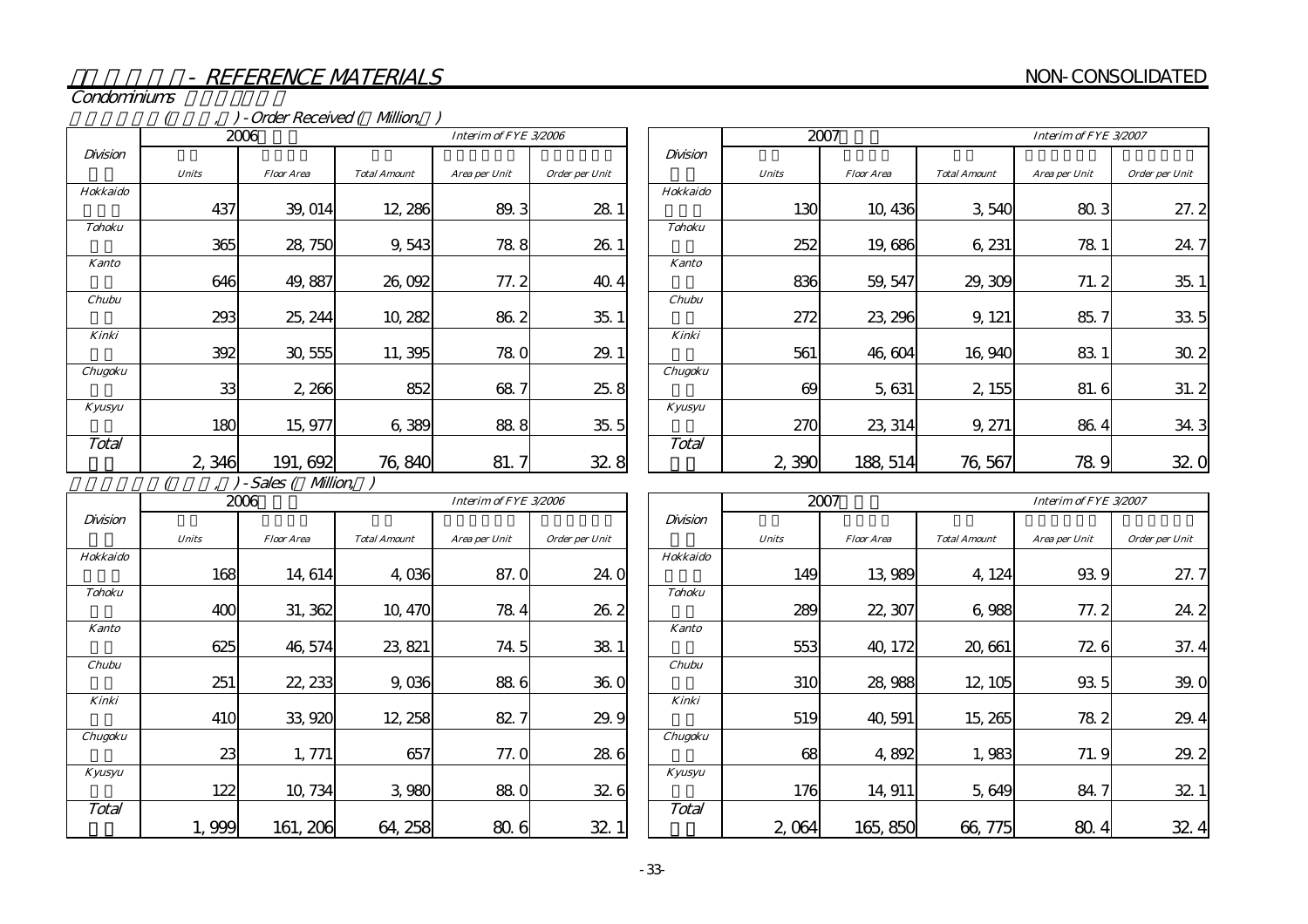Condominiums

# (compared (and the Vietnam of Contract Contract of Allion, contract of Allion, co

|               |              | 2006              | Interim of FYE 3/2006 |               |                |  |
|---------------|--------------|-------------------|-----------------------|---------------|----------------|--|
| Division      |              |                   |                       |               |                |  |
|               | <b>Units</b> | <b>Floor Area</b> | <b>Total Amount</b>   | Area per Unit | Order per Unit |  |
| Hokkaido      |              |                   |                       |               |                |  |
|               | 437          | 39, 014           | 12, 286               | 89.3          | 28.1           |  |
| <b>Tohoku</b> |              |                   |                       |               |                |  |
|               | 365          | 28, 750           | 9,543                 | 78.8          | 26.1           |  |
| <b>Kanto</b>  |              |                   |                       |               |                |  |
|               | 646          | 49, 887           | 26,092                | 77.2          | 40.4           |  |
| Chubu         |              |                   |                       |               |                |  |
|               | 293          | 25, 244           | 10, 282               | 86.2          | 35.1           |  |
| Kinki         |              |                   |                       |               |                |  |
|               | 392          | 30, 555           | 11, 395               | 78.0          | 29.1           |  |
| Chugoku       |              |                   |                       |               |                |  |
|               | 33           | 2,266             | 852                   | 68.7          | 25.8           |  |
| Kyusyu        |              |                   |                       |               |                |  |
|               | 180          | 15, 977           | 6,389                 | 88.8          | 35.5           |  |
| Total         |              |                   |                       |               |                |  |
|               | 2,346        | 191, 692          | 76,840                | 81.           | 32.8           |  |

|               |              | 2007              |                     | Interim of FYE 3/2007 |                |
|---------------|--------------|-------------------|---------------------|-----------------------|----------------|
| Division      |              |                   |                     |                       |                |
|               | <b>Units</b> | <b>Floor Area</b> | <b>Total Amount</b> | Area per Unit         | Order per Unit |
| Hokkaido      |              |                   |                     |                       |                |
|               | 130          | 10,436            | 3,540               | 80.3                  | 27.2           |
| <b>Tohoku</b> |              |                   |                     |                       |                |
|               | 252          | 19,686            | 6, 231              | 78 1                  | 24.7           |
| <b>Kanto</b>  |              |                   |                     |                       |                |
|               | 836          | 59, 547           | 29, 309             | 71.2                  | 35.1           |
| Chubu         |              |                   |                     |                       |                |
|               | 272          | 23, 296           | 9, 121              | 85.7                  | 33.5           |
| Kinki         |              |                   |                     |                       |                |
|               | 561          | 46,604            | 16,940              | 83 1                  | 30.2           |
| Chugoku       |              |                   |                     |                       |                |
|               | 69           | 5,631             | 2, 155              | 81.6                  | 31.2           |
| Kyusyu        |              |                   |                     |                       |                |
|               | 270          | 23, 314           | 9, 271              | 86.4                  | 34.3           |
| Total         |              |                   |                     |                       |                |
|               | 2,390        | 188, 514          | 76,567              | 78.9                  | 32             |

 $(7, 7)$ -Sales ( $Mllion, T$ )

|               |              | 2006              |                     | Interim of FYE 3/2006 |                |
|---------------|--------------|-------------------|---------------------|-----------------------|----------------|
| Division      |              |                   |                     |                       |                |
|               | <b>Units</b> | <b>Floor Area</b> | <b>Total Amount</b> | Area per Unit         | Order per Unit |
| Hokkaido      |              |                   |                     |                       |                |
|               | 168          | 14, 614           | 4,036               | 87.0                  | 24.0           |
| <b>Tohoku</b> |              |                   |                     |                       |                |
|               | 400          | 31, 362           | 10, 470             | 78.4                  | 26.2           |
| <b>Kanto</b>  |              |                   |                     |                       |                |
|               | 625          | 46, 574           | 23, 821             | 74.5                  | 38.1           |
| Chubu         |              |                   |                     |                       |                |
|               | 251          | 22, 233           | 9,036               | 88.6                  | 36.0           |
| Kinki         |              |                   |                     |                       |                |
|               | 410          | 33,920            | 12, 258             | 82.7                  | 29.9           |
| Chugoku       |              |                   |                     |                       |                |
|               | 23           | 1,771             | 657                 | 77. Q                 | 28.6           |
| Kyusyu        |              |                   |                     |                       |                |
|               | 122          | 10,734            | 3,980               | 88.0                  | 32.6           |
| Total         |              |                   |                     |                       |                |
|               | 1,999        | 161, 206          | 64, 258             | 80.6                  | 32.1           |

|               |              | 2007              |                     | Interim of FYE 3/2007 |                 |
|---------------|--------------|-------------------|---------------------|-----------------------|-----------------|
| Division      |              |                   |                     |                       |                 |
|               | <b>Units</b> | <b>Floor Area</b> | <b>Total Amount</b> | Area per Unit         | Order per Unit  |
| Hokkaido      |              |                   |                     |                       |                 |
|               | 149          | 13,989            | 4, 124              | 93.9                  | 27.7            |
| <b>Tohoku</b> |              |                   |                     |                       |                 |
|               | 289          | 22, 307           | 6,988               | 77.2                  | 24.2            |
| <b>Kanto</b>  |              |                   |                     |                       |                 |
|               | 553          | 40, 172           | 20,661              | 72.6                  | 37.4            |
| Chubu         |              |                   |                     |                       |                 |
|               | 310          | 28,988            | 12, 105             | 93.5                  | 39.<br>$\Omega$ |
| Kinki         |              |                   |                     |                       |                 |
|               | 519          | 40,591            | 15, 265             | 78.2                  | 29.<br>4        |
| Chugoku       |              |                   |                     |                       |                 |
|               | 68           | 4,892             | 1,983               | 71.9                  | 29.2            |
| Kyusyu        |              |                   |                     |                       |                 |
|               | 176          | 14, 911           | 5,649               | 84.7                  | 32.1            |
| Total         |              |                   |                     |                       |                 |
|               | 2,064        | 165,850           | 66, 775             | 80.<br>4              | 32<br>4         |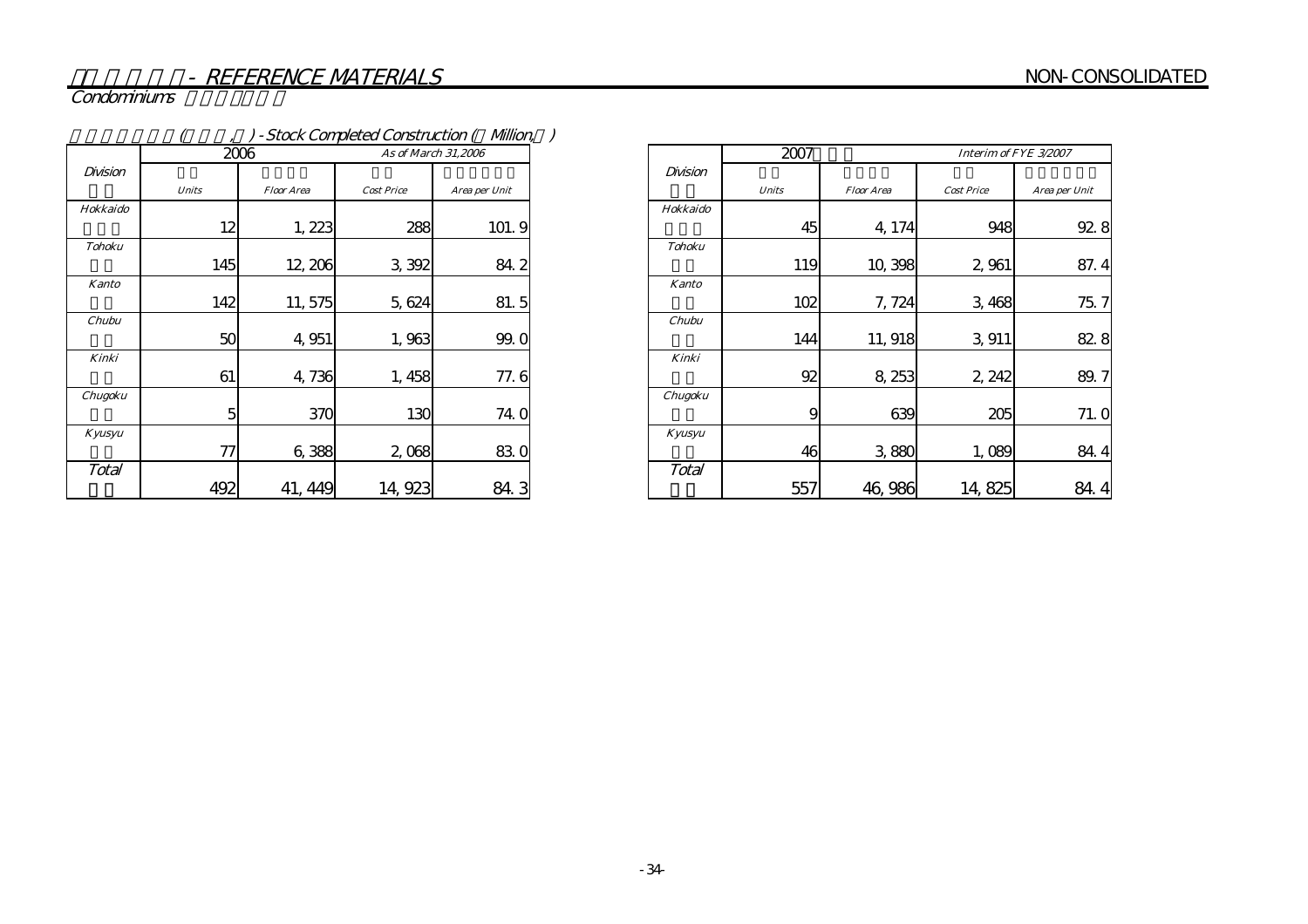# Condominiums

|               |              |                   |                     | - Stock Completed Construction ( Million, ) |
|---------------|--------------|-------------------|---------------------|---------------------------------------------|
|               | 2006         |                   | As of March 31,2006 |                                             |
| Division      | <b>Units</b> | <b>Floor Area</b> | <b>Cost Price</b>   | Area per Unit                               |
| Hokkaido      |              |                   |                     |                                             |
|               | 12           | 1,223             | 288                 | 101.9                                       |
| <b>Tohoku</b> |              |                   |                     |                                             |
|               | 145          | 12, 206           | 3,392               | 84.2                                        |
| <b>Kanto</b>  |              |                   |                     |                                             |
|               | 142          | 11,575            | 5,624               | 81.5                                        |
| Chubu         |              |                   |                     |                                             |
|               | 50           | 4,951             | 1,963               | 99.0                                        |
| Kinki         |              |                   |                     |                                             |
|               | 61           | 4,736             | 1,458               | 77.6                                        |
| Chugoku       |              |                   |                     |                                             |
|               | 5            | 370               | 130                 | 74.0                                        |
| Kyusyu        |              |                   |                     |                                             |
|               | 77           | 6,388             | 2,068               | 830                                         |
| Total         | 492          | 41, 449           | 14, 923             | 84.3                                        |

|               | 2007         |                   |                   | Interim of FYE 3/2007 |
|---------------|--------------|-------------------|-------------------|-----------------------|
| Division      |              |                   |                   |                       |
|               | <b>Units</b> | <b>Floor Area</b> | <b>Cost Price</b> | Area per Unit         |
| Hokkaido      |              |                   |                   |                       |
|               | 45           | 4,174             | 948               | 92.8                  |
| <b>Tohoku</b> |              |                   |                   |                       |
|               | 119          | 10,398            | 2,961             | 87.4                  |
| <b>Kanto</b>  |              |                   |                   |                       |
|               | 102          | 7,724             | 3,468             | 75.7                  |
| Chubu         |              |                   |                   |                       |
|               | 144          | 11, 918           | 3,911             | 82.8                  |
| Kinki         |              |                   |                   |                       |
|               | 92           | 8, 253            | 2, 242            | 89.7                  |
| Chugoku       |              |                   |                   |                       |
|               | 9            | 639               | 205               | 71.0                  |
| Kyusyu        |              |                   |                   |                       |
|               | 46           | 3,880             | 1,089             | 84.4                  |
| Total         |              |                   |                   |                       |
|               | 557          | 46,986            | 14,825            | 84.                   |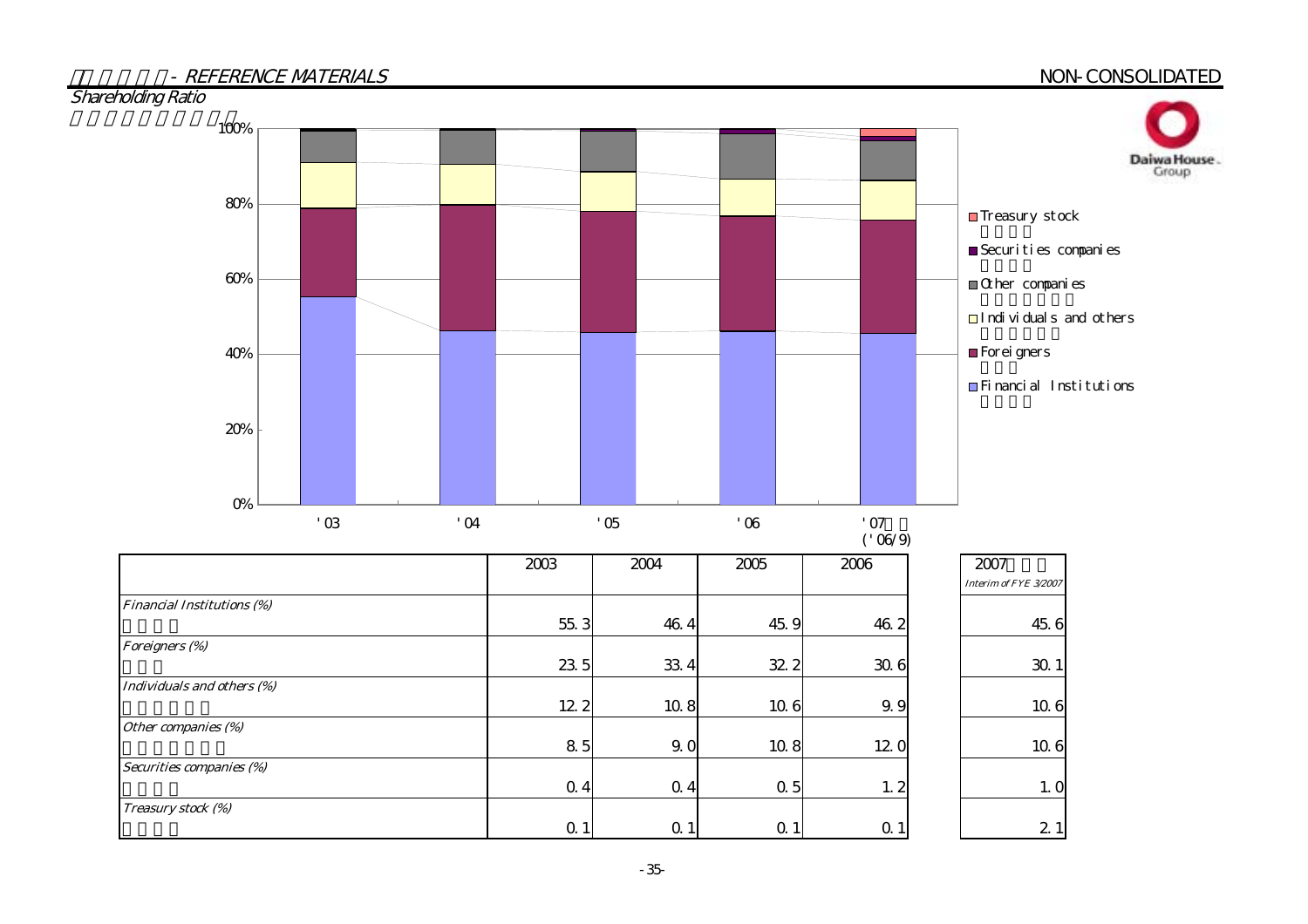| - REFERENCE MATERIALS             |          |                               |      |            |                |                |                |                                                                | NON-CONSOLIDATED      |
|-----------------------------------|----------|-------------------------------|------|------------|----------------|----------------|----------------|----------------------------------------------------------------|-----------------------|
| <b>Shareholding Ratio</b><br>100% |          |                               |      |            |                |                |                |                                                                |                       |
|                                   |          |                               |      |            |                |                |                |                                                                | Daiwa House.<br>Group |
| $80\%$                            |          |                               |      |            |                |                |                | $\blacksquare$ Treasury stock                                  |                       |
|                                   |          |                               |      |            |                |                |                | $\blacksquare$ Securities companies                            |                       |
| $60\%$                            |          |                               |      |            |                |                |                | $\hfill\blacksquare\textrm{Q}$ her $\hfill\textsf{compari}$ es |                       |
|                                   |          |                               |      |            |                |                |                | $\Box$ Individuals and others                                  |                       |
| 40%                               |          |                               |      |            |                |                |                | Forei gners                                                    |                       |
|                                   |          |                               |      |            |                |                |                | Financial Institutions                                         |                       |
| $20\%$                            |          |                               |      |            |                |                |                |                                                                |                       |
|                                   |          |                               |      |            |                |                |                |                                                                |                       |
| $O\%$                             | $\alpha$ | $\overline{0}$ $\overline{0}$ |      | $\cdot$ 05 |                | $^{\prime}$ 06 | '07            |                                                                |                       |
|                                   |          |                               |      |            |                |                | ('06/9)        |                                                                |                       |
|                                   |          |                               | 2003 | 2004       |                | 2005           | 2006           | 2007<br>Interim of FYE 3/2007                                  |                       |
| <b>Financial Institutions (%)</b> |          |                               | 55.3 |            | 46.4           | 45.9           | 46.2           | 45.6                                                           |                       |
| Foreigners (%)                    |          |                               | 23.5 |            | 33 4           | 32 2           | 30.6           | 30.1                                                           |                       |
| Individuals and others (%)        |          |                               |      |            |                |                |                |                                                                |                       |
| Other companies (%)               |          |                               | 12 2 |            | 10.8           | 10.6           | 9.9            | 106                                                            |                       |
| Securities companies (%)          |          |                               | 85   |            | 9.0            | 10.8           | 12.0           | 106                                                            |                       |
|                                   |          |                               | 0.4  |            | 0.4            | 0.5            | 1, 2           | 1. O                                                           |                       |
| Treasury stock (%)                |          |                               | 0.1  |            | Q <sub>1</sub> | 0.1            | Q <sub>1</sub> | 21                                                             |                       |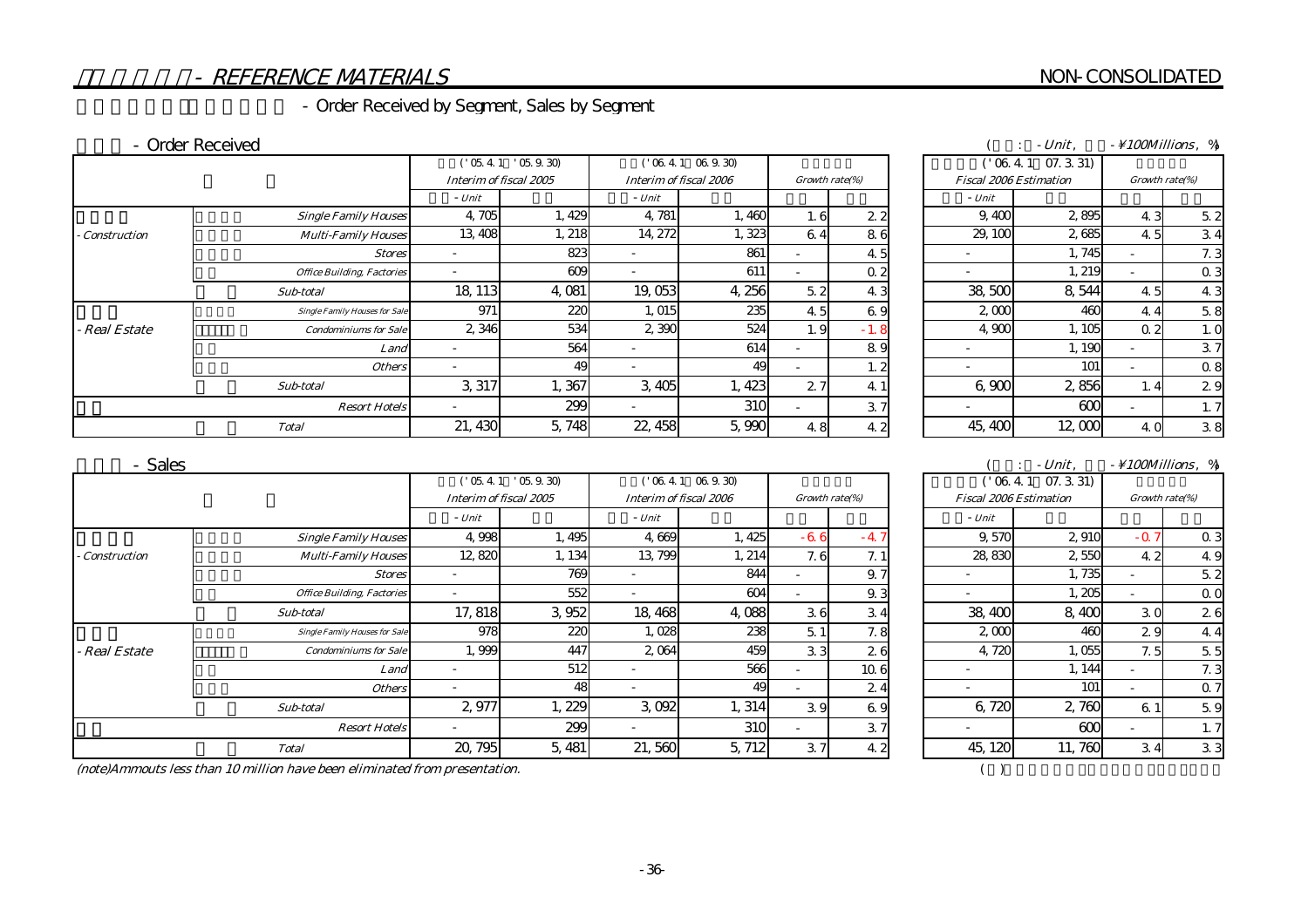# NON-CONSOLIDATED

# - REFERENCE MATERIALS

# - Order Received by Segment, Sales by Segment

#### - Order Received

|                     |                                      |                        | $105.41$ $05.9.30$ |         | $('06.4.1 \ 06.9.30)$<br>Interim of fiscal 2006 |     | Growth rate(%) |  |                          | $('06.4.1 \t07.3.31)$         |                |                |
|---------------------|--------------------------------------|------------------------|--------------------|---------|-------------------------------------------------|-----|----------------|--|--------------------------|-------------------------------|----------------|----------------|
|                     |                                      | Interim of fiscal 2005 |                    |         |                                                 |     |                |  |                          | <b>Fiscal 2006 Estimation</b> | Growth rate(%) |                |
|                     |                                      | - Unit                 |                    | - Unit  |                                                 |     |                |  | - Unit                   |                               |                |                |
|                     | <b>Single Family Houses</b>          | 4,705                  | 1,429              | 4.781   | 1,460                                           | 1.6 | 22             |  | 9.400                    | 2895                          | 4.3            | 5.2            |
| <b>Construction</b> | <b>Multi-Family Houses</b>           | 13 40 8                | 1, 218             | 14, 272 | 1,323                                           | 64  | 86             |  | 29, 100                  | 2685                          | 45             | 34             |
|                     | <b>Stores</b>                        |                        | 823                |         | 861                                             |     | 45             |  | $\overline{\phantom{0}}$ | 1,745                         |                | 7.3            |
|                     | <b>Office Building, Factories</b>    |                        | 609                |         | 611                                             |     | 0.2            |  |                          | . 219                         |                | 0 <sub>3</sub> |
|                     | Sub-total                            | 18 113                 | 4,081              | 19,053  | 4,256                                           | 5.2 | 43             |  | 38,500                   | 8,544                         | 45             | 4.3            |
|                     | <b>Single Family Houses for Sale</b> | 971                    | 220                | 1,015   | 235                                             | 45  | 69             |  | 2000                     | 460                           | 4.4            | 5.8            |
| <b>Real Estate</b>  | <b>Condominiums for Sale</b>         | 2 3 4 6                | 534                | 2 390   | 524                                             | 1.9 | $-1.8$         |  | 4.900                    | 1,105                         | 0 <sub>2</sub> | 1. C           |
|                     | Land                                 |                        | 564                |         | 614                                             |     | 89             |  | $\overline{\phantom{0}}$ | 1, 190                        |                | 37             |
|                     | <b>Others</b>                        | $\sim$                 | 49                 |         | 49                                              |     | 1.2            |  | $\overline{\phantom{0}}$ | 101                           |                | 0.8            |
|                     | Sub-total                            | 3, 317                 | 1,367              | 3,405   | 1,423                                           | 27  | 4 1            |  | 6,900                    | 2,856                         |                | 29             |
|                     | <b>Resort Hotels</b>                 |                        | 299                |         | 310                                             |     | 37             |  | $\overline{\phantom{0}}$ | 600                           |                | 1, 7           |
|                     | <b>Total</b>                         | 21, 430                | 5,748              | 22, 458 | 5,990                                           | 4.8 | 42             |  | 45, 400                  | 12,000                        | 40             | 38             |

|                                      |                          |                         |                        |              |                          |                |  |                               | $-Unit.$ |                          | $\sim$ 100Millions $\%$ |
|--------------------------------------|--------------------------|-------------------------|------------------------|--------------|--------------------------|----------------|--|-------------------------------|----------|--------------------------|-------------------------|
|                                      |                          | $'$ 05.4.1 $'$ 05.9.30) |                        | (1064106930) |                          |                |  | ('06.41)                      | 07.331   |                          |                         |
|                                      | Interim of fiscal 2005   |                         | Interim of fiscal 2006 |              | Growth rate(%)           |                |  | <b>Fiscal 2006 Estimation</b> |          | Growth rate(%)           |                         |
|                                      | - Unit                   |                         | - Unit                 |              |                          |                |  | - Unit                        |          |                          |                         |
| <b>Single Family Houses</b>          | 4,705                    | 1,429                   | 4,781                  | 1,460        | 1.6                      | 22             |  | 9,400                         | 2895     | 4.3                      | 5.2                     |
| <b>Multi-Family Houses</b>           | 13, 408                  | 1, 218                  | 14, 272                | 1,323        | 6.4                      | 86             |  | 29, 100                       | 2685     | 4.5                      | 34                      |
| <b>Stores</b>                        | $\overline{\phantom{a}}$ | 823                     |                        | 861          | $\overline{\phantom{0}}$ | 4.5            |  | $\overline{\phantom{0}}$      | 1,745    | $\overline{\phantom{a}}$ | 7.3                     |
| <b>Office Building, Factories</b>    | $\overline{\phantom{a}}$ | 609                     |                        | 611          |                          | 0.2            |  |                               | 1, 219   | $\overline{\phantom{a}}$ | 0.3                     |
| Sub-total                            | 18 113                   | 4.081                   | 19,053                 | 4,256        | 5.2                      | 4.3            |  | 38,500                        | 8,544    | 4.5                      | 43                      |
| <b>Single Family Houses for Sale</b> | 971                      | 220                     | 1,015                  | 235          | 4.5                      | 69             |  | 2000                          | 460      | 44                       | 5.8                     |
| <b>Condominiums for Sale</b>         | 2 346                    | 534                     | 2,390                  | 524          | 1.9                      | $-1.8$         |  | 4.900                         | 1,105    | 0.2                      | 1.0                     |
| Land                                 |                          | 564                     |                        | 614          |                          | 89             |  |                               | 1, 190   | $\overline{\phantom{a}}$ | 37                      |
| <b>Others</b>                        |                          | 49                      |                        | 49           | $\overline{\phantom{a}}$ | 1.2            |  |                               | 101      | $\overline{\phantom{a}}$ | 0.8                     |
| Sub-total                            | 3,317                    | 1,367                   | 3,405                  | 1,423        | 2.7                      | 4 <sup>1</sup> |  | 6,900                         | 2,856    |                          | 29                      |
| <b>Resort Hotels</b>                 |                          | 299                     |                        | 310          | ۰.                       | 37             |  |                               | 600      | $\sim$                   | 1, 7                    |
| <b>Total</b>                         | 21, 430                  | 5.748                   | 22, 458                | 5,990        | 4.8                      | 42             |  | 45, 400                       | 12,000   | 4.                       | 38                      |

#### 売上高 - Sales

|                     |                                      |         | ('05.4.1'05.9.30)      |                          | ('06.4.1~06.9.30)      |       |                |  | ('06.4.1 07.3.31)        |                               |        |                |
|---------------------|--------------------------------------|---------|------------------------|--------------------------|------------------------|-------|----------------|--|--------------------------|-------------------------------|--------|----------------|
|                     |                                      |         | Interim of fiscal 2005 |                          | Interim of fiscal 2006 |       | Growth rate(%) |  |                          | <b>Fiscal 2006 Estimation</b> |        | Growth rate(%) |
|                     |                                      | - Unit  |                        | - Unit                   |                        |       |                |  | - Unit                   |                               |        |                |
|                     | <b>Single Family Houses</b>          | 4,998   | 1,495                  | 4,669                    | 1, 425                 | $-66$ | $-4.7$         |  | 9.570                    | 2 910                         | $-0.7$ | 0 <sub>3</sub> |
| <b>Construction</b> | <b>Multi-Family Houses</b>           | 12,820  | 1, 134                 | 13 799                   | 1, 214                 | 7.6   | 7.1            |  | 28,830                   | 2550                          | 4.2    | 4.9            |
|                     | <b>Stores</b>                        |         | 769                    |                          | 844                    |       | 9.7            |  | $\overline{\phantom{a}}$ | 1.735                         |        | 5.2            |
|                     | <b>Office Building, Factories</b>    |         | 552                    |                          | 604                    |       | 9.3            |  | $\overline{\phantom{a}}$ | 1,205                         |        | 0 <sup>c</sup> |
|                     | Sub-total                            | 17.818  | 3,952                  | 18 468                   | 4,088                  | 36    | 34             |  | 38,400                   | 8,400                         | 30     | 26             |
|                     | <b>Single Family Houses for Sale</b> | 978     | 22C                    | 1,028                    | 238                    | 5.1   | 7.8            |  | 2000                     | 460                           | 29     | 4.4            |
| - Real Estate       | <b>Condominiums for Sale</b>         | 1,999   | 447                    | 2 0 64                   | 459                    | 33    | 26             |  | 4,720                    | 1,055                         | 7.5    | 5.5            |
|                     | Land                                 |         | 512                    |                          | 566                    |       | 10 6           |  | $\overline{\phantom{a}}$ | 1, 144                        |        | 7.3            |
|                     | <b>Others</b>                        |         | 48                     | $\overline{\phantom{0}}$ | 49                     |       | 24             |  | $\overline{\phantom{a}}$ | 101                           |        | 0.7            |
|                     | Sub-total                            | 2.977   | 1, 229                 | 3.092                    | 1, 314                 | 39    | 69             |  | 6,720                    | 2,760                         | 6 1    | 5.9            |
|                     | <b>Resort Hotels</b>                 |         | 299                    |                          | 310                    |       | 37             |  |                          | 600                           |        | 1, 7           |
|                     | <b>Total</b>                         | 20, 795 | 5, 481                 | 21,560                   | 5, 712                 | 37    | 42             |  | 45, 120                  | 11,760                        | 34     | 3 <sub>3</sub> |

|                                      |                        |                | Unit                          | <i>100Millions</i> .<br>$\Omega$ |
|--------------------------------------|------------------------|----------------|-------------------------------|----------------------------------|
| $\sim$ $\sim$ $\sim$<br>$\sim$<br>w. | സഭവാസ<br>്റ            |                | 331<br>$\sim$<br>$\sim$       |                                  |
| Interim of fiscal 2005               | Interim of fiscal 2006 | Growth rate(%) | <b>Fiscal 2006 Estimation</b> | Growth rate(%)                   |

| 16     | Growth rate(%) |      |  | <b>Fiscal 2006 Estimation</b> |        |        | Growth rate(%) |  |
|--------|----------------|------|--|-------------------------------|--------|--------|----------------|--|
|        |                |      |  | - Unit                        |        |        |                |  |
| 1,425  | $-66$          | $-4$ |  | 9,570                         | 2,910  | $-0.7$ | 0.3            |  |
| 1, 214 | 7.6            | 7.1  |  | 28,830                        | 2,550  | 42     | 49             |  |
| 844    |                | 9.7  |  |                               | 1,735  |        | 5.2            |  |
| 604    |                | 9.3  |  |                               | 1,205  |        | 0 <sub>0</sub> |  |
| 4.088  | 36             | 34   |  | 38,400                        | 8,400  | 30     | 26             |  |
| 238    | 5.1            | 7.8  |  | 2,000                         | 460    | 29     | 44             |  |
| 459    | 33             | 26   |  | 4,720                         | 1,055  | 7.5    | 5.5            |  |
| 566    |                | 10 6 |  |                               | 1, 144 |        | 7.3            |  |
| 49     |                | 24   |  |                               | 101    |        | 0.7            |  |
| 1, 314 | 39             | 69   |  | 6,720                         | 2,760  | 61     | 5.9            |  |
| 310    |                | 37   |  |                               | 600    |        | 1, 7           |  |
| 5, 712 | 3.7            | 42   |  | 45, 120                       | 11,760 | 34     | 33             |  |
|        |                |      |  |                               |        |        |                |  |

 $(note)$ Ammouts less than 10 million have been eliminated from presentation. ( )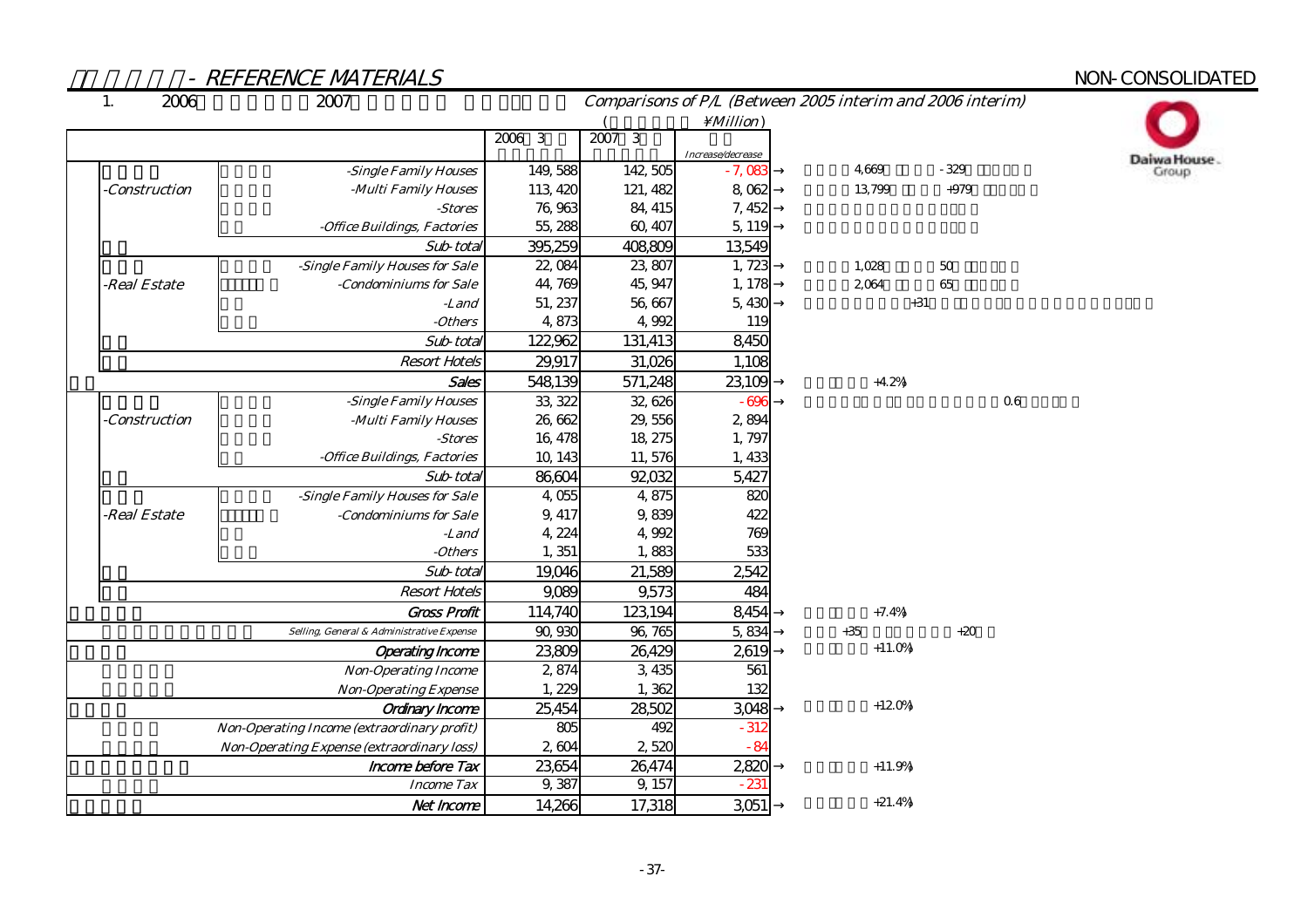# NON-CONSOLIDATED

Daiwa House.<br>Group

| $\mathbf{1}$<br>2006 | 2007                                               |          |          |                   | Comparisons of P/L (Between 2005 interim and 2006 interim) |        |    |
|----------------------|----------------------------------------------------|----------|----------|-------------------|------------------------------------------------------------|--------|----|
|                      |                                                    |          |          | $\Million)$       |                                                            |        |    |
|                      |                                                    | 2006 3   | $2007$ 3 | Increase/decrease |                                                            |        |    |
|                      | -Single Family Houses                              | 149,588  | 142,505  | $-7,083$          | 4.669                                                      | $-329$ |    |
| -Construction        | -Multi Family Houses                               | 113, 420 | 121, 482 | 8,062             | 13,799                                                     | $+979$ |    |
|                      | -Stores                                            | 76,963   | 84, 415  | 7, 452            |                                                            |        |    |
|                      | -Office Buildings, Factories                       | 55, 288  | 60, 407  | 5, 119            |                                                            |        |    |
|                      | Sub-total                                          | 395,259  | 408809   | 13,549            |                                                            |        |    |
|                      | -Single Family Houses for Sale                     | 22,084   | 23,807   | 1,723             | 1,028                                                      | 50     |    |
| -Real Estate         | -Condominiums for Sale                             | 44,769   | 45, 947  | 1, 178            | 2,064                                                      | 65     |    |
|                      | -Land                                              | 51, 237  | 56,667   | 5,430             | $+31$                                                      |        |    |
|                      | -Others                                            | 4,873    | 4,992    | 119               |                                                            |        |    |
|                      | Sub-total                                          | 122,962  | 131,413  | 8,450             |                                                            |        |    |
|                      | <b>Resort Hotels</b>                               | 29,917   | 31,026   | 1,108             |                                                            |        |    |
|                      | Sales                                              | 548,139  | 571,248  | 23,109            | $+4.2%$                                                    |        |    |
|                      | -Single Family Houses                              | 33, 322  | 32,626   | $-696$            |                                                            |        | 06 |
| -Construction        | -Multi Family Houses                               | 26,662   | 29,556   | 2,894             |                                                            |        |    |
|                      | -Stores                                            | 16, 478  | 18, 275  | 1,797             |                                                            |        |    |
|                      | -Office Buildings, Factories                       | 10, 143  | 11,576   | 1,433             |                                                            |        |    |
|                      | Sub-total                                          | 86,604   | 92,032   | 5,427             |                                                            |        |    |
|                      | -Single Family Houses for Sale                     | 4,055    | 4,875    | 820               |                                                            |        |    |
| -Real Estate         | -Condominiums for Sale                             | 9, 417   | 9,839    | 422               |                                                            |        |    |
|                      | -Land                                              | 4, 224   | 4,992    | 769               |                                                            |        |    |
|                      | -Others                                            | 1,351    | 1,883    | 533               |                                                            |        |    |
|                      | Sub-total                                          | 19,046   | 21,589   | 2,542             |                                                            |        |    |
|                      | <b>Resort Hotels</b>                               | 9,089    | 9,573    | 484               |                                                            |        |    |
|                      | <b>Gross Profit</b>                                | 114,740  | 123,194  | 8,454             | $+7.4%$                                                    |        |    |
|                      | Selling, General & Administrative Expense          | 90,930   | 96, 765  | 5,834             | $+35$                                                      | $+20$  |    |
|                      | <b>Operating Income</b>                            | 23,809   | 26,429   | 2,619             | $+11.0%$                                                   |        |    |
|                      | <b>Non-Operating Income</b>                        | 2,874    | 3,435    | 561               |                                                            |        |    |
|                      | <b>Non-Operating Expense</b>                       | 1,229    | 1,362    | 132               |                                                            |        |    |
|                      | Ordinary Income                                    | 25,454   | 28,502   | 3,048             | $+120%$                                                    |        |    |
|                      | <b>Non-Operating Income (extraordinary profit)</b> | 805      | 492      | $-312$            |                                                            |        |    |
|                      | <b>Non-Operating Expense (extraordinary loss)</b>  | 2,604    | 2,520    | $-84$             |                                                            |        |    |
|                      | Income before Tax                                  | 23,654   | 26,474   | 2,820             | $+11.9%$                                                   |        |    |
|                      | <b>Income Tax</b>                                  | 9,387    | 9, 157   | $-231$            |                                                            |        |    |
|                      | Net Income                                         | 14,266   | 17,318   | 3,051             | $+21.4%$                                                   |        |    |